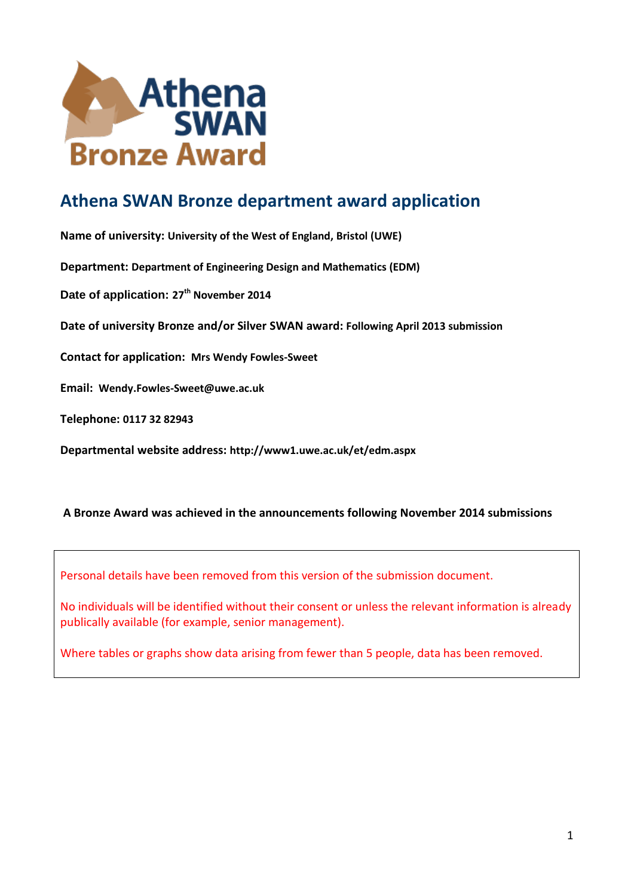

# **Athena SWAN Bronze department award application**

**Name of university: University of the West of England, Bristol (UWE) Department: Department of Engineering Design and Mathematics (EDM) Date of application: 27 th November 2014 Date of university Bronze and/or Silver SWAN award: Following April 2013 submission Contact for application: Mrs Wendy Fowles-Sweet Email: Wendy.Fowles-Sweet@uwe.ac.uk Telephone: 0117 32 82943 Departmental website address: http://www1.uwe.ac.uk/et/edm.aspx**

## **A Bronze Award was achieved in the announcements following November 2014 submissions**

Personal details have been removed from this version of the submission document.

No individuals will be identified without their consent or unless the relevant information is already publically available (for example, senior management).

Where tables or graphs show data arising from fewer than 5 people, data has been removed.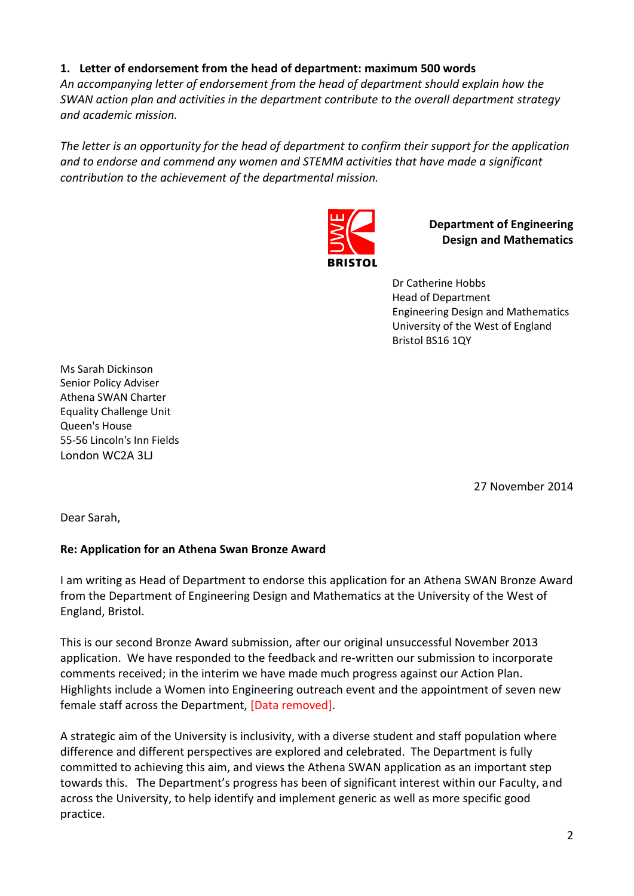## **1. Letter of endorsement from the head of department: maximum 500 words**

*An accompanying letter of endorsement from the head of department should explain how the SWAN action plan and activities in the department contribute to the overall department strategy and academic mission.*

*The letter is an opportunity for the head of department to confirm their support for the application and to endorse and commend any women and STEMM activities that have made a significant contribution to the achievement of the departmental mission.*



 **Department of Engineering Design and Mathematics**

Dr Catherine Hobbs Head of Department Engineering Design and Mathematics University of the West of England Bristol BS16 1QY

Ms Sarah Dickinson Senior Policy Adviser Athena SWAN Charter Equality Challenge Unit Queen's House 55-56 Lincoln's Inn Fields London WC2A 3LJ

27 November 2014

Dear Sarah,

## **Re: Application for an Athena Swan Bronze Award**

I am writing as Head of Department to endorse this application for an Athena SWAN Bronze Award from the Department of Engineering Design and Mathematics at the University of the West of England, Bristol.

This is our second Bronze Award submission, after our original unsuccessful November 2013 application. We have responded to the feedback and re-written our submission to incorporate comments received; in the interim we have made much progress against our Action Plan. Highlights include a Women into Engineering outreach event and the appointment of seven new female staff across the Department, [Data removed].

A strategic aim of the University is inclusivity, with a diverse student and staff population where difference and different perspectives are explored and celebrated. The Department is fully committed to achieving this aim, and views the Athena SWAN application as an important step towards this. The Department's progress has been of significant interest within our Faculty, and across the University, to help identify and implement generic as well as more specific good practice.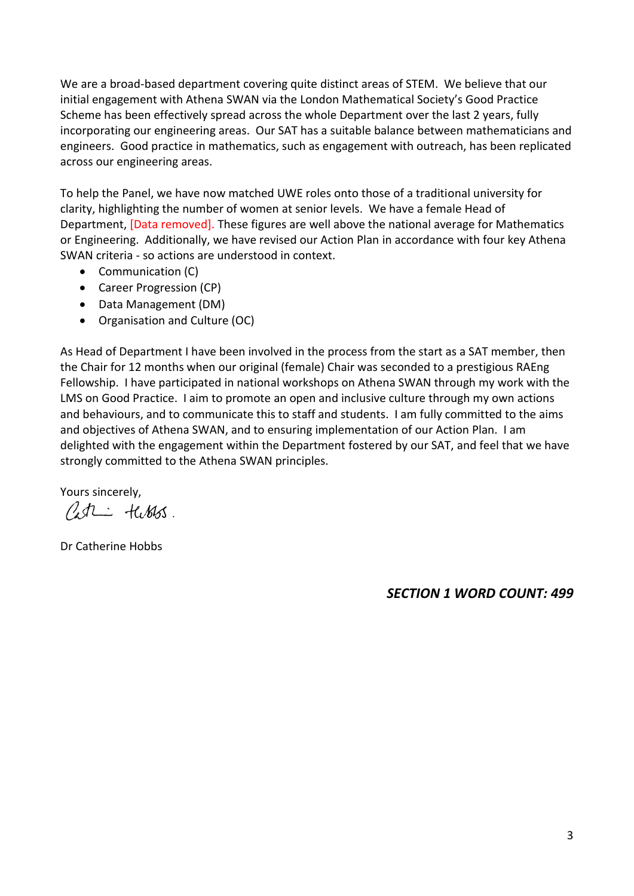We are a broad-based department covering quite distinct areas of STEM. We believe that our initial engagement with Athena SWAN via the London Mathematical Society's Good Practice Scheme has been effectively spread across the whole Department over the last 2 years, fully incorporating our engineering areas. Our SAT has a suitable balance between mathematicians and engineers. Good practice in mathematics, such as engagement with outreach, has been replicated across our engineering areas.

To help the Panel, we have now matched UWE roles onto those of a traditional university for clarity, highlighting the number of women at senior levels. We have a female Head of Department, [Data removed]. These figures are well above the national average for Mathematics or Engineering. Additionally, we have revised our Action Plan in accordance with four key Athena SWAN criteria - so actions are understood in context.

- Communication (C)
- Career Progression (CP)
- Data Management (DM)
- Organisation and Culture (OC)

As Head of Department I have been involved in the process from the start as a SAT member, then the Chair for 12 months when our original (female) Chair was seconded to a prestigious RAEng Fellowship. I have participated in national workshops on Athena SWAN through my work with the LMS on Good Practice. I aim to promote an open and inclusive culture through my own actions and behaviours, and to communicate this to staff and students. I am fully committed to the aims and objectives of Athena SWAN, and to ensuring implementation of our Action Plan. I am delighted with the engagement within the Department fostered by our SAT, and feel that we have strongly committed to the Athena SWAN principles.

Yours sincerely,

Cest\_ tubbs.

Dr Catherine Hobbs

*SECTION 1 WORD COUNT: 499*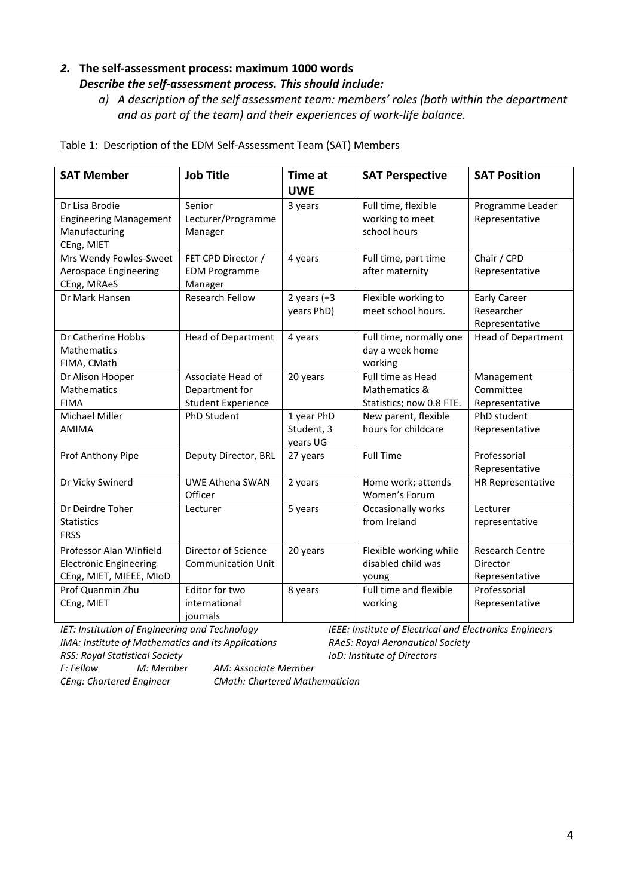## *2.* **The self-assessment process: maximum 1000 words** *Describe the self-assessment process. This should include:*

*a) A description of the self assessment team: members' roles (both within the department and as part of the team) and their experiences of work-life balance.*

| <b>SAT Member</b>                                                                   | <b>Job Title</b>                                                 | Time at<br><b>UWE</b>                | <b>SAT Perspective</b>                                         | <b>SAT Position</b>                                  |
|-------------------------------------------------------------------------------------|------------------------------------------------------------------|--------------------------------------|----------------------------------------------------------------|------------------------------------------------------|
| Dr Lisa Brodie<br><b>Engineering Management</b><br>Manufacturing<br>CEng, MIET      | Senior<br>Lecturer/Programme<br>Manager                          | 3 years                              | Full time, flexible<br>working to meet<br>school hours         | Programme Leader<br>Representative                   |
| Mrs Wendy Fowles-Sweet<br>Aerospace Engineering<br>CEng, MRAeS                      | FET CPD Director /<br><b>EDM Programme</b><br>Manager            | 4 years                              | Full time, part time<br>after maternity                        | Chair / CPD<br>Representative                        |
| Dr Mark Hansen                                                                      | <b>Research Fellow</b>                                           | 2 years $(+3)$<br>years PhD)         | Flexible working to<br>meet school hours.                      | Early Career<br>Researcher<br>Representative         |
| Dr Catherine Hobbs<br>Mathematics<br>FIMA, CMath                                    | <b>Head of Department</b>                                        | 4 years                              | Full time, normally one<br>day a week home<br>working          | <b>Head of Department</b>                            |
| Dr Alison Hooper<br><b>Mathematics</b><br><b>FIMA</b>                               | Associate Head of<br>Department for<br><b>Student Experience</b> | 20 years                             | Full time as Head<br>Mathematics &<br>Statistics; now 0.8 FTE. | Management<br>Committee<br>Representative            |
| Michael Miller<br><b>AMIMA</b>                                                      | <b>PhD Student</b>                                               | 1 year PhD<br>Student, 3<br>years UG | New parent, flexible<br>hours for childcare                    | PhD student<br>Representative                        |
| Prof Anthony Pipe                                                                   | Deputy Director, BRL                                             | 27 years                             | <b>Full Time</b>                                               | Professorial<br>Representative                       |
| Dr Vicky Swinerd                                                                    | <b>UWE Athena SWAN</b><br>Officer                                | 2 years                              | Home work; attends<br>Women's Forum                            | HR Representative                                    |
| Dr Deirdre Toher<br><b>Statistics</b><br><b>FRSS</b>                                | Lecturer                                                         | 5 years                              | Occasionally works<br>from Ireland                             | Lecturer<br>representative                           |
| Professor Alan Winfield<br><b>Electronic Engineering</b><br>CEng, MIET, MIEEE, MIoD | Director of Science<br><b>Communication Unit</b>                 | 20 years                             | Flexible working while<br>disabled child was<br>young          | <b>Research Centre</b><br>Director<br>Representative |
| Prof Quanmin Zhu<br>CEng, MIET                                                      | Editor for two<br>international<br>journals                      | 8 years                              | Full time and flexible<br>working                              | Professorial<br>Representative                       |

## Table 1: Description of the EDM Self-Assessment Team (SAT) Members

*IMA: Institute of Mathematics and its Applications RAeS: Royal Aeronautical Society RSS: Royal Statistical Society IoD: Institute of Directors F: Fellow M: Member AM: Associate Member*

*IET: Institution of Engineering and Technology IEEE: Institute of Electrical and Electronics Engineers*

*CEng: Chartered Engineer CMath: Chartered Mathematician*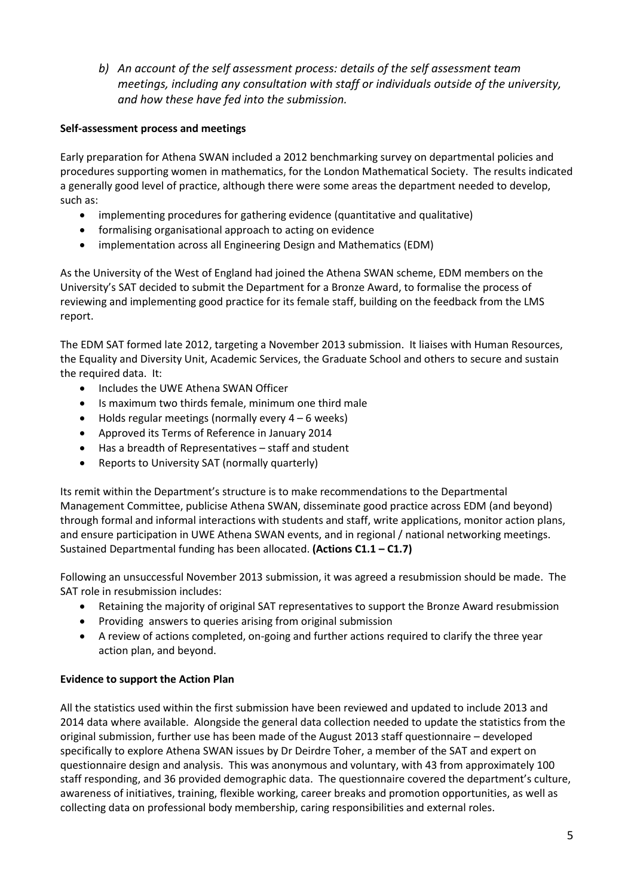*b) An account of the self assessment process: details of the self assessment team meetings, including any consultation with staff or individuals outside of the university, and how these have fed into the submission.*

## **Self-assessment process and meetings**

Early preparation for Athena SWAN included a 2012 benchmarking survey on departmental policies and procedures supporting women in mathematics, for the London Mathematical Society. The results indicated a generally good level of practice, although there were some areas the department needed to develop, such as:

- implementing procedures for gathering evidence (quantitative and qualitative)
- formalising organisational approach to acting on evidence
- implementation across all Engineering Design and Mathematics (EDM)

As the University of the West of England had joined the Athena SWAN scheme, EDM members on the University's SAT decided to submit the Department for a Bronze Award, to formalise the process of reviewing and implementing good practice for its female staff, building on the feedback from the LMS report.

The EDM SAT formed late 2012, targeting a November 2013 submission. It liaises with Human Resources, the Equality and Diversity Unit, Academic Services, the Graduate School and others to secure and sustain the required data. It:

- Includes the UWE Athena SWAN Officer
- Is maximum two thirds female, minimum one third male
- $\bullet$  Holds regular meetings (normally every 4 6 weeks)
- Approved its Terms of Reference in January 2014
- Has a breadth of Representatives staff and student
- Reports to University SAT (normally quarterly)

Its remit within the Department's structure is to make recommendations to the Departmental Management Committee, publicise Athena SWAN, disseminate good practice across EDM (and beyond) through formal and informal interactions with students and staff, write applications, monitor action plans, and ensure participation in UWE Athena SWAN events, and in regional / national networking meetings. Sustained Departmental funding has been allocated. **(Actions C1.1 – C1.7)**

Following an unsuccessful November 2013 submission, it was agreed a resubmission should be made. The SAT role in resubmission includes:

- Retaining the majority of original SAT representatives to support the Bronze Award resubmission
- Providing answers to queries arising from original submission
- A review of actions completed, on-going and further actions required to clarify the three year action plan, and beyond.

## **Evidence to support the Action Plan**

All the statistics used within the first submission have been reviewed and updated to include 2013 and 2014 data where available. Alongside the general data collection needed to update the statistics from the original submission, further use has been made of the August 2013 staff questionnaire – developed specifically to explore Athena SWAN issues by Dr Deirdre Toher, a member of the SAT and expert on questionnaire design and analysis. This was anonymous and voluntary, with 43 from approximately 100 staff responding, and 36 provided demographic data. The questionnaire covered the department's culture, awareness of initiatives, training, flexible working, career breaks and promotion opportunities, as well as collecting data on professional body membership, caring responsibilities and external roles.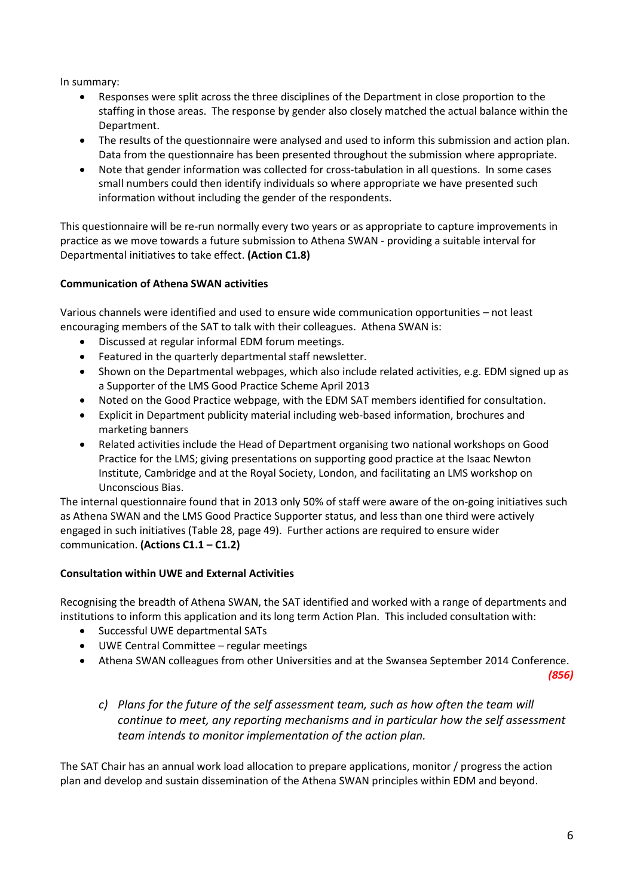In summary:

- Responses were split across the three disciplines of the Department in close proportion to the staffing in those areas. The response by gender also closely matched the actual balance within the Department.
- The results of the questionnaire were analysed and used to inform this submission and action plan. Data from the questionnaire has been presented throughout the submission where appropriate.
- Note that gender information was collected for cross-tabulation in all questions. In some cases small numbers could then identify individuals so where appropriate we have presented such information without including the gender of the respondents.

This questionnaire will be re-run normally every two years or as appropriate to capture improvements in practice as we move towards a future submission to Athena SWAN - providing a suitable interval for Departmental initiatives to take effect. **(Action C1.8)**

## **Communication of Athena SWAN activities**

Various channels were identified and used to ensure wide communication opportunities – not least encouraging members of the SAT to talk with their colleagues. Athena SWAN is:

- Discussed at regular informal EDM forum meetings.
- Featured in the quarterly departmental staff newsletter.
- Shown on the Departmental webpages, which also include related activities, e.g. EDM signed up as a Supporter of the LMS Good Practice Scheme April 2013
- Noted on the Good Practice webpage, with the EDM SAT members identified for consultation.
- Explicit in Department publicity material including web-based information, brochures and marketing banners
- Related activities include the Head of Department organising two national workshops on Good Practice for the LMS; giving presentations on supporting good practice at the Isaac Newton Institute, Cambridge and at the Royal Society, London, and facilitating an LMS workshop on Unconscious Bias.

The internal questionnaire found that in 2013 only 50% of staff were aware of the on-going initiatives such as Athena SWAN and the LMS Good Practice Supporter status, and less than one third were actively engaged in such initiatives (Table 28, page 49). Further actions are required to ensure wider communication. **(Actions C1.1 – C1.2)**

## **Consultation within UWE and External Activities**

Recognising the breadth of Athena SWAN, the SAT identified and worked with a range of departments and institutions to inform this application and its long term Action Plan. This included consultation with:

- Successful UWE departmental SATs
- UWE Central Committee regular meetings
- Athena SWAN colleagues from other Universities and at the Swansea September 2014 Conference.

*(856)*

*c) Plans for the future of the self assessment team, such as how often the team will continue to meet, any reporting mechanisms and in particular how the self assessment team intends to monitor implementation of the action plan.*

The SAT Chair has an annual work load allocation to prepare applications, monitor / progress the action plan and develop and sustain dissemination of the Athena SWAN principles within EDM and beyond.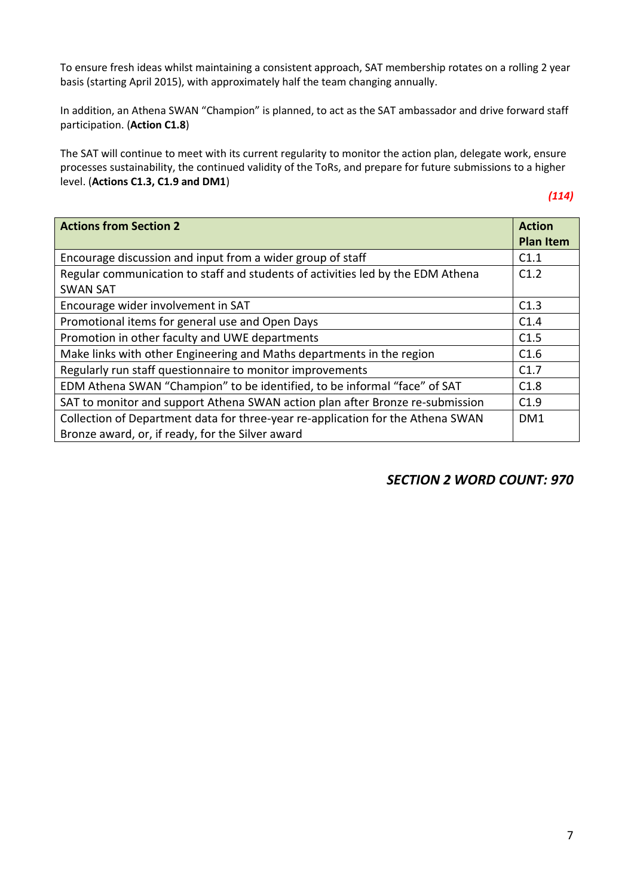To ensure fresh ideas whilst maintaining a consistent approach, SAT membership rotates on a rolling 2 year basis (starting April 2015), with approximately half the team changing annually.

In addition, an Athena SWAN "Champion" is planned, to act as the SAT ambassador and drive forward staff participation. (**Action C1.8**)

The SAT will continue to meet with its current regularity to monitor the action plan, delegate work, ensure processes sustainability, the continued validity of the ToRs, and prepare for future submissions to a higher level. (**Actions C1.3, C1.9 and DM1**)

*(114)*

| <b>Actions from Section 2</b>                                                   | <b>Action</b>    |
|---------------------------------------------------------------------------------|------------------|
|                                                                                 | <b>Plan Item</b> |
| Encourage discussion and input from a wider group of staff                      | C1.1             |
| Regular communication to staff and students of activities led by the EDM Athena | C1.2             |
| <b>SWAN SAT</b>                                                                 |                  |
| Encourage wider involvement in SAT                                              | C1.3             |
| Promotional items for general use and Open Days                                 | C1.4             |
| Promotion in other faculty and UWE departments                                  | C1.5             |
| Make links with other Engineering and Maths departments in the region           | C1.6             |
| Regularly run staff questionnaire to monitor improvements                       | C1.7             |
| EDM Athena SWAN "Champion" to be identified, to be informal "face" of SAT       | C1.8             |
| SAT to monitor and support Athena SWAN action plan after Bronze re-submission   | C1.9             |
| Collection of Department data for three-year re-application for the Athena SWAN | DM <sub>1</sub>  |
| Bronze award, or, if ready, for the Silver award                                |                  |

*SECTION 2 WORD COUNT: 970*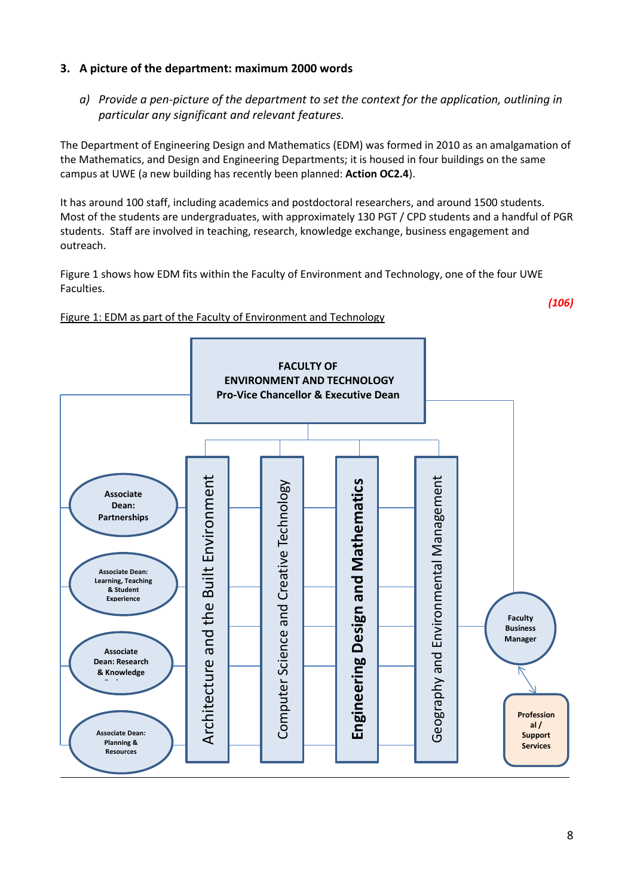## **3. A picture of the department: maximum 2000 words**

*a) Provide a pen-picture of the department to set the context for the application, outlining in particular any significant and relevant features.*

The Department of Engineering Design and Mathematics (EDM) was formed in 2010 as an amalgamation of the Mathematics, and Design and Engineering Departments; it is housed in four buildings on the same campus at UWE (a new building has recently been planned: **Action OC2.4**).

It has around 100 staff, including academics and postdoctoral researchers, and around 1500 students. Most of the students are undergraduates, with approximately 130 PGT / CPD students and a handful of PGR students. Staff are involved in teaching, research, knowledge exchange, business engagement and outreach.

Figure 1 shows how EDM fits within the Faculty of Environment and Technology, one of the four UWE Faculties.

## Figure 1: EDM as part of the Faculty of Environment and Technology



*(106)*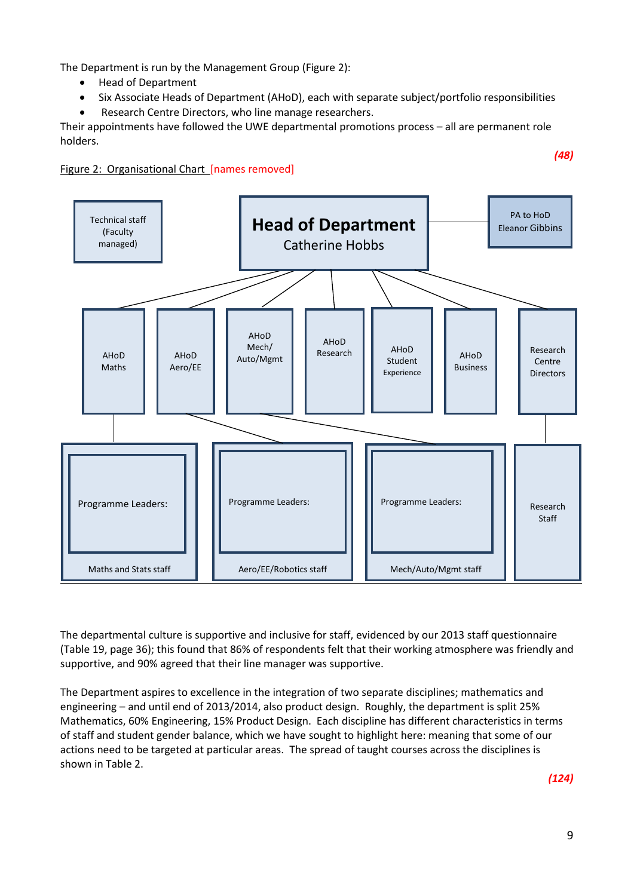The Department is run by the Management Group (Figure 2):

- Head of Department
- Six Associate Heads of Department (AHoD), each with separate subject/portfolio responsibilities
- Research Centre Directors, who line manage researchers.

Their appointments have followed the UWE departmental promotions process – all are permanent role holders.





The departmental culture is supportive and inclusive for staff, evidenced by our 2013 staff questionnaire (Table 19, page 36); this found that 86% of respondents felt that their working atmosphere was friendly and supportive, and 90% agreed that their line manager was supportive.

The Department aspires to excellence in the integration of two separate disciplines; mathematics and engineering – and until end of 2013/2014, also product design. Roughly, the department is split 25% Mathematics, 60% Engineering, 15% Product Design. Each discipline has different characteristics in terms of staff and student gender balance, which we have sought to highlight here: meaning that some of our actions need to be targeted at particular areas. The spread of taught courses across the disciplines is shown in Table 2.

*(124)*

*(48)*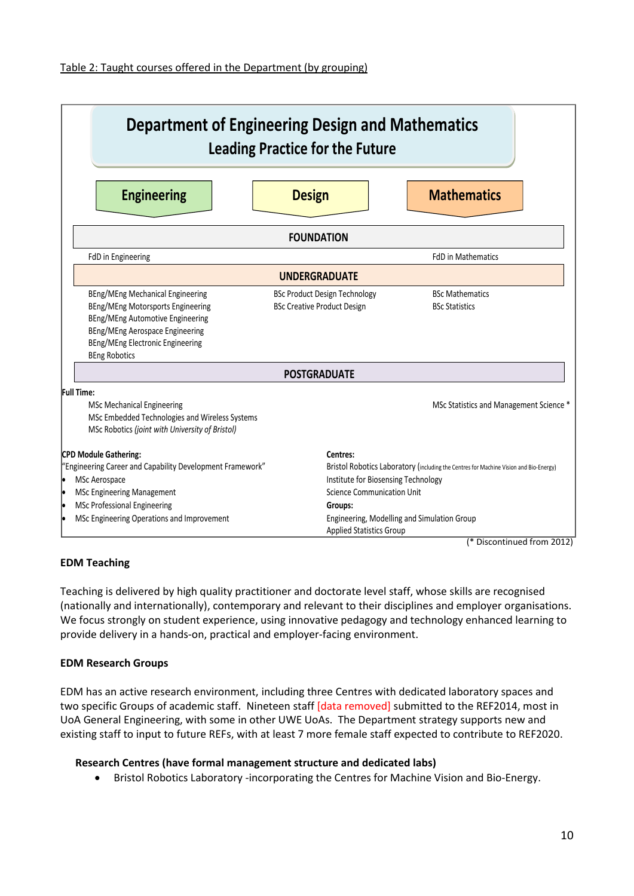| Department of Engineering Design and Mathematics                                                                                                                                                                                            | <b>Leading Practice for the Future</b>                                                                                      |                                                                                                                                                                    |
|---------------------------------------------------------------------------------------------------------------------------------------------------------------------------------------------------------------------------------------------|-----------------------------------------------------------------------------------------------------------------------------|--------------------------------------------------------------------------------------------------------------------------------------------------------------------|
| <b>Engineering</b>                                                                                                                                                                                                                          | <b>Design</b>                                                                                                               | <b>Mathematics</b>                                                                                                                                                 |
|                                                                                                                                                                                                                                             | <b>FOUNDATION</b>                                                                                                           |                                                                                                                                                                    |
| FdD in Engineering                                                                                                                                                                                                                          |                                                                                                                             | <b>FdD</b> in Mathematics                                                                                                                                          |
|                                                                                                                                                                                                                                             | <b>UNDERGRADUATE</b>                                                                                                        |                                                                                                                                                                    |
| BEng/MEng Mechanical Engineering<br>BEng/MEng Motorsports Engineering<br>BEng/MEng Automotive Engineering<br>BEng/MEng Aerospace Engineering<br>BEng/MEng Electronic Engineering<br><b>BEng Robotics</b>                                    | <b>BSc Product Design Technology</b><br><b>BSc Creative Product Design</b>                                                  | <b>BSc Mathematics</b><br><b>BSc Statistics</b>                                                                                                                    |
|                                                                                                                                                                                                                                             | <b>POSTGRADUATE</b>                                                                                                         |                                                                                                                                                                    |
| Full Time:<br><b>MSc Mechanical Engineering</b><br>MSc Embedded Technologies and Wireless Systems<br>MSc Robotics (joint with University of Bristol)                                                                                        |                                                                                                                             | MSc Statistics and Management Science *                                                                                                                            |
| <b>CPD Module Gathering:</b><br>"Engineering Career and Capability Development Framework"<br>le.<br>MSc Aerospace<br><b>MSc Engineering Management</b><br><b>MSc Professional Engineering</b><br>MSc Engineering Operations and Improvement | Centres:<br>Institute for Biosensing Technology<br>Science Communication Unit<br>Groups:<br><b>Applied Statistics Group</b> | Bristol Robotics Laboratory (including the Centres for Machine Vision and Bio-Energy)<br>Engineering, Modelling and Simulation Group<br>(* Discontinued from 2012) |

## **EDM Teaching**

Teaching is delivered by high quality practitioner and doctorate level staff, whose skills are recognised (nationally and internationally), contemporary and relevant to their disciplines and employer organisations. We focus strongly on student experience, using innovative pedagogy and technology enhanced learning to provide delivery in a hands-on, practical and employer-facing environment.

## **EDM Research Groups**

EDM has an active research environment, including three Centres with dedicated laboratory spaces and two specific Groups of academic staff. Nineteen staff [data removed] submitted to the REF2014, most in UoA General Engineering, with some in other UWE UoAs. The Department strategy supports new and existing staff to input to future REFs, with at least 7 more female staff expected to contribute to REF2020.

#### **Research Centres (have formal management structure and dedicated labs)**

Bristol Robotics Laboratory -incorporating the Centres for Machine Vision and Bio-Energy.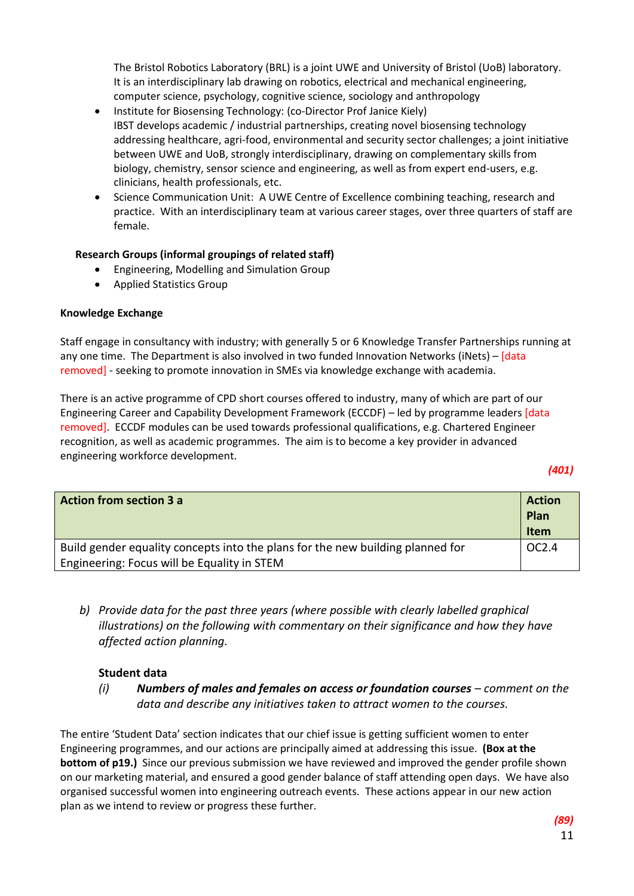The Bristol Robotics Laboratory (BRL) is a joint UWE and University of Bristol (UoB) laboratory. It is an interdisciplinary lab drawing on robotics, electrical and mechanical engineering, computer science, psychology, cognitive science, sociology and anthropology

- Institute for Biosensing Technology: (co-Director Prof Janice Kiely) IBST develops academic / industrial partnerships, creating novel biosensing technology addressing healthcare, agri-food, environmental and security sector challenges; a joint initiative between UWE and UoB, strongly interdisciplinary, drawing on complementary skills from biology, chemistry, sensor science and engineering, as well as from expert end-users, e.g. clinicians, health professionals, etc.
- Science Communication Unit: A UWE Centre of Excellence combining teaching, research and practice. With an interdisciplinary team at various career stages, over three quarters of staff are female.

## **Research Groups (informal groupings of related staff)**

- Engineering, Modelling and Simulation Group
- Applied Statistics Group

## **Knowledge Exchange**

Staff engage in consultancy with industry; with generally 5 or 6 Knowledge Transfer Partnerships running at any one time. The Department is also involved in two funded Innovation Networks (iNets) – [data removed] - seeking to promote innovation in SMEs via knowledge exchange with academia.

There is an active programme of CPD short courses offered to industry, many of which are part of our Engineering Career and Capability Development Framework (ECCDF) – led by programme leaders [data removed]. ECCDF modules can be used towards professional qualifications, e.g. Chartered Engineer recognition, as well as academic programmes. The aim is to become a key provider in advanced engineering workforce development.

*(401)*

| <b>Action from section 3 a</b>                                                 | <b>Action</b><br>Plan<br><b>Item</b> |
|--------------------------------------------------------------------------------|--------------------------------------|
| Build gender equality concepts into the plans for the new building planned for | OC2.4                                |
| Engineering: Focus will be Equality in STEM                                    |                                      |

*b) Provide data for the past three years (where possible with clearly labelled graphical illustrations) on the following with commentary on their significance and how they have affected action planning.*

## **Student data**

*(i) Numbers of males and females on access or foundation courses – comment on the data and describe any initiatives taken to attract women to the courses.*

The entire 'Student Data' section indicates that our chief issue is getting sufficient women to enter Engineering programmes, and our actions are principally aimed at addressing this issue. **(Box at the bottom of p19.)** Since our previous submission we have reviewed and improved the gender profile shown on our marketing material, and ensured a good gender balance of staff attending open days. We have also organised successful women into engineering outreach events. These actions appear in our new action plan as we intend to review or progress these further.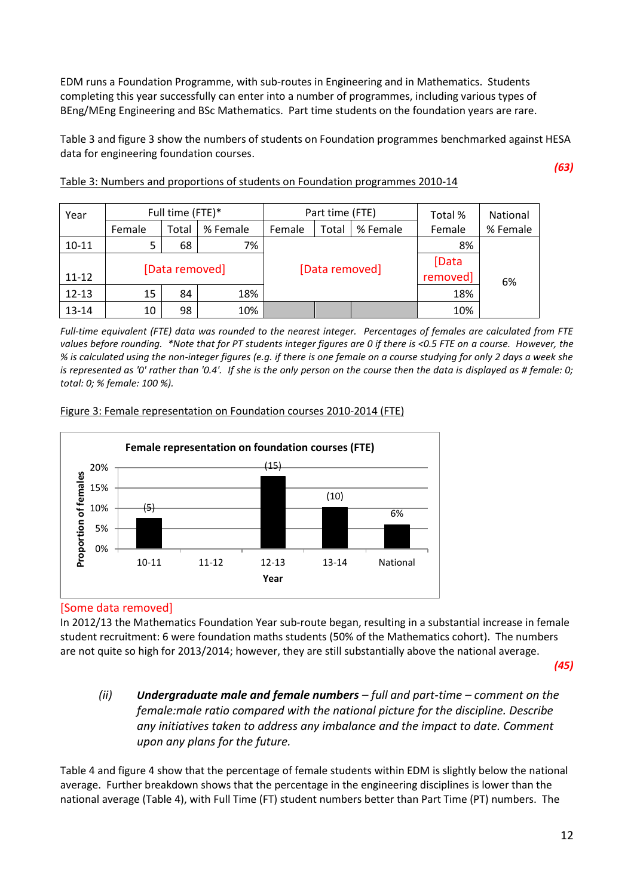EDM runs a Foundation Programme, with sub-routes in Engineering and in Mathematics. Students completing this year successfully can enter into a number of programmes, including various types of BEng/MEng Engineering and BSc Mathematics. Part time students on the foundation years are rare.

Table 3 and figure 3 show the numbers of students on Foundation programmes benchmarked against HESA data for engineering foundation courses.

| Year      | Full time (FTE)*<br>Part time (FTE) |                |          |        |                |          | Total %  | National |
|-----------|-------------------------------------|----------------|----------|--------|----------------|----------|----------|----------|
|           | Female                              | Total          | % Female | Female | Total          | % Female | Female   | % Female |
| $10 - 11$ | 5                                   | 68             | 7%       |        |                |          | 8%       |          |
|           |                                     |                |          |        |                |          | [Data    |          |
| $11 - 12$ |                                     | [Data removed] |          |        | [Data removed] |          | removed] | 6%       |
| $12 - 13$ | 15                                  | 84             | 18%      |        |                | 18%      |          |          |
| 13-14     | 10                                  | 98             | 10%      |        |                |          | 10%      |          |

Table 3: Numbers and proportions of students on Foundation programmes 2010-14

*Full-time equivalent (FTE) data was rounded to the nearest integer. Percentages of females are calculated from FTE values before rounding. \*Note that for PT students integer figures are 0 if there is <0.5 FTE on a course. However, the % is calculated using the non-integer figures (e.g. if there is one female on a course studying for only 2 days a week she is represented as '0' rather than '0.4'. If she is the only person on the course then the data is displayed as # female: 0; total: 0; % female: 100 %).*

Figure 3: Female representation on Foundation courses 2010-2014 (FTE)



## [Some data removed]

In 2012/13 the Mathematics Foundation Year sub-route began, resulting in a substantial increase in female student recruitment: 6 were foundation maths students (50% of the Mathematics cohort). The numbers are not quite so high for 2013/2014; however, they are still substantially above the national average.

*(45)*

*(63)*

*(ii) Undergraduate male and female numbers – full and part-time – comment on the female:male ratio compared with the national picture for the discipline. Describe any initiatives taken to address any imbalance and the impact to date. Comment upon any plans for the future.*

Table 4 and figure 4 show that the percentage of female students within EDM is slightly below the national average. Further breakdown shows that the percentage in the engineering disciplines is lower than the national average (Table 4), with Full Time (FT) student numbers better than Part Time (PT) numbers. The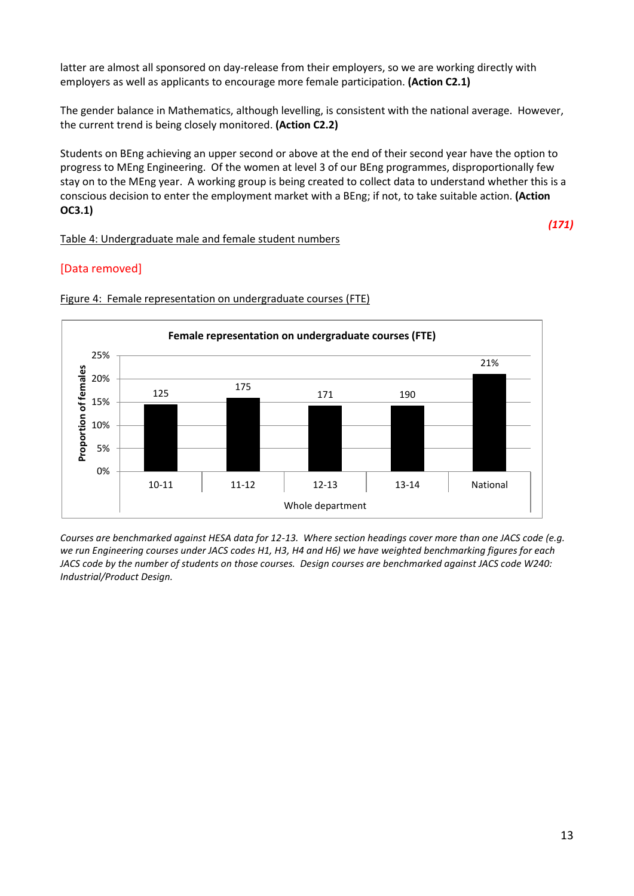latter are almost all sponsored on day-release from their employers, so we are working directly with employers as well as applicants to encourage more female participation. **(Action C2.1)**

The gender balance in Mathematics, although levelling, is consistent with the national average. However, the current trend is being closely monitored. **(Action C2.2)**

Students on BEng achieving an upper second or above at the end of their second year have the option to progress to MEng Engineering. Of the women at level 3 of our BEng programmes, disproportionally few stay on to the MEng year. A working group is being created to collect data to understand whether this is a conscious decision to enter the employment market with a BEng; if not, to take suitable action. **(Action OC3.1)**

#### Table 4: Undergraduate male and female student numbers

## *(171)*

## [Data removed]



#### Figure 4: Female representation on undergraduate courses (FTE)

*Courses are benchmarked against HESA data for 12-13. Where section headings cover more than one JACS code (e.g. we run Engineering courses under JACS codes H1, H3, H4 and H6) we have weighted benchmarking figures for each JACS code by the number of students on those courses. Design courses are benchmarked against JACS code W240: Industrial/Product Design.*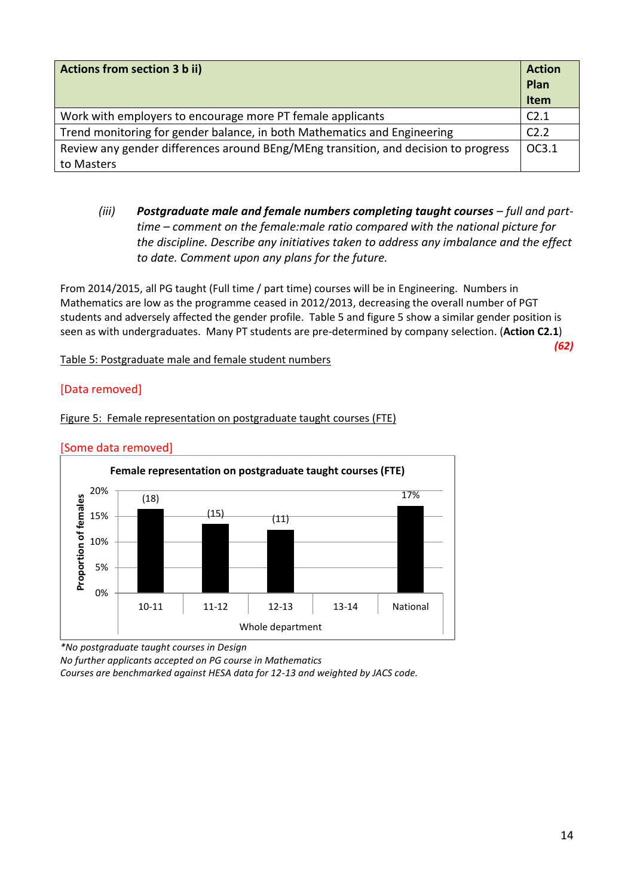| Actions from section 3 b ii)                                                        | <b>Action</b><br>Plan<br><b>Item</b> |
|-------------------------------------------------------------------------------------|--------------------------------------|
| Work with employers to encourage more PT female applicants                          | C <sub>2.1</sub>                     |
| Trend monitoring for gender balance, in both Mathematics and Engineering            | C <sub>2.2</sub>                     |
| Review any gender differences around BEng/MEng transition, and decision to progress | OC3.1                                |
| to Masters                                                                          |                                      |

*(iii) Postgraduate male and female numbers completing taught courses – full and parttime – comment on the female:male ratio compared with the national picture for the discipline. Describe any initiatives taken to address any imbalance and the effect to date. Comment upon any plans for the future.*

From 2014/2015, all PG taught (Full time / part time) courses will be in Engineering. Numbers in Mathematics are low as the programme ceased in 2012/2013, decreasing the overall number of PGT students and adversely affected the gender profile. Table 5 and figure 5 show a similar gender position is seen as with undergraduates. Many PT students are pre-determined by company selection. (**Action C2.1**)

Table 5: Postgraduate male and female student numbers

## [Data removed]

#### Figure 5: Female representation on postgraduate taught courses (FTE)



## [Some data removed]

*\*No postgraduate taught courses in Design*

*No further applicants accepted on PG course in Mathematics*

*Courses are benchmarked against HESA data for 12-13 and weighted by JACS code.*

*(62)*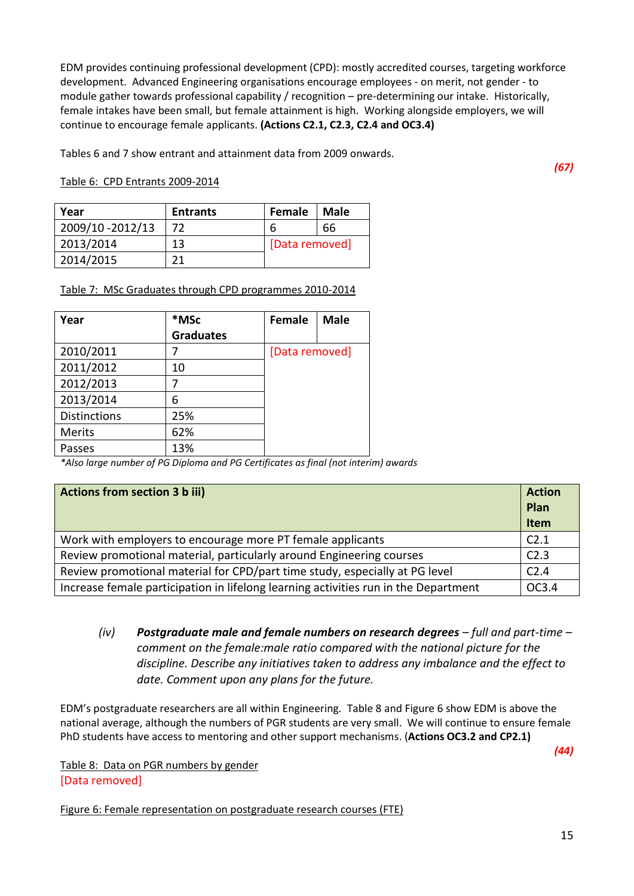EDM provides continuing professional development (CPD): mostly accredited courses, targeting workforce development. Advanced Engineering organisations encourage employees - on merit, not gender - to module gather towards professional capability / recognition – pre-determining our intake. Historically, female intakes have been small, but female attainment is high. Working alongside employers, we will continue to encourage female applicants. **(Actions C2.1, C2.3, C2.4 and OC3.4)**

Tables 6 and 7 show entrant and attainment data from 2009 onwards.

Table 6: CPD Entrants 2009-2014

| Year             | <b>Entrants</b> | Female         | Male |
|------------------|-----------------|----------------|------|
| 2009/10 -2012/13 |                 |                | 66   |
| 2013/2014        | 13              | [Data removed] |      |
| 2014/2015        | 21              |                |      |

| Table 7: MSc Graduates through CPD programmes 2010-2014 |
|---------------------------------------------------------|
|---------------------------------------------------------|

| Year                | *MSc             | Female         | <b>Male</b> |
|---------------------|------------------|----------------|-------------|
|                     | <b>Graduates</b> |                |             |
| 2010/2011           |                  | [Data removed] |             |
| 2011/2012           | 10               |                |             |
| 2012/2013           |                  |                |             |
| 2013/2014           | 6                |                |             |
| <b>Distinctions</b> | 25%              |                |             |
| <b>Merits</b>       | 62%              |                |             |
| Passes              | 13%              |                |             |

*\*Also large number of PG Diploma and PG Certificates as final (not interim) awards*

| <b>Actions from section 3 b iii)</b>                                                | <b>Action</b><br>Plan<br><b>Item</b> |
|-------------------------------------------------------------------------------------|--------------------------------------|
| Work with employers to encourage more PT female applicants                          | C <sub>2.1</sub>                     |
| Review promotional material, particularly around Engineering courses                | C <sub>2.3</sub>                     |
| Review promotional material for CPD/part time study, especially at PG level         | C <sub>2.4</sub>                     |
| Increase female participation in lifelong learning activities run in the Department | OC3.4                                |

*(iv) Postgraduate male and female numbers on research degrees – full and part-time – comment on the female:male ratio compared with the national picture for the discipline. Describe any initiatives taken to address any imbalance and the effect to date. Comment upon any plans for the future.*

EDM's postgraduate researchers are all within Engineering. Table 8 and Figure 6 show EDM is above the national average, although the numbers of PGR students are very small. We will continue to ensure female PhD students have access to mentoring and other support mechanisms. (**Actions OC3.2 and CP2.1)**

Table 8: Data on PGR numbers by gender [Data removed]

Figure 6: Female representation on postgraduate research courses (FTE)

*(44)*

*(67)*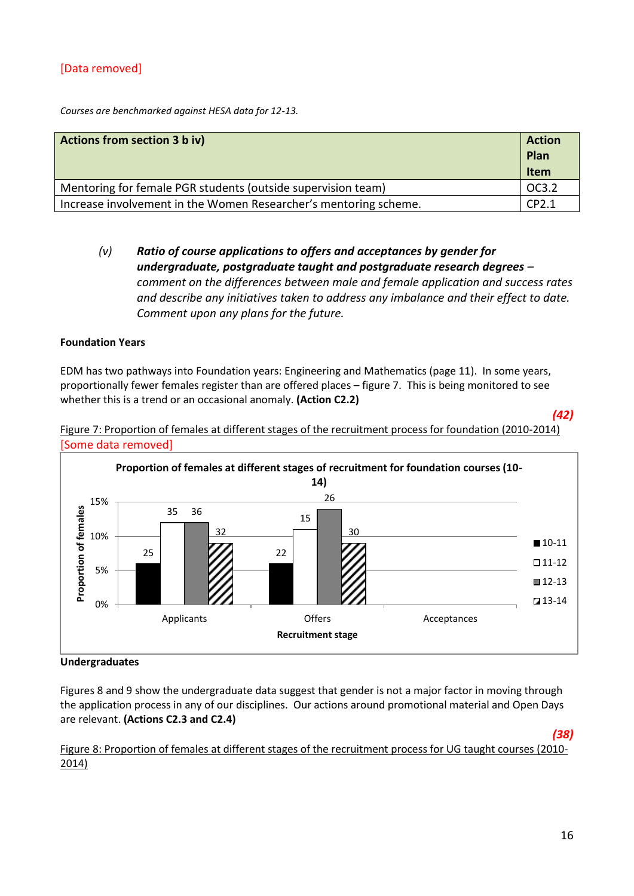*Courses are benchmarked against HESA data for 12-13.*

| <b>Actions from section 3 b iv)</b>                              | <b>Action</b><br>Plan<br>Item |
|------------------------------------------------------------------|-------------------------------|
| Mentoring for female PGR students (outside supervision team)     | OC3.2                         |
| Increase involvement in the Women Researcher's mentoring scheme. | CP2.1                         |

*(v) Ratio of course applications to offers and acceptances by gender for undergraduate, postgraduate taught and postgraduate research degrees – comment on the differences between male and female application and success rates and describe any initiatives taken to address any imbalance and their effect to date. Comment upon any plans for the future.*

## **Foundation Years**

EDM has two pathways into Foundation years: Engineering and Mathematics (page 11). In some years, proportionally fewer females register than are offered places – figure 7. This is being monitored to see whether this is a trend or an occasional anomaly. **(Action C2.2)**

*(42)*





## **Undergraduates**

Figures 8 and 9 show the undergraduate data suggest that gender is not a major factor in moving through the application process in any of our disciplines. Our actions around promotional material and Open Days are relevant. **(Actions C2.3 and C2.4)**

Figure 8: Proportion of females at different stages of the recruitment process for UG taught courses (2010- 2014)

*(38)*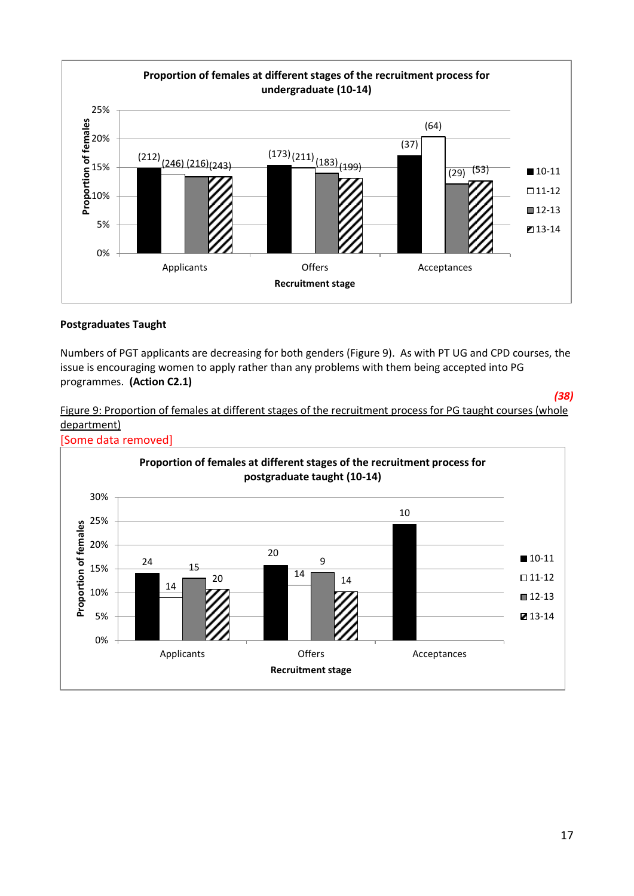

## **Postgraduates Taught**

Numbers of PGT applicants are decreasing for both genders (Figure 9). As with PT UG and CPD courses, the issue is encouraging women to apply rather than any problems with them being accepted into PG programmes. **(Action C2.1)**

*(38)*

Figure 9: Proportion of females at different stages of the recruitment process for PG taught courses (whole department)

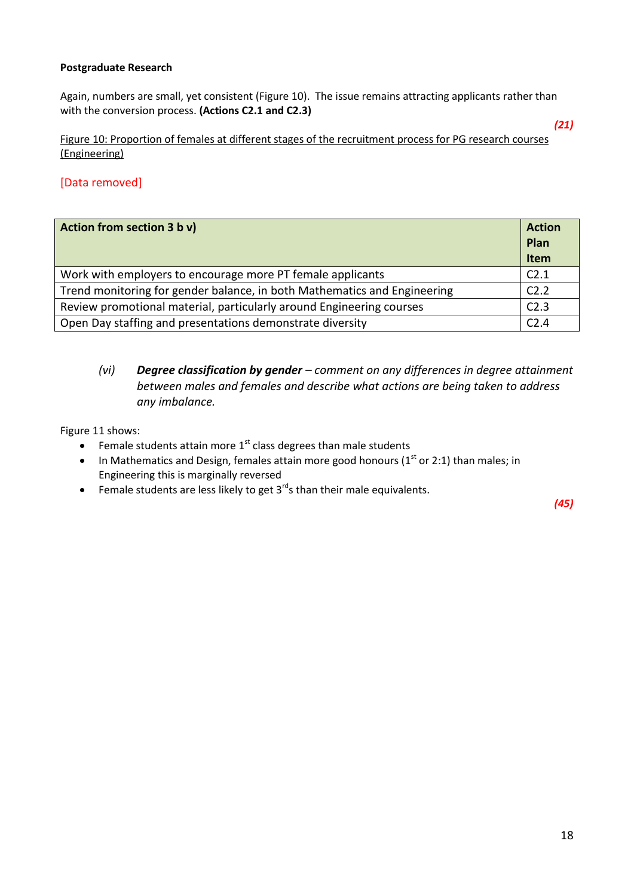## **Postgraduate Research**

Again, numbers are small, yet consistent (Figure 10). The issue remains attracting applicants rather than with the conversion process. **(Actions C2.1 and C2.3)**

Figure 10: Proportion of females at different stages of the recruitment process for PG research courses (Engineering)

## [Data removed]

| Action from section 3 b v)                                               | <b>Action</b><br>Plan<br><b>Item</b> |
|--------------------------------------------------------------------------|--------------------------------------|
| Work with employers to encourage more PT female applicants               | C <sub>2.1</sub>                     |
| Trend monitoring for gender balance, in both Mathematics and Engineering | C <sub>2.2</sub>                     |
| Review promotional material, particularly around Engineering courses     | C <sub>2.3</sub>                     |
| Open Day staffing and presentations demonstrate diversity                | C <sub>2.4</sub>                     |

*(vi) Degree classification by gender – comment on any differences in degree attainment between males and females and describe what actions are being taken to address any imbalance.*

Figure 11 shows:

- **•** Female students attain more  $1<sup>st</sup>$  class degrees than male students
- In Mathematics and Design, females attain more good honours ( $1<sup>st</sup>$  or 2:1) than males; in Engineering this is marginally reversed
- **•** Female students are less likely to get  $3^{rd}$ s than their male equivalents.

*(45)*

*(21)*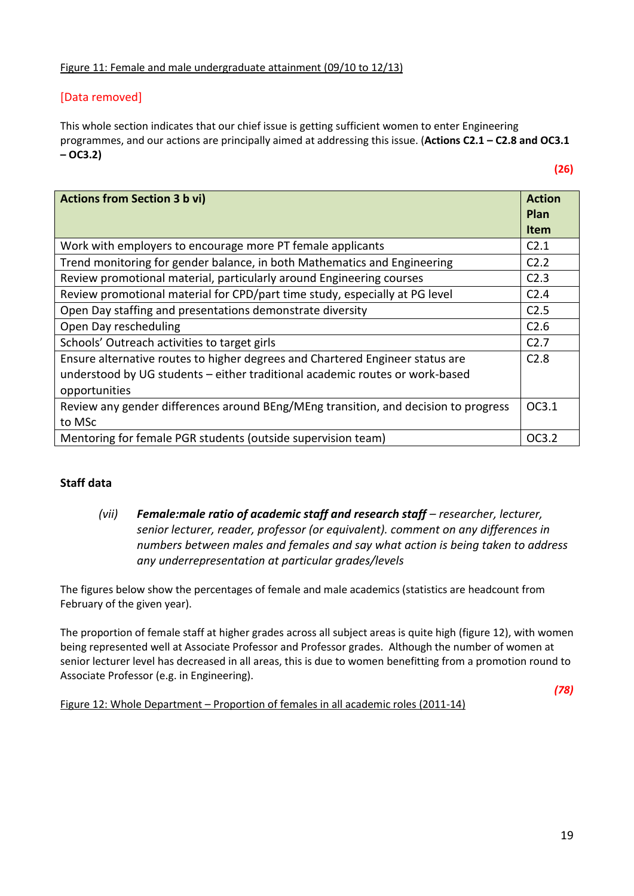## Figure 11: Female and male undergraduate attainment (09/10 to 12/13)

## [Data removed]

This whole section indicates that our chief issue is getting sufficient women to enter Engineering programmes, and our actions are principally aimed at addressing this issue. (**Actions C2.1 – C2.8 and OC3.1 – OC3.2)**

| <b>Actions from Section 3 b vi)</b>                                                 | <b>Action</b>    |
|-------------------------------------------------------------------------------------|------------------|
|                                                                                     | Plan             |
|                                                                                     | <b>Item</b>      |
| Work with employers to encourage more PT female applicants                          | C <sub>2.1</sub> |
| Trend monitoring for gender balance, in both Mathematics and Engineering            | C <sub>2.2</sub> |
| Review promotional material, particularly around Engineering courses                | C <sub>2.3</sub> |
| Review promotional material for CPD/part time study, especially at PG level         | C <sub>2.4</sub> |
| Open Day staffing and presentations demonstrate diversity                           | C <sub>2.5</sub> |
| Open Day rescheduling                                                               | C <sub>2.6</sub> |
| Schools' Outreach activities to target girls                                        | C <sub>2.7</sub> |
| Ensure alternative routes to higher degrees and Chartered Engineer status are       | C <sub>2.8</sub> |
| understood by UG students - either traditional academic routes or work-based        |                  |
| opportunities                                                                       |                  |
| Review any gender differences around BEng/MEng transition, and decision to progress | OC3.1            |
| to MSc                                                                              |                  |
| Mentoring for female PGR students (outside supervision team)                        | OC3.2            |

## **Staff data**

*(vii) Female:male ratio of academic staff and research staff – researcher, lecturer, senior lecturer, reader, professor (or equivalent). comment on any differences in numbers between males and females and say what action is being taken to address any underrepresentation at particular grades/levels* 

The figures below show the percentages of female and male academics (statistics are headcount from February of the given year).

The proportion of female staff at higher grades across all subject areas is quite high (figure 12), with women being represented well at Associate Professor and Professor grades. Although the number of women at senior lecturer level has decreased in all areas, this is due to women benefitting from a promotion round to Associate Professor (e.g. in Engineering).

Figure 12: Whole Department – Proportion of females in all academic roles (2011-14)

*(78)*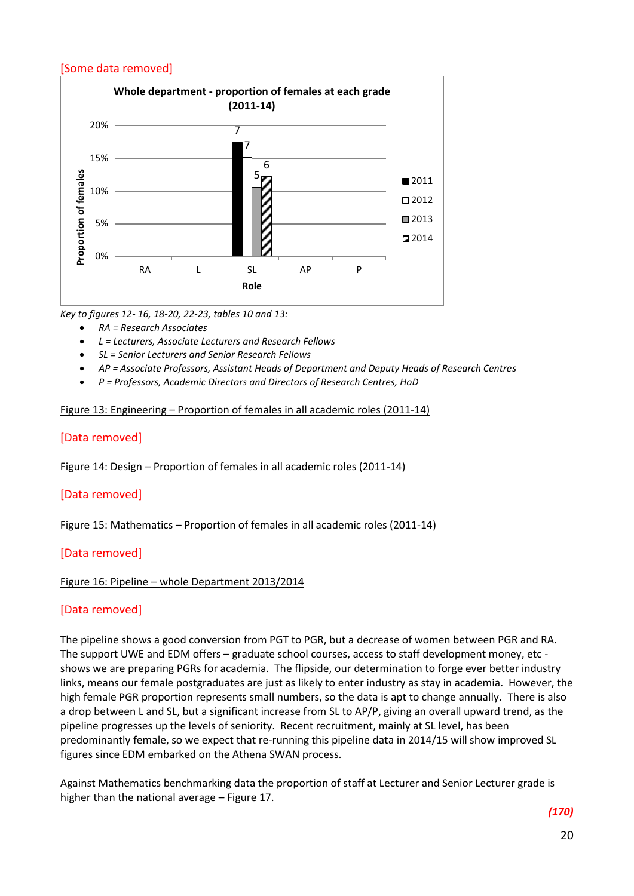## [Some data removed]



*Key to figures 12- 16, 18-20, 22-23, tables 10 and 13:*

- *RA = Research Associates*
- *L = Lecturers, Associate Lecturers and Research Fellows*
- *SL = Senior Lecturers and Senior Research Fellows*
- *AP = Associate Professors, Assistant Heads of Department and Deputy Heads of Research Centres*
- *P = Professors, Academic Directors and Directors of Research Centres, HoD*

#### Figure 13: Engineering – Proportion of females in all academic roles (2011-14)

#### [Data removed]

Figure 14: Design – Proportion of females in all academic roles (2011-14)

#### [Data removed]

#### Figure 15: Mathematics – Proportion of females in all academic roles (2011-14)

## [Data removed]

#### Figure 16: Pipeline – whole Department 2013/2014

## [Data removed]

The pipeline shows a good conversion from PGT to PGR, but a decrease of women between PGR and RA. The support UWE and EDM offers – graduate school courses, access to staff development money, etc shows we are preparing PGRs for academia. The flipside, our determination to forge ever better industry links, means our female postgraduates are just as likely to enter industry as stay in academia. However, the high female PGR proportion represents small numbers, so the data is apt to change annually. There is also a drop between L and SL, but a significant increase from SL to AP/P, giving an overall upward trend, as the pipeline progresses up the levels of seniority. Recent recruitment, mainly at SL level, has been predominantly female, so we expect that re-running this pipeline data in 2014/15 will show improved SL figures since EDM embarked on the Athena SWAN process.

Against Mathematics benchmarking data the proportion of staff at Lecturer and Senior Lecturer grade is higher than the national average – Figure 17.

*(170)*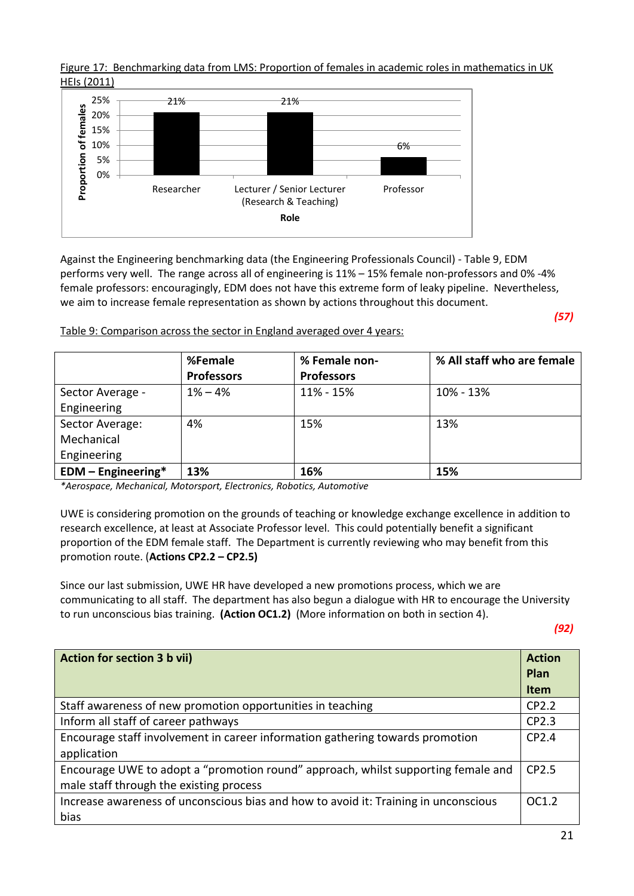Figure 17: Benchmarking data from LMS: Proportion of females in academic roles in mathematics in UK HEIs (2011)



Against the Engineering benchmarking data (the Engineering Professionals Council) - Table 9, EDM performs very well. The range across all of engineering is 11% – 15% female non-professors and 0% -4% female professors: encouragingly, EDM does not have this extreme form of leaky pipeline. Nevertheless, we aim to increase female representation as shown by actions throughout this document.

*(57)*

Table 9: Comparison across the sector in England averaged over 4 years:

|                      | %Female<br><b>Professors</b> | % Female non-<br><b>Professors</b> | % All staff who are female |
|----------------------|------------------------------|------------------------------------|----------------------------|
| Sector Average -     | $1\% - 4\%$                  | 11% - 15%                          | 10% - 13%                  |
| Engineering          |                              |                                    |                            |
| Sector Average:      | 4%                           | 15%                                | 13%                        |
| Mechanical           |                              |                                    |                            |
| Engineering          |                              |                                    |                            |
| $EDM - Engineering*$ | 13%                          | 16%                                | 15%                        |

*\*Aerospace, Mechanical, Motorsport, Electronics, Robotics, Automotive*

UWE is considering promotion on the grounds of teaching or knowledge exchange excellence in addition to research excellence, at least at Associate Professor level. This could potentially benefit a significant proportion of the EDM female staff. The Department is currently reviewing who may benefit from this promotion route. (**Actions CP2.2 – CP2.5)**

Since our last submission, UWE HR have developed a new promotions process, which we are communicating to all staff. The department has also begun a dialogue with HR to encourage the University to run unconscious bias training. **(Action OC1.2)** (More information on both in section 4).

*(92)*

| <b>Action for section 3 b vii)</b>                                                                                           | <b>Action</b><br>Plan<br><b>Item</b> |
|------------------------------------------------------------------------------------------------------------------------------|--------------------------------------|
| Staff awareness of new promotion opportunities in teaching                                                                   | CP <sub>2.2</sub>                    |
| Inform all staff of career pathways                                                                                          | CP2.3                                |
| Encourage staff involvement in career information gathering towards promotion<br>application                                 | CP <sub>2.4</sub>                    |
| Encourage UWE to adopt a "promotion round" approach, whilst supporting female and<br>male staff through the existing process | CP2.5                                |
| Increase awareness of unconscious bias and how to avoid it: Training in unconscious<br>bias                                  | OC1.2                                |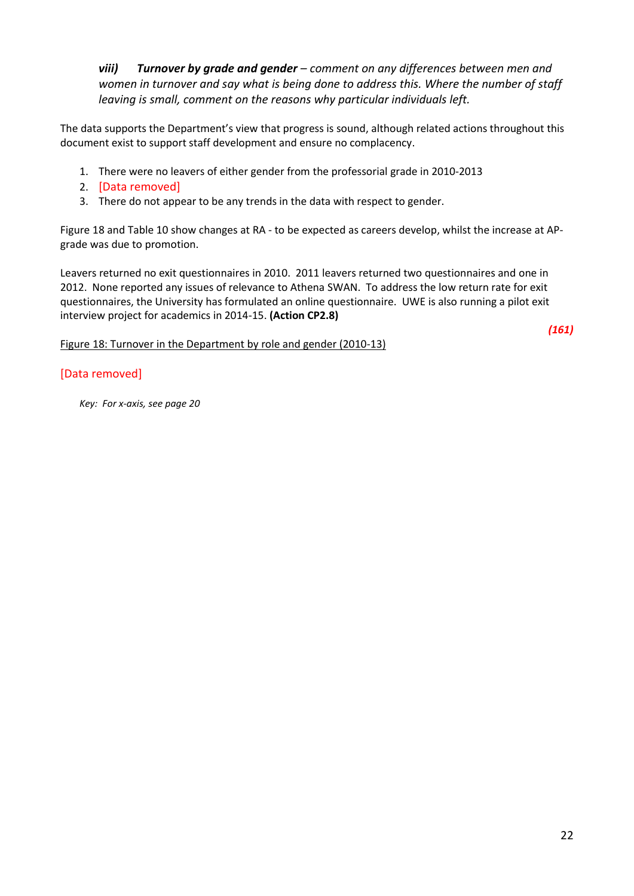*viii) Turnover by grade and gender – comment on any differences between men and women in turnover and say what is being done to address this. Where the number of staff leaving is small, comment on the reasons why particular individuals left.*

The data supports the Department's view that progress is sound, although related actions throughout this document exist to support staff development and ensure no complacency.

- 1. There were no leavers of either gender from the professorial grade in 2010-2013
- 2. [Data removed]
- 3. There do not appear to be any trends in the data with respect to gender.

Figure 18 and Table 10 show changes at RA - to be expected as careers develop, whilst the increase at APgrade was due to promotion.

Leavers returned no exit questionnaires in 2010. 2011 leavers returned two questionnaires and one in 2012. None reported any issues of relevance to Athena SWAN. To address the low return rate for exit questionnaires, the University has formulated an online questionnaire. UWE is also running a pilot exit interview project for academics in 2014-15. **(Action CP2.8)**

Figure 18: Turnover in the Department by role and gender (2010-13)

## [Data removed]

*Key: For x-axis, see page 20*

*(161)*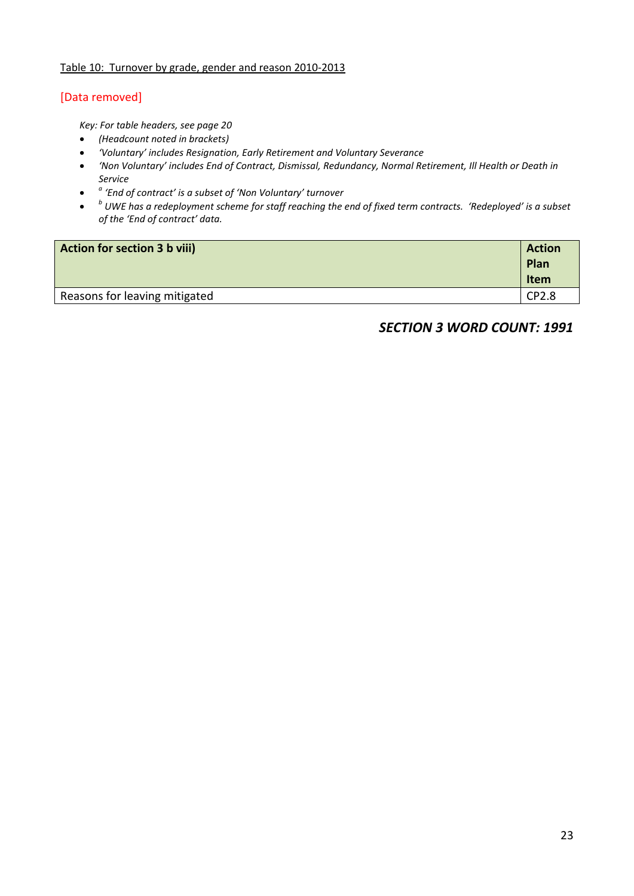#### Table 10: Turnover by grade, gender and reason 2010-2013

## [Data removed]

*Key: For table headers, see page 20*

- *(Headcount noted in brackets)*
- *'Voluntary' includes Resignation, Early Retirement and Voluntary Severance*
- *'Non Voluntary' includes End of Contract, Dismissal, Redundancy, Normal Retirement, Ill Health or Death in Service*
- $\bullet$ *a 'End of contract' is a subset of 'Non Voluntary' turnover*
- $\bullet$ *b UWE has a redeployment scheme for staff reaching the end of fixed term contracts. 'Redeployed' is a subset of the 'End of contract' data.*

| <b>Action for section 3 b viii)</b> | <b>Action</b><br>Plan<br>Item |
|-------------------------------------|-------------------------------|
| Reasons for leaving mitigated       | CP2.8                         |

## *SECTION 3 WORD COUNT: 1991*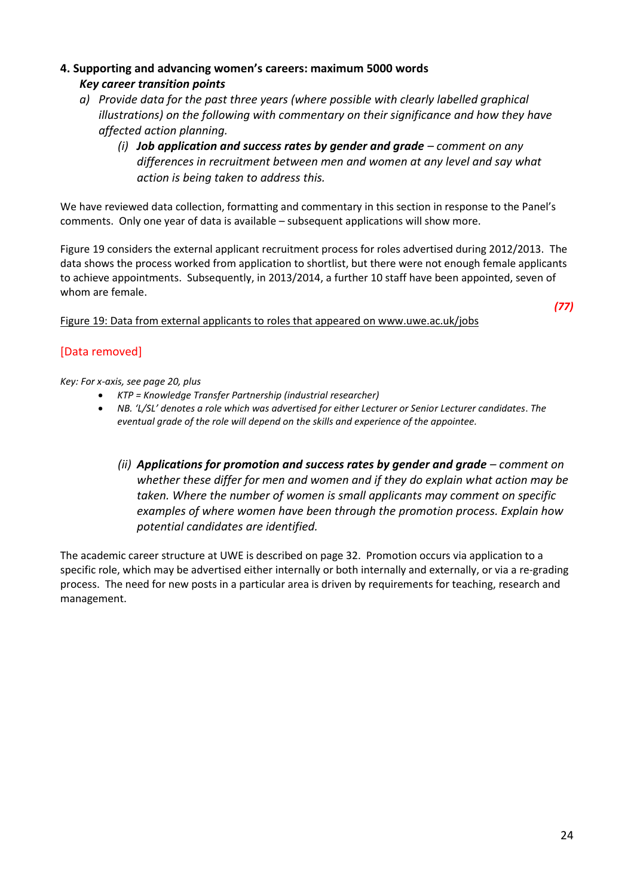## **4. Supporting and advancing women's careers: maximum 5000 words** *Key career transition points*

- *a) Provide data for the past three years (where possible with clearly labelled graphical illustrations) on the following with commentary on their significance and how they have affected action planning.* 
	- *(i) Job application and success rates by gender and grade – comment on any differences in recruitment between men and women at any level and say what action is being taken to address this.*

We have reviewed data collection, formatting and commentary in this section in response to the Panel's comments. Only one year of data is available – subsequent applications will show more.

Figure 19 considers the external applicant recruitment process for roles advertised during 2012/2013. The data shows the process worked from application to shortlist, but there were not enough female applicants to achieve appointments. Subsequently, in 2013/2014, a further 10 staff have been appointed, seven of whom are female.

Figure 19: Data from external applicants to roles that appeared on [www.uwe.ac.uk/jobs](http://www.uwe.ac.uk/jobs)

*(77)*

## [Data removed]

*Key: For x-axis, see page 20, plus*

- *KTP = Knowledge Transfer Partnership (industrial researcher)*
- *NB. 'L/SL' denotes a role which was advertised for either Lecturer or Senior Lecturer candidates*. *The eventual grade of the role will depend on the skills and experience of the appointee.*
	- *(ii) Applications for promotion and success rates by gender and grade – comment on whether these differ for men and women and if they do explain what action may be taken. Where the number of women is small applicants may comment on specific examples of where women have been through the promotion process. Explain how potential candidates are identified.*

The academic career structure at UWE is described on page 32. Promotion occurs via application to a specific role, which may be advertised either internally or both internally and externally, or via a re-grading process. The need for new posts in a particular area is driven by requirements for teaching, research and management.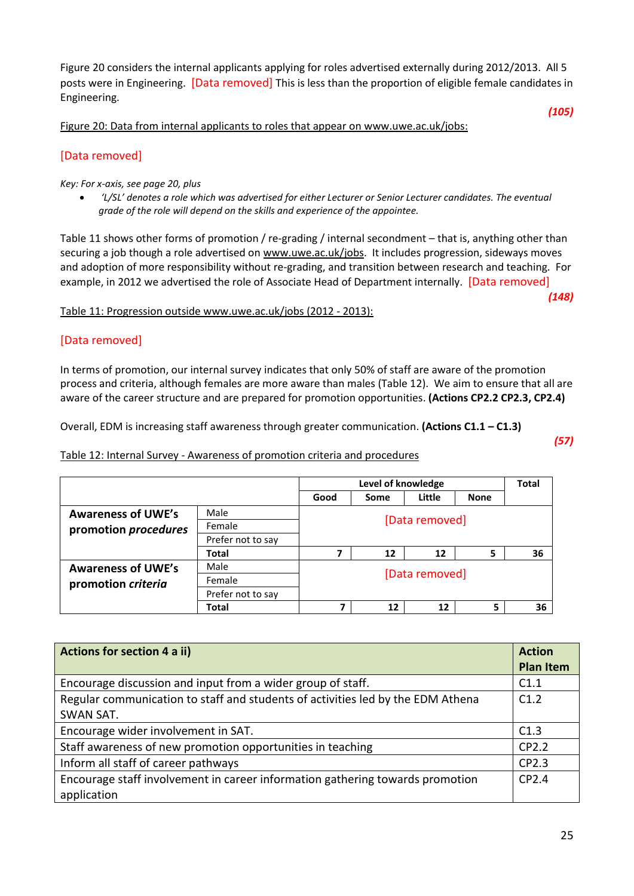Figure 20 considers the internal applicants applying for roles advertised externally during 2012/2013. All 5 posts were in Engineering. [Data removed] This is less than the proportion of eligible female candidates in Engineering.

Figure 20: Data from internal applicants to roles that appear on [www.uwe.ac.uk/jobs:](http://www.uwe.ac.uk/jobs)

*(105)*

## [Data removed]

#### *Key: For x-axis, see page 20, plus*

 *'L/SL' denotes a role which was advertised for either Lecturer or Senior Lecturer candidates. The eventual grade of the role will depend on the skills and experience of the appointee.*

Table 11 shows other forms of promotion / re-grading / internal secondment – that is, anything other than securing a job though a role advertised on [www.uwe.ac.uk/jobs.](http://www.uwe.ac.uk/jobs) It includes progression, sideways moves and adoption of more responsibility without re-grading, and transition between research and teaching. For example, in 2012 we advertised the role of Associate Head of Department internally. [Data removed]

## Table 11: Progression outside [www.uwe.ac.uk/jobs \(2012](http://www.uwe.ac.uk/jobs%20(2012) - 2013):

## [Data removed]

In terms of promotion, our internal survey indicates that only 50% of staff are aware of the promotion process and criteria, although females are more aware than males (Table 12). We aim to ensure that all are aware of the career structure and are prepared for promotion opportunities. **(Actions CP2.2 CP2.3, CP2.4)**

Overall, EDM is increasing staff awareness through greater communication. **(Actions C1.1 – C1.3)**

*(57)*

*(148)*

Table 12: Internal Survey - Awareness of promotion criteria and procedures

|                             |                   | Level of knowledge |      |        | <b>Total</b> |    |
|-----------------------------|-------------------|--------------------|------|--------|--------------|----|
|                             |                   | Good               | Some | Little | <b>None</b>  |    |
| <b>Awareness of UWE's</b>   | Male              |                    |      |        |              |    |
| promotion <i>procedures</i> | Female            | [Data removed]     |      |        |              |    |
|                             | Prefer not to say |                    |      |        |              |    |
|                             | Total             |                    | 12   | 12     | 5            | 36 |
| <b>Awareness of UWE's</b>   | Male              |                    |      |        |              |    |
| promotion criteria          | Female            | [Data removed]     |      |        |              |    |
|                             | Prefer not to say |                    |      |        |              |    |
|                             | Total             | ⇁                  | 12   | 12     | 5            | 36 |

| <b>Actions for section 4 a ii)</b>                                              | <b>Action</b>    |
|---------------------------------------------------------------------------------|------------------|
|                                                                                 | <b>Plan Item</b> |
| Encourage discussion and input from a wider group of staff.                     | C1.1             |
| Regular communication to staff and students of activities led by the EDM Athena | C1.2             |
| SWAN SAT.                                                                       |                  |
| Encourage wider involvement in SAT.                                             | C1.3             |
| Staff awareness of new promotion opportunities in teaching                      | CP2.2            |
| Inform all staff of career pathways                                             | CP2.3            |
| Encourage staff involvement in career information gathering towards promotion   | CP2.4            |
| application                                                                     |                  |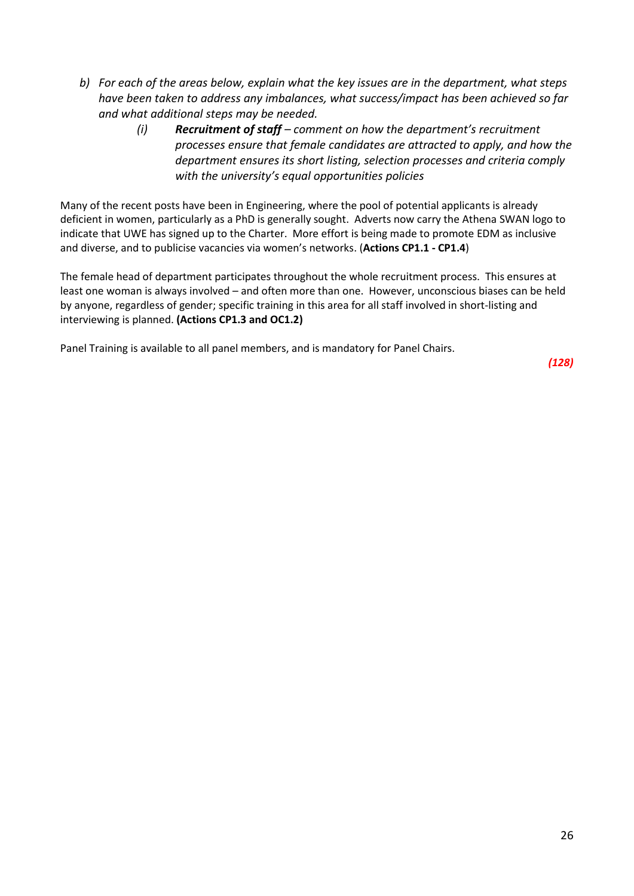- *b) For each of the areas below, explain what the key issues are in the department, what steps have been taken to address any imbalances, what success/impact has been achieved so far and what additional steps may be needed.*
	- *(i) Recruitment of staff – comment on how the department's recruitment processes ensure that female candidates are attracted to apply, and how the department ensures its short listing, selection processes and criteria comply with the university's equal opportunities policies*

Many of the recent posts have been in Engineering, where the pool of potential applicants is already deficient in women, particularly as a PhD is generally sought. Adverts now carry the Athena SWAN logo to indicate that UWE has signed up to the Charter. More effort is being made to promote EDM as inclusive and diverse, and to publicise vacancies via women's networks. (**Actions CP1.1 - CP1.4**)

The female head of department participates throughout the whole recruitment process. This ensures at least one woman is always involved – and often more than one. However, unconscious biases can be held by anyone, regardless of gender; specific training in this area for all staff involved in short-listing and interviewing is planned. **(Actions CP1.3 and OC1.2)**

Panel Training is available to all panel members, and is mandatory for Panel Chairs.

*(128)*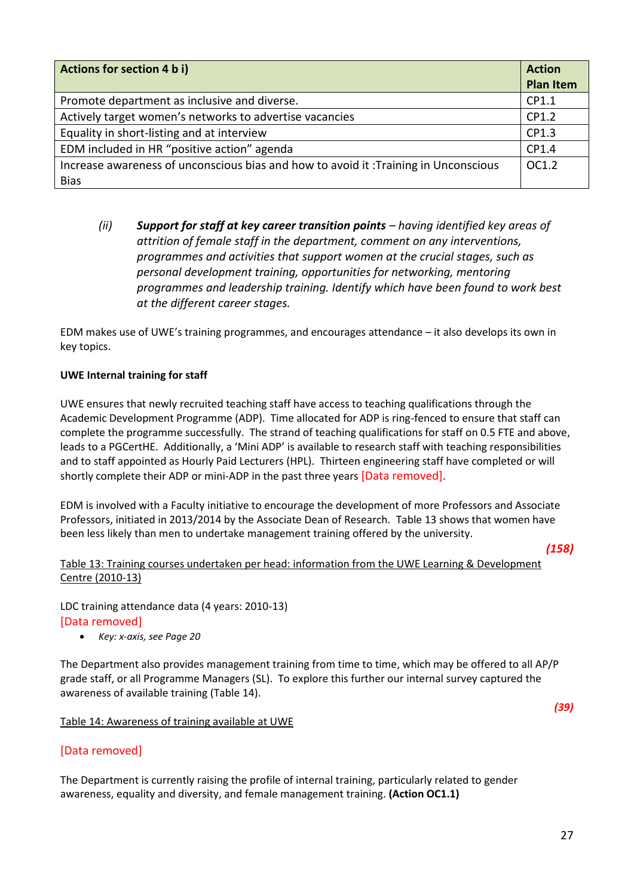| <b>Actions for section 4 b i)</b>                                                    | <b>Action</b><br><b>Plan Item</b> |
|--------------------------------------------------------------------------------------|-----------------------------------|
| Promote department as inclusive and diverse.                                         | CP1.1                             |
| Actively target women's networks to advertise vacancies                              | CP1.2                             |
| Equality in short-listing and at interview                                           | CP1.3                             |
| EDM included in HR "positive action" agenda                                          | CP1.4                             |
| Increase awareness of unconscious bias and how to avoid it : Training in Unconscious | OC1.2                             |
| <b>Bias</b>                                                                          |                                   |

*(ii) Support for staff at key career transition points – having identified key areas of attrition of female staff in the department, comment on any interventions, programmes and activities that support women at the crucial stages, such as personal development training, opportunities for networking, mentoring programmes and leadership training. Identify which have been found to work best at the different career stages.*

EDM makes use of UWE's training programmes, and encourages attendance – it also develops its own in key topics.

## **UWE Internal training for staff**

UWE ensures that newly recruited teaching staff have access to teaching qualifications through the Academic Development Programme (ADP). Time allocated for ADP is ring-fenced to ensure that staff can complete the programme successfully. The strand of teaching qualifications for staff on 0.5 FTE and above, leads to a PGCertHE. Additionally, a 'Mini ADP' is available to research staff with teaching responsibilities and to staff appointed as Hourly Paid Lecturers (HPL). Thirteen engineering staff have completed or will shortly complete their ADP or mini-ADP in the past three years [Data removed].

EDM is involved with a Faculty initiative to encourage the development of more Professors and Associate Professors, initiated in 2013/2014 by the Associate Dean of Research. Table 13 shows that women have been less likely than men to undertake management training offered by the university.

*(158)*

Table 13: Training courses undertaken per head: information from the UWE Learning & Development Centre (2010-13)

LDC training attendance data (4 years: 2010-13) [Data removed]

*Key: x-axis, see Page 20*

The Department also provides management training from time to time, which may be offered to all AP/P grade staff, or all Programme Managers (SL). To explore this further our internal survey captured the awareness of available training (Table 14).

Table 14: Awareness of training available at UWE

## [Data removed]

The Department is currently raising the profile of internal training, particularly related to gender awareness, equality and diversity, and female management training. **(Action OC1.1)**

*(39)*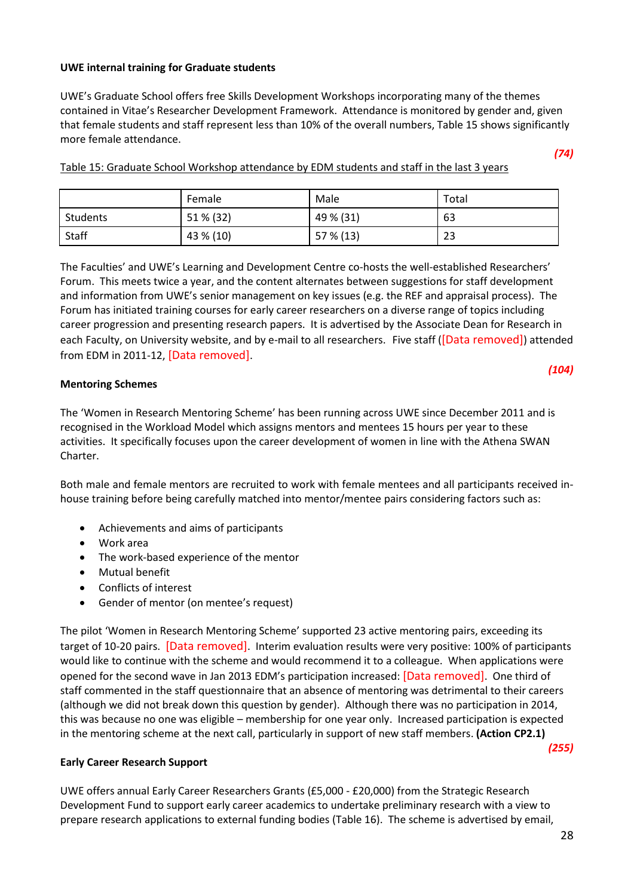#### **UWE internal training for Graduate students**

UWE's Graduate School offers free Skills Development Workshops incorporating many of the themes contained in Vitae's Researcher Development Framework. Attendance is monitored by gender and, given that female students and staff represent less than 10% of the overall numbers, Table 15 shows significantly more female attendance.

|          | Female    | Male      | Total |
|----------|-----------|-----------|-------|
| Students | 51 % (32) | 49 % (31) | 63    |
| Staff    | 43 % (10) | 57 % (13) | 23    |

Table 15: Graduate School Workshop attendance by EDM students and staff in the last 3 years

The Faculties' and UWE's Learning and Development Centre co-hosts the well-established Researchers' Forum. This meets twice a year, and the content alternates between suggestions for staff development and information from UWE's senior management on key issues (e.g. the REF and appraisal process). The Forum has initiated training courses for early career researchers on a diverse range of topics including career progression and presenting research papers. It is advertised by the Associate Dean for Research in each Faculty, on University website, and by e-mail to all researchers. Five staff ([Data removed]) attended from EDM in 2011-12, [Data removed].

#### **Mentoring Schemes**

The 'Women in Research Mentoring Scheme' has been running across UWE since December 2011 and is recognised in the Workload Model which assigns mentors and mentees 15 hours per year to these activities. It specifically focuses upon the career development of women in line with the Athena SWAN Charter.

Both male and female mentors are recruited to work with female mentees and all participants received inhouse training before being carefully matched into mentor/mentee pairs considering factors such as:

- Achievements and aims of participants
- Work area
- The work-based experience of the mentor
- Mutual benefit
- Conflicts of interest
- Gender of mentor (on mentee's request)

The pilot 'Women in Research Mentoring Scheme' supported 23 active mentoring pairs, exceeding its target of 10-20 pairs. [Data removed]. Interim evaluation results were very positive: 100% of participants would like to continue with the scheme and would recommend it to a colleague. When applications were opened for the second wave in Jan 2013 EDM's participation increased: [Data removed]. One third of staff commented in the staff questionnaire that an absence of mentoring was detrimental to their careers (although we did not break down this question by gender). Although there was no participation in 2014, this was because no one was eligible – membership for one year only. Increased participation is expected in the mentoring scheme at the next call, particularly in support of new staff members. **(Action CP2.1)**

#### **Early Career Research Support**

UWE offers annual Early Career Researchers Grants (£5,000 - £20,000) from the Strategic Research Development Fund to support early career academics to undertake preliminary research with a view to prepare research applications to external funding bodies (Table 16). The scheme is advertised by email,

*(255)*

*(74)*

*(104)*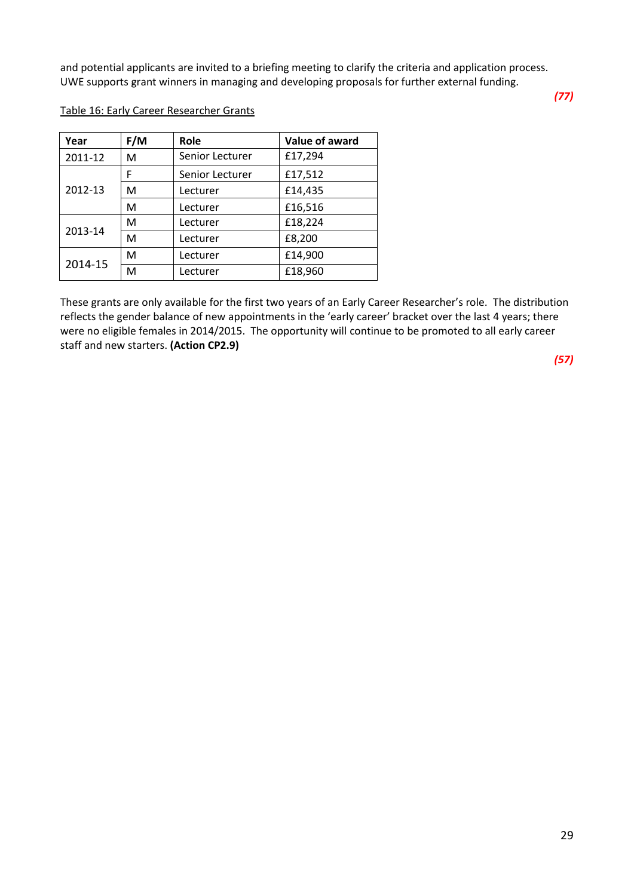and potential applicants are invited to a briefing meeting to clarify the criteria and application process. UWE supports grant winners in managing and developing proposals for further external funding.

#### Table 16: Early Career Researcher Grants

| Year    | F/M | Role            | Value of award |
|---------|-----|-----------------|----------------|
| 2011-12 | м   | Senior Lecturer | £17,294        |
|         | F   | Senior Lecturer | £17,512        |
| 2012-13 | M   | Lecturer        | £14,435        |
|         | M   | Lecturer        | £16,516        |
|         | м   | Lecturer        | £18,224        |
| 2013-14 | м   | Lecturer        | £8,200         |
|         | M   | Lecturer        | £14,900        |
| 2014-15 | м   | Lecturer        | £18,960        |

These grants are only available for the first two years of an Early Career Researcher's role. The distribution reflects the gender balance of new appointments in the 'early career' bracket over the last 4 years; there were no eligible females in 2014/2015. The opportunity will continue to be promoted to all early career staff and new starters. **(Action CP2.9)**

*(57)*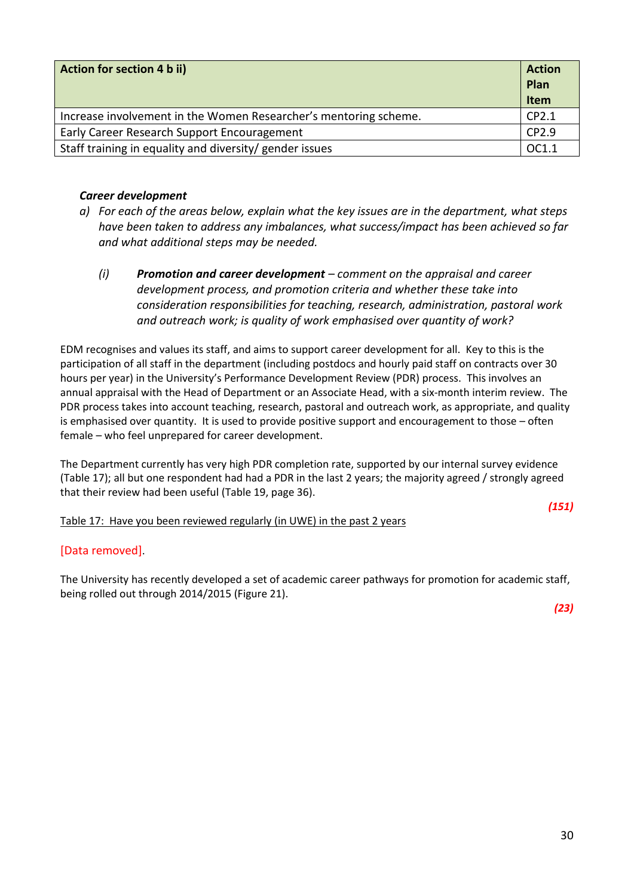| Action for section 4 b ii)                                       | <b>Action</b><br>Plan<br><b>Item</b> |
|------------------------------------------------------------------|--------------------------------------|
| Increase involvement in the Women Researcher's mentoring scheme. | CP2.1                                |
| Early Career Research Support Encouragement                      | CP2.9                                |
| Staff training in equality and diversity/ gender issues          | OC1.1                                |

## *Career development*

- *a) For each of the areas below, explain what the key issues are in the department, what steps have been taken to address any imbalances, what success/impact has been achieved so far and what additional steps may be needed.*
	- *(i) Promotion and career development – comment on the appraisal and career development process, and promotion criteria and whether these take into consideration responsibilities for teaching, research, administration, pastoral work and outreach work; is quality of work emphasised over quantity of work?*

EDM recognises and values its staff, and aims to support career development for all. Key to this is the participation of all staff in the department (including postdocs and hourly paid staff on contracts over 30 hours per year) in the University's Performance Development Review (PDR) process. This involves an annual appraisal with the Head of Department or an Associate Head, with a six-month interim review. The PDR process takes into account teaching, research, pastoral and outreach work, as appropriate, and quality is emphasised over quantity. It is used to provide positive support and encouragement to those – often female – who feel unprepared for career development.

The Department currently has very high PDR completion rate, supported by our internal survey evidence (Table 17); all but one respondent had had a PDR in the last 2 years; the majority agreed / strongly agreed that their review had been useful (Table 19, page 36).

*(151)*

Table 17: Have you been reviewed regularly (in UWE) in the past 2 years

## [Data removed].

The University has recently developed a set of academic career pathways for promotion for academic staff, being rolled out through 2014/2015 (Figure 21).

*(23)*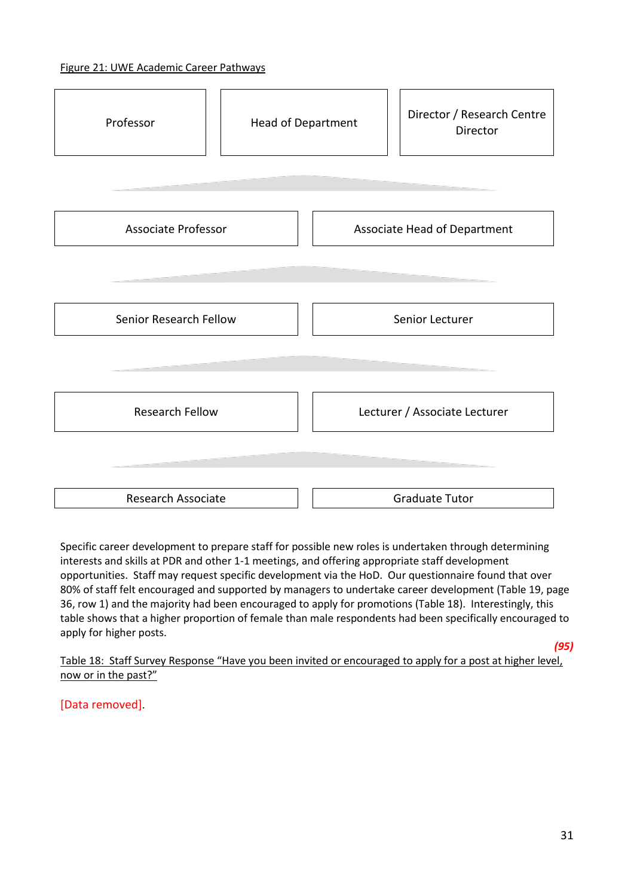

Specific career development to prepare staff for possible new roles is undertaken through determining interests and skills at PDR and other 1-1 meetings, and offering appropriate staff development opportunities. Staff may request specific development via the HoD. Our questionnaire found that over 80% of staff felt encouraged and supported by managers to undertake career development (Table 19, page 36, row 1) and the majority had been encouraged to apply for promotions (Table 18). Interestingly, this table shows that a higher proportion of female than male respondents had been specifically encouraged to apply for higher posts.

*(95)*

Table 18: Staff Survey Response "Have you been invited or encouraged to apply for a post at higher level, now or in the past?"

[Data removed].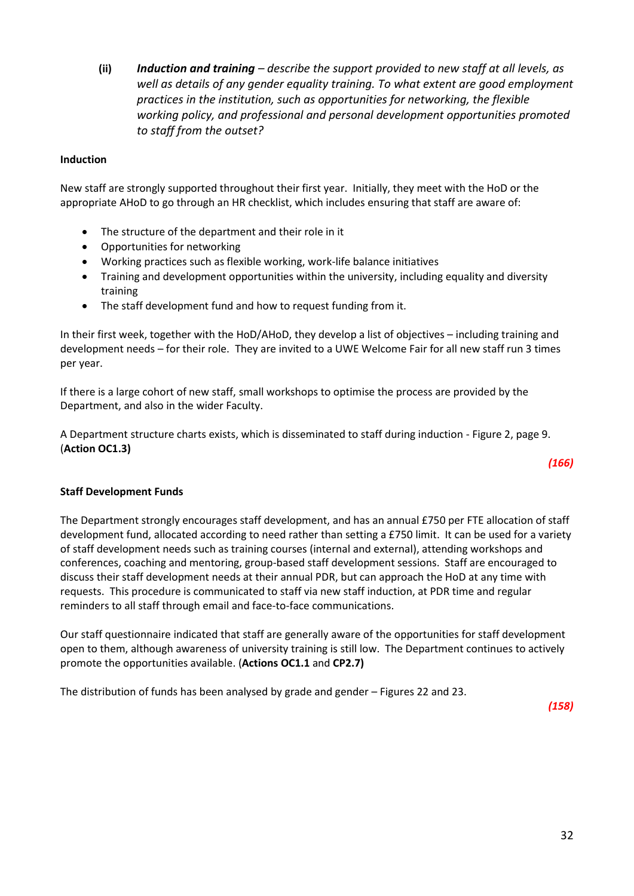**(ii)** *Induction and training – describe the support provided to new staff at all levels, as well as details of any gender equality training. To what extent are good employment practices in the institution, such as opportunities for networking, the flexible working policy, and professional and personal development opportunities promoted to staff from the outset?*

#### **Induction**

New staff are strongly supported throughout their first year. Initially, they meet with the HoD or the appropriate AHoD to go through an HR checklist, which includes ensuring that staff are aware of:

- The structure of the department and their role in it
- Opportunities for networking
- Working practices such as flexible working, work-life balance initiatives
- Training and development opportunities within the university, including equality and diversity training
- The staff development fund and how to request funding from it.

In their first week, together with the HoD/AHoD, they develop a list of objectives – including training and development needs – for their role. They are invited to a UWE Welcome Fair for all new staff run 3 times per year.

If there is a large cohort of new staff, small workshops to optimise the process are provided by the Department, and also in the wider Faculty.

A Department structure charts exists, which is disseminated to staff during induction - Figure 2, page 9. (**Action OC1.3)**

*(166)*

#### **Staff Development Funds**

The Department strongly encourages staff development, and has an annual £750 per FTE allocation of staff development fund, allocated according to need rather than setting a £750 limit. It can be used for a variety of staff development needs such as training courses (internal and external), attending workshops and conferences, coaching and mentoring, group-based staff development sessions. Staff are encouraged to discuss their staff development needs at their annual PDR, but can approach the HoD at any time with requests. This procedure is communicated to staff via new staff induction, at PDR time and regular reminders to all staff through email and face-to-face communications.

Our staff questionnaire indicated that staff are generally aware of the opportunities for staff development open to them, although awareness of university training is still low. The Department continues to actively promote the opportunities available. (**Actions OC1.1** and **CP2.7)**

The distribution of funds has been analysed by grade and gender – Figures 22 and 23.

*(158)*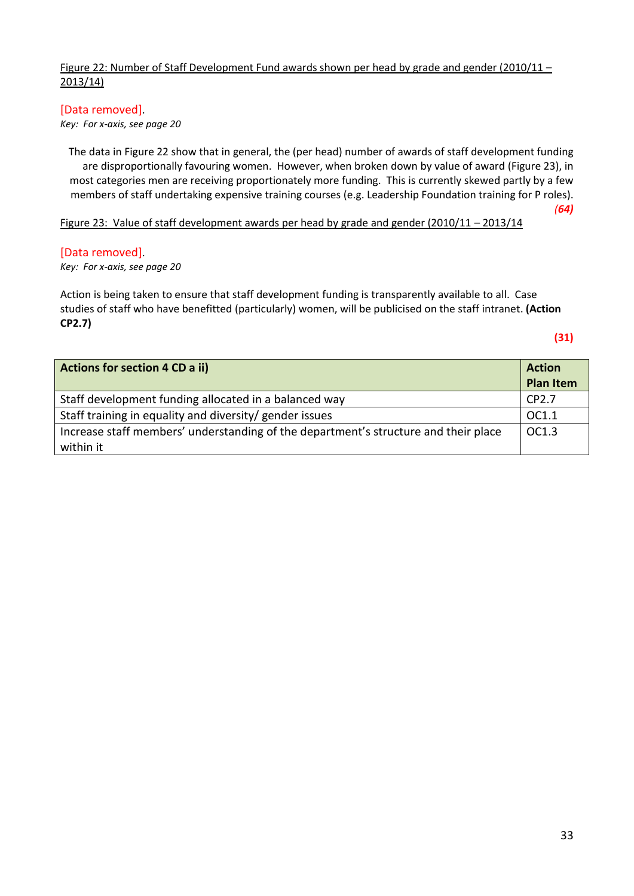## Figure 22: Number of Staff Development Fund awards shown per head by grade and gender (2010/11 – 2013/14)

## [Data removed].

*Key: For x-axis, see page 20*

The data in Figure 22 show that in general, the (per head) number of awards of staff development funding are disproportionally favouring women. However, when broken down by value of award (Figure 23), in most categories men are receiving proportionately more funding. This is currently skewed partly by a few members of staff undertaking expensive training courses (e.g. Leadership Foundation training for P roles).

*(64)*

Figure 23: Value of staff development awards per head by grade and gender (2010/11 – 2013/14

#### [Data removed].

*Key: For x-axis, see page 20*

Action is being taken to ensure that staff development funding is transparently available to all. Case studies of staff who have benefitted (particularly) women, will be publicised on the staff intranet. **(Action CP2.7)**

**(31)**

| <b>Actions for section 4 CD a ii)</b>                                               | <b>Action</b>    |
|-------------------------------------------------------------------------------------|------------------|
|                                                                                     | <b>Plan Item</b> |
| Staff development funding allocated in a balanced way                               | CP2.7            |
| Staff training in equality and diversity/ gender issues                             | OC1.1            |
| Increase staff members' understanding of the department's structure and their place | OC1.3            |
| within it                                                                           |                  |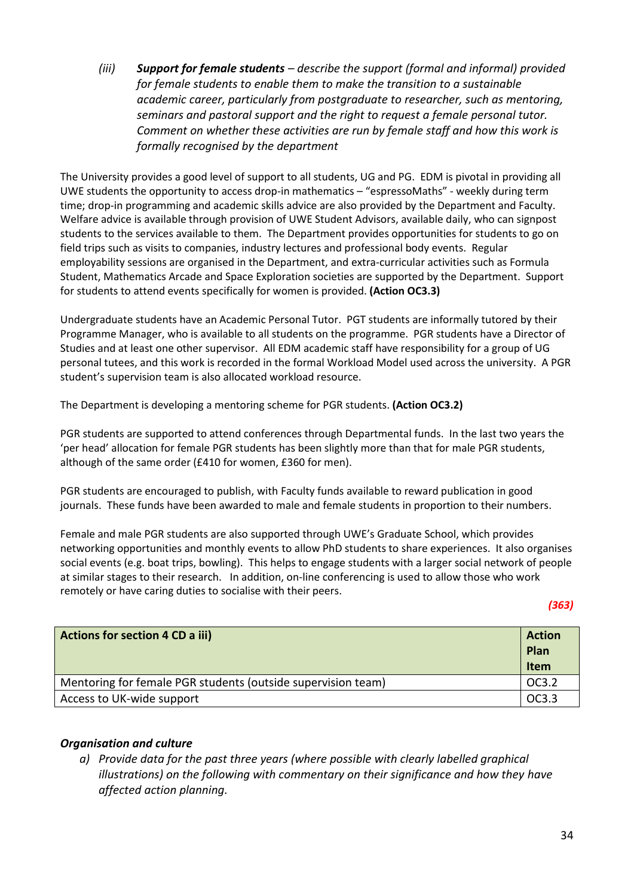*(iii) Support for female students – describe the support (formal and informal) provided for female students to enable them to make the transition to a sustainable academic career, particularly from postgraduate to researcher, such as mentoring, seminars and pastoral support and the right to request a female personal tutor. Comment on whether these activities are run by female staff and how this work is formally recognised by the department*

The University provides a good level of support to all students, UG and PG. EDM is pivotal in providing all UWE students the opportunity to access drop-in mathematics – "espressoMaths" - weekly during term time; drop-in programming and academic skills advice are also provided by the Department and Faculty. Welfare advice is available through provision of UWE Student Advisors, available daily, who can signpost students to the services available to them. The Department provides opportunities for students to go on field trips such as visits to companies, industry lectures and professional body events. Regular employability sessions are organised in the Department, and extra-curricular activities such as Formula Student, Mathematics Arcade and Space Exploration societies are supported by the Department. Support for students to attend events specifically for women is provided. **(Action OC3.3)**

Undergraduate students have an Academic Personal Tutor. PGT students are informally tutored by their Programme Manager, who is available to all students on the programme. PGR students have a Director of Studies and at least one other supervisor. All EDM academic staff have responsibility for a group of UG personal tutees, and this work is recorded in the formal Workload Model used across the university. A PGR student's supervision team is also allocated workload resource.

The Department is developing a mentoring scheme for PGR students. **(Action OC3.2)**

PGR students are supported to attend conferences through Departmental funds. In the last two years the 'per head' allocation for female PGR students has been slightly more than that for male PGR students, although of the same order (£410 for women, £360 for men).

PGR students are encouraged to publish, with Faculty funds available to reward publication in good journals. These funds have been awarded to male and female students in proportion to their numbers.

Female and male PGR students are also supported through UWE's Graduate School, which provides networking opportunities and monthly events to allow PhD students to share experiences. It also organises social events (e.g. boat trips, bowling). This helps to engage students with a larger social network of people at similar stages to their research. In addition, on-line conferencing is used to allow those who work remotely or have caring duties to socialise with their peers.

| <b>Actions for section 4 CD a iii)</b>                       | <b>Action</b><br>Plan<br><b>Item</b> |
|--------------------------------------------------------------|--------------------------------------|
| Mentoring for female PGR students (outside supervision team) | OC3.2                                |
| Access to UK-wide support                                    | OC3.3                                |

## *Organisation and culture*

*a) Provide data for the past three years (where possible with clearly labelled graphical illustrations) on the following with commentary on their significance and how they have affected action planning.*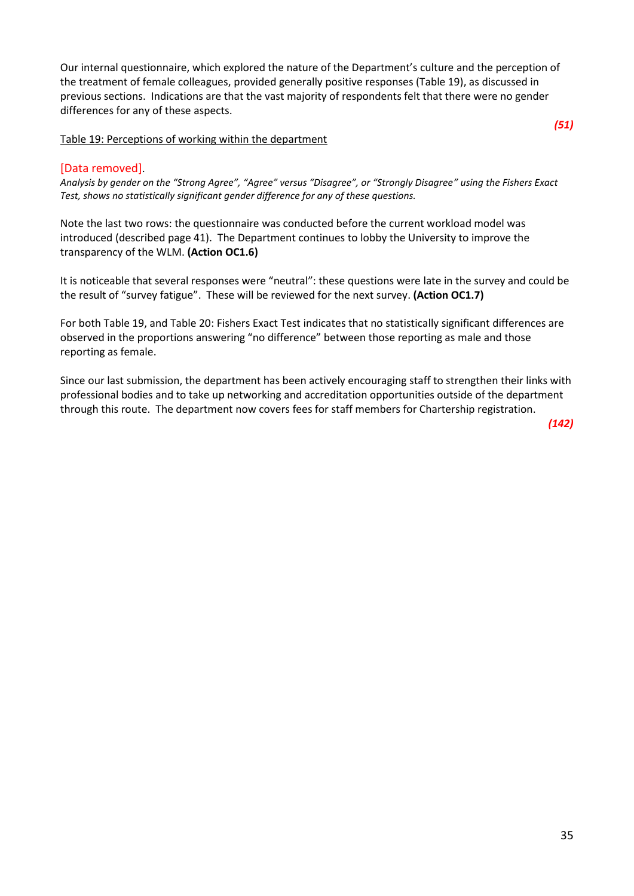Our internal questionnaire, which explored the nature of the Department's culture and the perception of the treatment of female colleagues, provided generally positive responses (Table 19), as discussed in previous sections. Indications are that the vast majority of respondents felt that there were no gender differences for any of these aspects.

Table 19: Perceptions of working within the department

## [Data removed].

*Analysis by gender on the "Strong Agree", "Agree" versus "Disagree", or "Strongly Disagree" using the Fishers Exact Test, shows no statistically significant gender difference for any of these questions.*

Note the last two rows: the questionnaire was conducted before the current workload model was introduced (described page 41). The Department continues to lobby the University to improve the transparency of the WLM. **(Action OC1.6)**

It is noticeable that several responses were "neutral": these questions were late in the survey and could be the result of "survey fatigue". These will be reviewed for the next survey. **(Action OC1.7)**

For both Table 19, and Table 20: Fishers Exact Test indicates that no statistically significant differences are observed in the proportions answering "no difference" between those reporting as male and those reporting as female.

Since our last submission, the department has been actively encouraging staff to strengthen their links with professional bodies and to take up networking and accreditation opportunities outside of the department through this route. The department now covers fees for staff members for Chartership registration.

*(142)*

*(51)*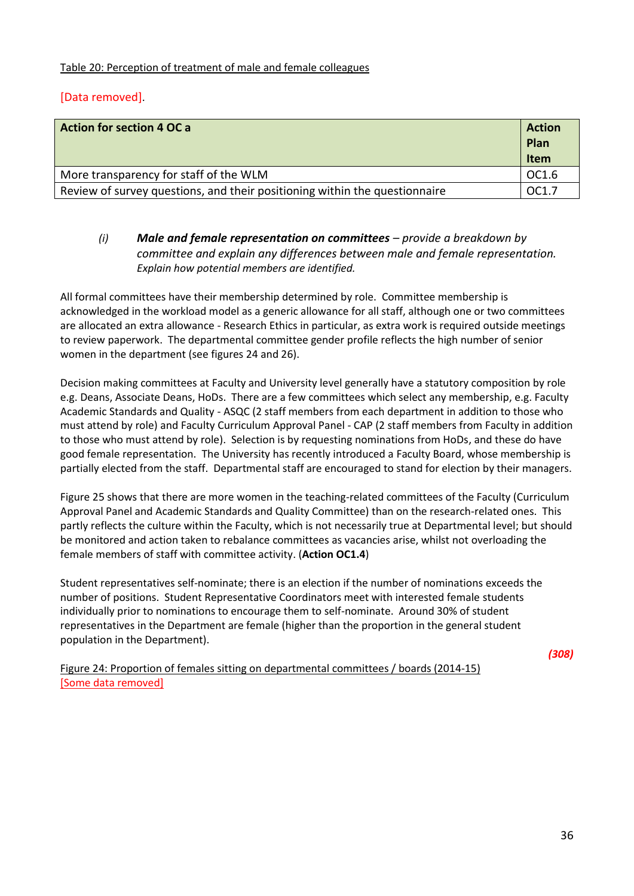## Table 20: Perception of treatment of male and female colleagues

## [Data removed].

| <b>Action for section 4 OC a</b>                                           | <b>Action</b><br>Plan<br><b>Item</b> |
|----------------------------------------------------------------------------|--------------------------------------|
| More transparency for staff of the WLM                                     | OC1.6                                |
| Review of survey questions, and their positioning within the questionnaire | OC1.7                                |

## *(i) Male and female representation on committees – provide a breakdown by committee and explain any differences between male and female representation. Explain how potential members are identified.*

All formal committees have their membership determined by role. Committee membership is acknowledged in the workload model as a generic allowance for all staff, although one or two committees are allocated an extra allowance - Research Ethics in particular, as extra work is required outside meetings to review paperwork. The departmental committee gender profile reflects the high number of senior women in the department (see figures 24 and 26).

Decision making committees at Faculty and University level generally have a statutory composition by role e.g. Deans, Associate Deans, HoDs. There are a few committees which select any membership, e.g. Faculty Academic Standards and Quality - ASQC (2 staff members from each department in addition to those who must attend by role) and Faculty Curriculum Approval Panel - CAP (2 staff members from Faculty in addition to those who must attend by role). Selection is by requesting nominations from HoDs, and these do have good female representation. The University has recently introduced a Faculty Board, whose membership is partially elected from the staff. Departmental staff are encouraged to stand for election by their managers.

Figure 25 shows that there are more women in the teaching-related committees of the Faculty (Curriculum Approval Panel and Academic Standards and Quality Committee) than on the research-related ones. This partly reflects the culture within the Faculty, which is not necessarily true at Departmental level; but should be monitored and action taken to rebalance committees as vacancies arise, whilst not overloading the female members of staff with committee activity. (**Action OC1.4**)

Student representatives self-nominate; there is an election if the number of nominations exceeds the number of positions. Student Representative Coordinators meet with interested female students individually prior to nominations to encourage them to self-nominate. Around 30% of student representatives in the Department are female (higher than the proportion in the general student population in the Department).

Figure 24: Proportion of females sitting on departmental committees / boards (2014-15) [Some data removed]

*(308)*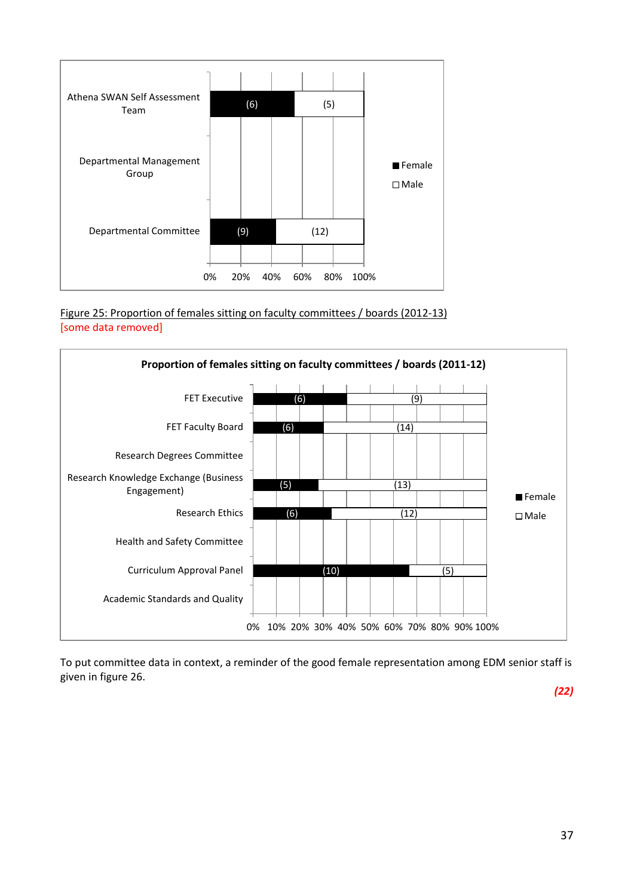

Figure 25: Proportion of females sitting on faculty committees / boards (2012-13) [some data removed]



To put committee data in context, a reminder of the good female representation among EDM senior staff is given in figure 26.

*(22)*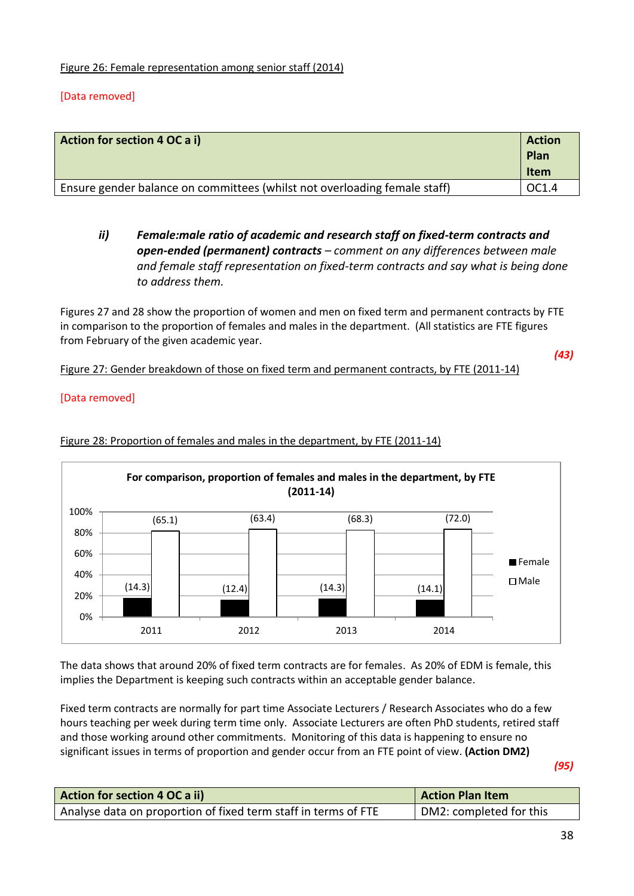## Figure 26: Female representation among senior staff (2014)

## [Data removed]

| Action for section 4 OC a i)                                              | <b>Action</b><br>Plan<br><b>Item</b> |
|---------------------------------------------------------------------------|--------------------------------------|
| Ensure gender balance on committees (whilst not overloading female staff) | OC1.4                                |

*ii) Female:male ratio of academic and research staff on fixed-term contracts and open-ended (permanent) contracts – comment on any differences between male and female staff representation on fixed-term contracts and say what is being done to address them.*

Figures 27 and 28 show the proportion of women and men on fixed term and permanent contracts by FTE in comparison to the proportion of females and males in the department. (All statistics are FTE figures from February of the given academic year.

Figure 27: Gender breakdown of those on fixed term and permanent contracts, by FTE (2011-14)

## [Data removed]



## Figure 28: Proportion of females and males in the department, by FTE (2011-14)

The data shows that around 20% of fixed term contracts are for females. As 20% of EDM is female, this implies the Department is keeping such contracts within an acceptable gender balance.

Fixed term contracts are normally for part time Associate Lecturers / Research Associates who do a few hours teaching per week during term time only. Associate Lecturers are often PhD students, retired staff and those working around other commitments. Monitoring of this data is happening to ensure no significant issues in terms of proportion and gender occur from an FTE point of view. **(Action DM2)**

*(95)*

*(43)*

| Action for section 4 OC a ii)                                  | <b>Action Plan Item</b> |
|----------------------------------------------------------------|-------------------------|
| Analyse data on proportion of fixed term staff in terms of FTE | DM2: completed for this |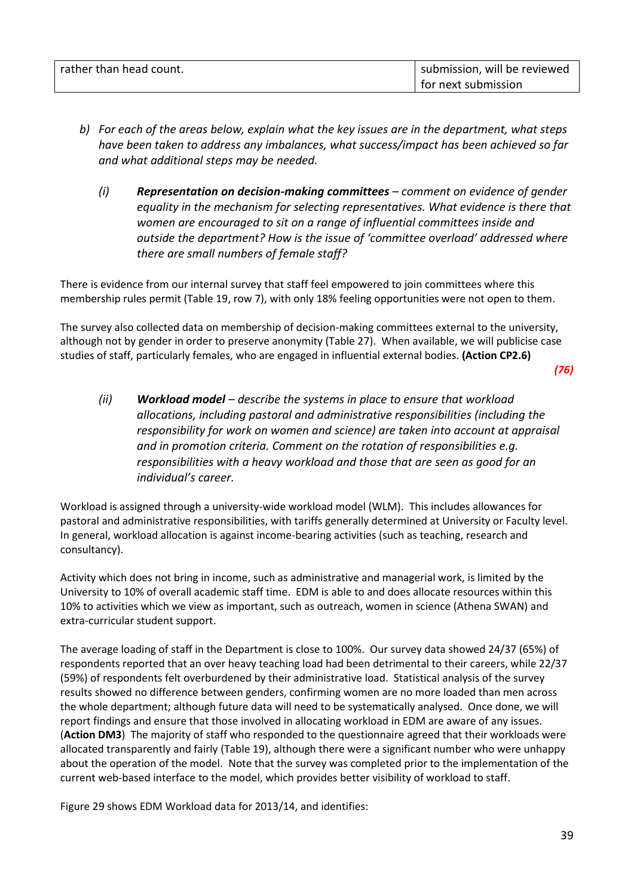| rather than head count. | submission, will be reviewed     |
|-------------------------|----------------------------------|
|                         | <sup>1</sup> for next submission |

- *b) For each of the areas below, explain what the key issues are in the department, what steps have been taken to address any imbalances, what success/impact has been achieved so far and what additional steps may be needed.*
	- *(i) Representation on decision-making committees – comment on evidence of gender equality in the mechanism for selecting representatives. What evidence is there that women are encouraged to sit on a range of influential committees inside and outside the department? How is the issue of 'committee overload' addressed where there are small numbers of female staff?*

There is evidence from our internal survey that staff feel empowered to join committees where this membership rules permit (Table 19, row 7), with only 18% feeling opportunities were not open to them.

The survey also collected data on membership of decision-making committees external to the university, although not by gender in order to preserve anonymity (Table 27). When available, we will publicise case studies of staff, particularly females, who are engaged in influential external bodies. **(Action CP2.6)**

*(76)*

*(ii) Workload model – describe the systems in place to ensure that workload allocations, including pastoral and administrative responsibilities (including the responsibility for work on women and science) are taken into account at appraisal and in promotion criteria. Comment on the rotation of responsibilities e.g. responsibilities with a heavy workload and those that are seen as good for an individual's career.*

Workload is assigned through a university-wide workload model (WLM). This includes allowances for pastoral and administrative responsibilities, with tariffs generally determined at University or Faculty level. In general, workload allocation is against income-bearing activities (such as teaching, research and consultancy).

Activity which does not bring in income, such as administrative and managerial work, is limited by the University to 10% of overall academic staff time. EDM is able to and does allocate resources within this 10% to activities which we view as important, such as outreach, women in science (Athena SWAN) and extra-curricular student support.

The average loading of staff in the Department is close to 100%. Our survey data showed 24/37 (65%) of respondents reported that an over heavy teaching load had been detrimental to their careers, while 22/37 (59%) of respondents felt overburdened by their administrative load. Statistical analysis of the survey results showed no difference between genders, confirming women are no more loaded than men across the whole department; although future data will need to be systematically analysed. Once done, we will report findings and ensure that those involved in allocating workload in EDM are aware of any issues. (**Action DM3**)The majority of staff who responded to the questionnaire agreed that their workloads were allocated transparently and fairly (Table 19), although there were a significant number who were unhappy about the operation of the model. Note that the survey was completed prior to the implementation of the current web-based interface to the model, which provides better visibility of workload to staff.

Figure 29 shows EDM Workload data for 2013/14, and identifies: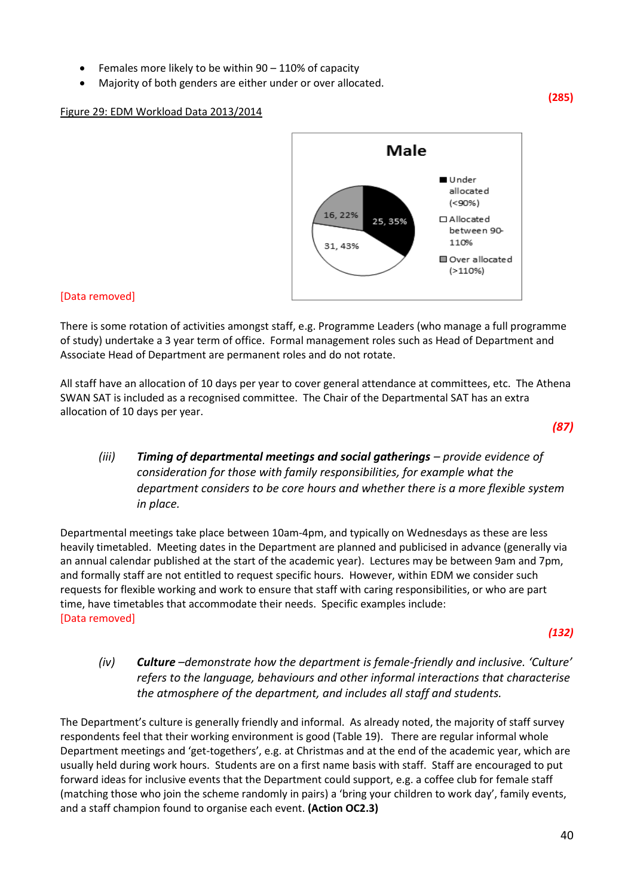- Females more likely to be within 90 110% of capacity
- Majority of both genders are either under or over allocated.

#### Figure 29: EDM Workload Data 2013/2014



#### [Data removed]

There is some rotation of activities amongst staff, e.g. Programme Leaders (who manage a full programme of study) undertake a 3 year term of office. Formal management roles such as Head of Department and Associate Head of Department are permanent roles and do not rotate.

All staff have an allocation of 10 days per year to cover general attendance at committees, etc. The Athena SWAN SAT is included as a recognised committee. The Chair of the Departmental SAT has an extra allocation of 10 days per year.

*(87)*

*(iii) Timing of departmental meetings and social gatherings – provide evidence of consideration for those with family responsibilities, for example what the department considers to be core hours and whether there is a more flexible system in place.*

Departmental meetings take place between 10am-4pm, and typically on Wednesdays as these are less heavily timetabled. Meeting dates in the Department are planned and publicised in advance (generally via an annual calendar published at the start of the academic year). Lectures may be between 9am and 7pm, and formally staff are not entitled to request specific hours. However, within EDM we consider such requests for flexible working and work to ensure that staff with caring responsibilities, or who are part time, have timetables that accommodate their needs. Specific examples include: [Data removed]

*(132)*

*(iv) Culture –demonstrate how the department is female-friendly and inclusive. 'Culture' refers to the language, behaviours and other informal interactions that characterise the atmosphere of the department, and includes all staff and students.* 

The Department's culture is generally friendly and informal. As already noted, the majority of staff survey respondents feel that their working environment is good (Table 19). There are regular informal whole Department meetings and 'get-togethers', e.g. at Christmas and at the end of the academic year, which are usually held during work hours. Students are on a first name basis with staff. Staff are encouraged to put forward ideas for inclusive events that the Department could support, e.g. a coffee club for female staff (matching those who join the scheme randomly in pairs) a 'bring your children to work day', family events, and a staff champion found to organise each event. **(Action OC2.3)**

**(285)**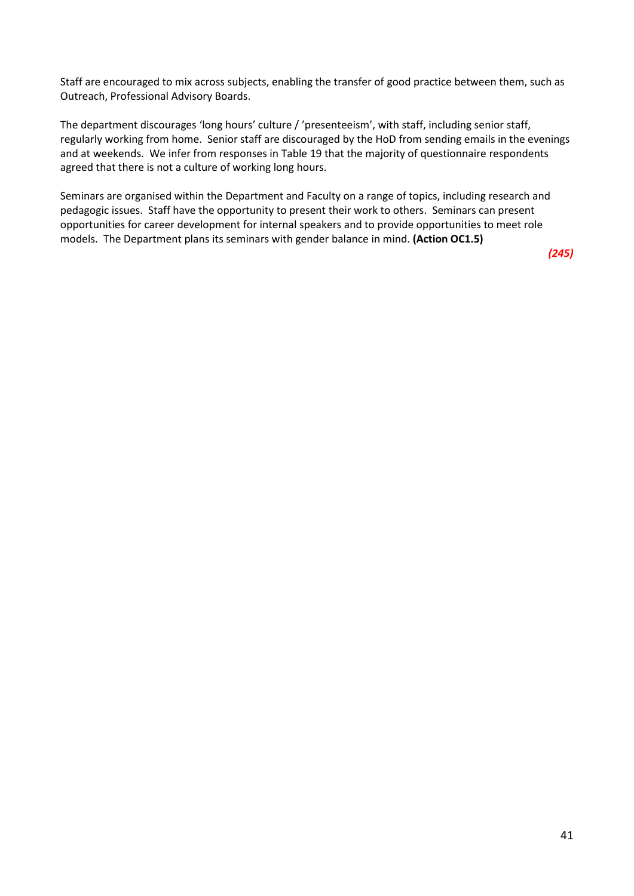Staff are encouraged to mix across subjects, enabling the transfer of good practice between them, such as Outreach, Professional Advisory Boards.

The department discourages 'long hours' culture / 'presenteeism', with staff, including senior staff, regularly working from home. Senior staff are discouraged by the HoD from sending emails in the evenings and at weekends. We infer from responses in Table 19 that the majority of questionnaire respondents agreed that there is not a culture of working long hours.

Seminars are organised within the Department and Faculty on a range of topics, including research and pedagogic issues. Staff have the opportunity to present their work to others. Seminars can present opportunities for career development for internal speakers and to provide opportunities to meet role models. The Department plans its seminars with gender balance in mind. **(Action OC1.5)**

*(245)*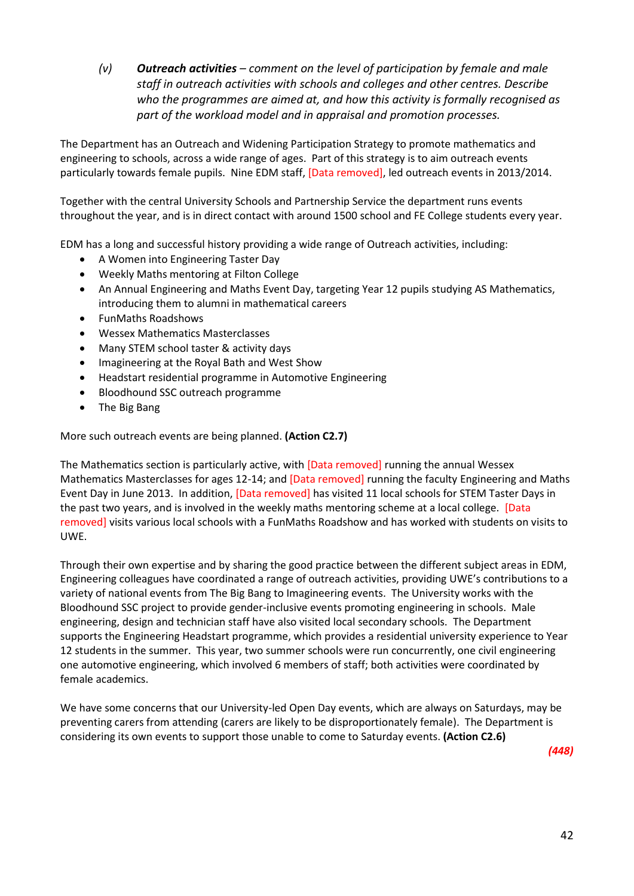*(v) Outreach activities – comment on the level of participation by female and male staff in outreach activities with schools and colleges and other centres. Describe who the programmes are aimed at, and how this activity is formally recognised as part of the workload model and in appraisal and promotion processes.*

The Department has an Outreach and Widening Participation Strategy to promote mathematics and engineering to schools, across a wide range of ages. Part of this strategy is to aim outreach events particularly towards female pupils. Nine EDM staff, [Data removed], led outreach events in 2013/2014.

Together with the central University Schools and Partnership Service the department runs events throughout the year, and is in direct contact with around 1500 school and FE College students every year.

EDM has a long and successful history providing a wide range of Outreach activities, including:

- A Women into Engineering Taster Day
- Weekly Maths mentoring at Filton College
- An Annual Engineering and Maths Event Day, targeting Year 12 pupils studying AS Mathematics, introducing them to alumni in mathematical careers
- FunMaths Roadshows
- Wessex Mathematics Masterclasses
- Many STEM school taster & activity days
- Imagineering at the Royal Bath and West Show
- Headstart residential programme in Automotive Engineering
- Bloodhound SSC outreach programme
- The Big Bang

More such outreach events are being planned. **(Action C2.7)**

The Mathematics section is particularly active, with [Data removed] running the annual Wessex Mathematics Masterclasses for ages 12-14; and [Data removed] running the faculty Engineering and Maths Event Day in June 2013. In addition, [Data removed] has visited 11 local schools for STEM Taster Days in the past two years, and is involved in the weekly maths mentoring scheme at a local college. [Data removed] visits various local schools with a FunMaths Roadshow and has worked with students on visits to UWE.

Through their own expertise and by sharing the good practice between the different subject areas in EDM, Engineering colleagues have coordinated a range of outreach activities, providing UWE's contributions to a variety of national events from The Big Bang to Imagineering events. The University works with the Bloodhound SSC project to provide gender-inclusive events promoting engineering in schools. Male engineering, design and technician staff have also visited local secondary schools. The Department supports the Engineering Headstart programme, which provides a residential university experience to Year 12 students in the summer. This year, two summer schools were run concurrently, one civil engineering one automotive engineering, which involved 6 members of staff; both activities were coordinated by female academics.

We have some concerns that our University-led Open Day events, which are always on Saturdays, may be preventing carers from attending (carers are likely to be disproportionately female). The Department is considering its own events to support those unable to come to Saturday events. **(Action C2.6)**

*(448)*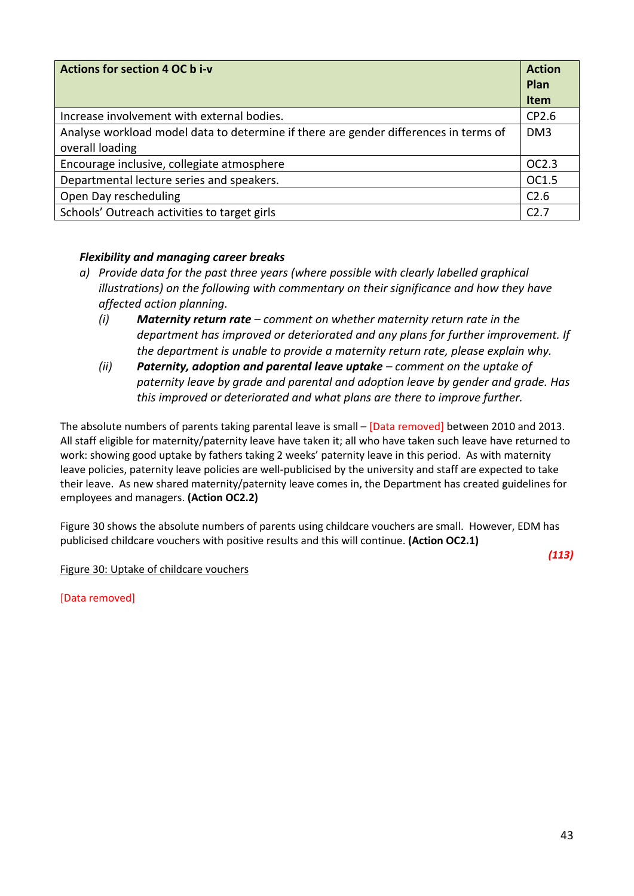| Actions for section 4 OC b i-v                                                                          | <b>Action</b><br><b>Plan</b><br><b>Item</b> |
|---------------------------------------------------------------------------------------------------------|---------------------------------------------|
| Increase involvement with external bodies.                                                              | CP2.6                                       |
| Analyse workload model data to determine if there are gender differences in terms of<br>overall loading | DM <sub>3</sub>                             |
| Encourage inclusive, collegiate atmosphere                                                              | OC2.3                                       |
| Departmental lecture series and speakers.                                                               | OC1.5                                       |
| Open Day rescheduling                                                                                   | C <sub>2.6</sub>                            |
| Schools' Outreach activities to target girls                                                            | C2.7                                        |

## *Flexibility and managing career breaks*

- *a) Provide data for the past three years (where possible with clearly labelled graphical illustrations) on the following with commentary on their significance and how they have affected action planning.* 
	- *(i) Maternity return rate – comment on whether maternity return rate in the department has improved or deteriorated and any plans for further improvement. If the department is unable to provide a maternity return rate, please explain why.*
	- *(ii) Paternity, adoption and parental leave uptake – comment on the uptake of paternity leave by grade and parental and adoption leave by gender and grade. Has this improved or deteriorated and what plans are there to improve further.*

The absolute numbers of parents taking parental leave is small – [Data removed] between 2010 and 2013. All staff eligible for maternity/paternity leave have taken it; all who have taken such leave have returned to work: showing good uptake by fathers taking 2 weeks' paternity leave in this period. As with maternity leave policies, paternity leave policies are well-publicised by the university and staff are expected to take their leave. As new shared maternity/paternity leave comes in, the Department has created guidelines for employees and managers. **(Action OC2.2)**

Figure 30 shows the absolute numbers of parents using childcare vouchers are small. However, EDM has publicised childcare vouchers with positive results and this will continue. **(Action OC2.1)**

Figure 30: Uptake of childcare vouchers

[Data removed]

*(113)*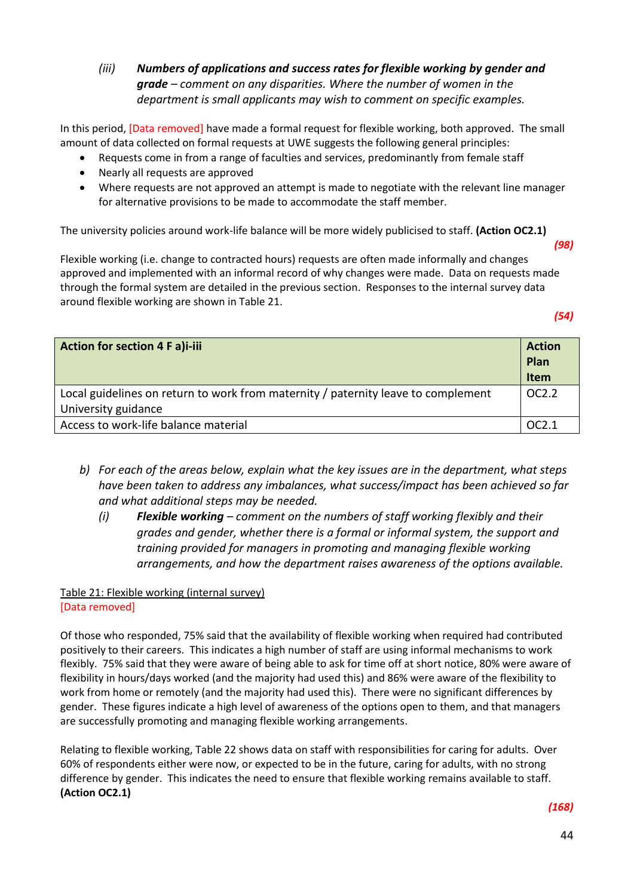*(iii) Numbers of applications and success rates for flexible working by gender and grade – comment on any disparities. Where the number of women in the department is small applicants may wish to comment on specific examples.*

In this period, [Data removed] have made a formal request for flexible working, both approved. The small amount of data collected on formal requests at UWE suggests the following general principles:

- Requests come in from a range of faculties and services, predominantly from female staff
- Nearly all requests are approved
- Where requests are not approved an attempt is made to negotiate with the relevant line manager for alternative provisions to be made to accommodate the staff member.

The university policies around work-life balance will be more widely publicised to staff. **(Action OC2.1)**

*(98)*

Flexible working (i.e. change to contracted hours) requests are often made informally and changes approved and implemented with an informal record of why changes were made. Data on requests made through the formal system are detailed in the previous section. Responses to the internal survey data around flexible working are shown in Table 21.

*(54)*

| Action for section 4 F a)i-iii                                                    | <b>Action</b><br>Plan<br>Item |
|-----------------------------------------------------------------------------------|-------------------------------|
| Local guidelines on return to work from maternity / paternity leave to complement | OC2.2                         |
| University guidance<br>Access to work-life balance material                       | OC2.1                         |

- *b) For each of the areas below, explain what the key issues are in the department, what steps have been taken to address any imbalances, what success/impact has been achieved so far and what additional steps may be needed.*
	- *(i) Flexible working – comment on the numbers of staff working flexibly and their grades and gender, whether there is a formal or informal system, the support and training provided for managers in promoting and managing flexible working arrangements, and how the department raises awareness of the options available.*

Table 21: Flexible working (internal survey) [Data removed]

Of those who responded, 75% said that the availability of flexible working when required had contributed positively to their careers. This indicates a high number of staff are using informal mechanisms to work flexibly. 75% said that they were aware of being able to ask for time off at short notice, 80% were aware of flexibility in hours/days worked (and the majority had used this) and 86% were aware of the flexibility to work from home or remotely (and the majority had used this). There were no significant differences by gender. These figures indicate a high level of awareness of the options open to them, and that managers are successfully promoting and managing flexible working arrangements.

Relating to flexible working, Table 22 shows data on staff with responsibilities for caring for adults. Over 60% of respondents either were now, or expected to be in the future, caring for adults, with no strong difference by gender. This indicates the need to ensure that flexible working remains available to staff. **(Action OC2.1)**

*(168)*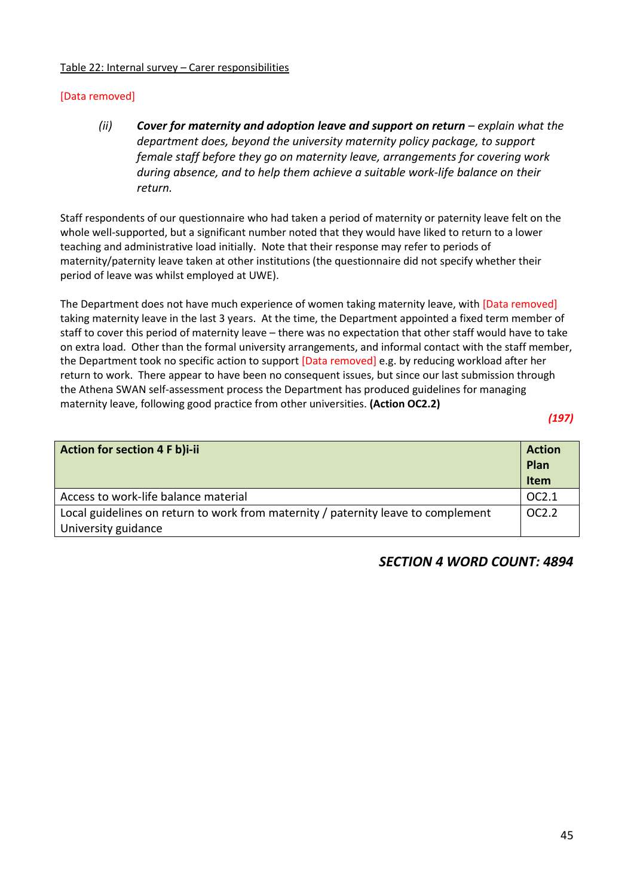#### Table 22: Internal survey – Carer responsibilities

## [Data removed]

*(ii) Cover for maternity and adoption leave and support on return – explain what the department does, beyond the university maternity policy package, to support female staff before they go on maternity leave, arrangements for covering work during absence, and to help them achieve a suitable work-life balance on their return.*

Staff respondents of our questionnaire who had taken a period of maternity or paternity leave felt on the whole well-supported, but a significant number noted that they would have liked to return to a lower teaching and administrative load initially. Note that their response may refer to periods of maternity/paternity leave taken at other institutions (the questionnaire did not specify whether their period of leave was whilst employed at UWE).

The Department does not have much experience of women taking maternity leave, with [Data removed] taking maternity leave in the last 3 years. At the time, the Department appointed a fixed term member of staff to cover this period of maternity leave – there was no expectation that other staff would have to take on extra load. Other than the formal university arrangements, and informal contact with the staff member, the Department took no specific action to support [Data removed] e.g. by reducing workload after her return to work. There appear to have been no consequent issues, but since our last submission through the Athena SWAN self-assessment process the Department has produced guidelines for managing maternity leave, following good practice from other universities. **(Action OC2.2)**

*(197)*

| Action for section 4 F b)i-ii                                                     | <b>Action</b> |
|-----------------------------------------------------------------------------------|---------------|
|                                                                                   | Plan          |
|                                                                                   | Item          |
| Access to work-life balance material                                              | OC2.1         |
| Local guidelines on return to work from maternity / paternity leave to complement | OC2.2         |
| University guidance                                                               |               |

## *SECTION 4 WORD COUNT: 4894*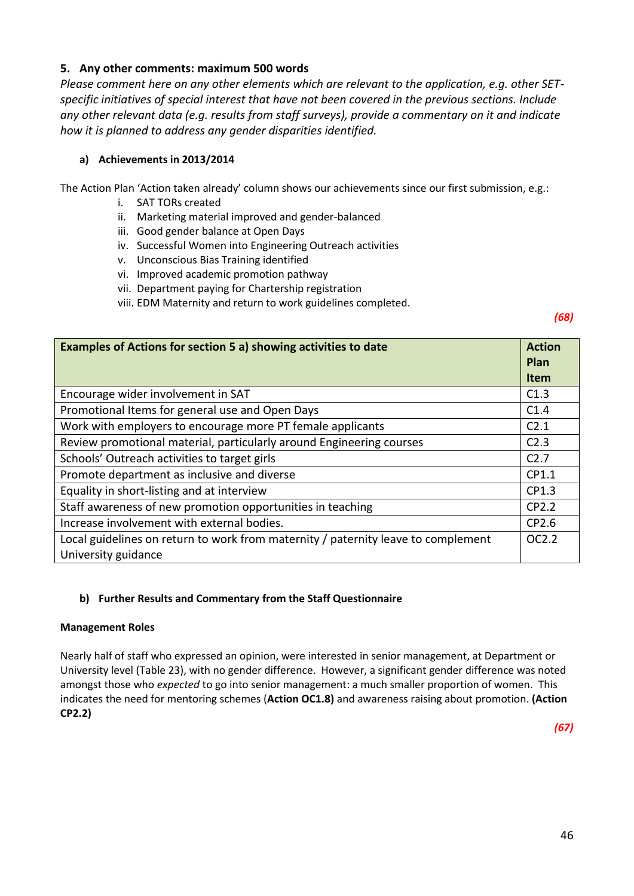## **5. Any other comments: maximum 500 words**

*Please comment here on any other elements which are relevant to the application, e.g. other SETspecific initiatives of special interest that have not been covered in the previous sections. Include any other relevant data (e.g. results from staff surveys), provide a commentary on it and indicate how it is planned to address any gender disparities identified.* 

## **a) Achievements in 2013/2014**

The Action Plan 'Action taken already' column shows our achievements since our first submission, e.g.:

- i. SAT TORs created
- ii. Marketing material improved and gender-balanced
- iii. Good gender balance at Open Days
- iv. Successful Women into Engineering Outreach activities
- v. Unconscious Bias Training identified
- vi. Improved academic promotion pathway
- vii. Department paying for Chartership registration
- viii. EDM Maternity and return to work guidelines completed.

*(68)*

| Examples of Actions for section 5 a) showing activities to date                                          | <b>Action</b><br>Plan |
|----------------------------------------------------------------------------------------------------------|-----------------------|
|                                                                                                          | <b>Item</b>           |
| Encourage wider involvement in SAT                                                                       | C <sub>1.3</sub>      |
| Promotional Items for general use and Open Days                                                          | C <sub>1.4</sub>      |
| Work with employers to encourage more PT female applicants                                               | C <sub>2.1</sub>      |
| Review promotional material, particularly around Engineering courses                                     | C <sub>2.3</sub>      |
| Schools' Outreach activities to target girls                                                             | C <sub>2.7</sub>      |
| Promote department as inclusive and diverse                                                              | CP1.1                 |
| Equality in short-listing and at interview                                                               | CP1.3                 |
| Staff awareness of new promotion opportunities in teaching                                               | CP2.2                 |
| Increase involvement with external bodies.                                                               | CP2.6                 |
| Local guidelines on return to work from maternity / paternity leave to complement<br>University guidance | OC <sub>2.2</sub>     |

## **b) Further Results and Commentary from the Staff Questionnaire**

## **Management Roles**

Nearly half of staff who expressed an opinion, were interested in senior management, at Department or University level (Table 23), with no gender difference. However, a significant gender difference was noted amongst those who *expected* to go into senior management: a much smaller proportion of women. This indicates the need for mentoring schemes (**Action OC1.8)** and awareness raising about promotion. **(Action CP2.2)**

*(67)*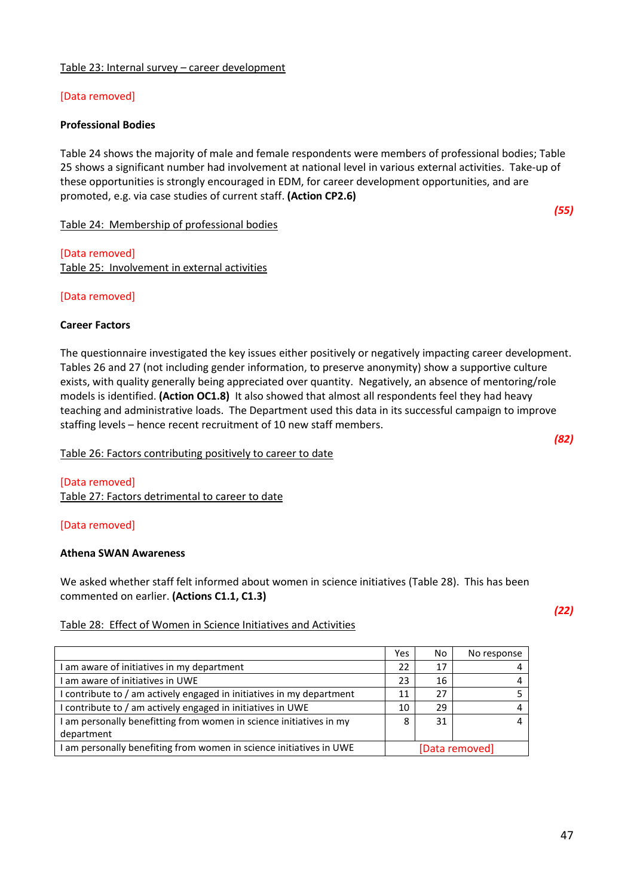#### Table 23: Internal survey – career development

## [Data removed]

#### **Professional Bodies**

Table 24 shows the majority of male and female respondents were members of professional bodies; Table 25 shows a significant number had involvement at national level in various external activities. Take-up of these opportunities is strongly encouraged in EDM, for career development opportunities, and are promoted, e.g. via case studies of current staff. **(Action CP2.6)**

Table 24: Membership of professional bodies

[Data removed] Table 25: Involvement in external activities

[Data removed]

#### **Career Factors**

The questionnaire investigated the key issues either positively or negatively impacting career development. Tables 26 and 27 (not including gender information, to preserve anonymity) show a supportive culture exists, with quality generally being appreciated over quantity. Negatively, an absence of mentoring/role models is identified. **(Action OC1.8)** It also showed that almost all respondents feel they had heavy teaching and administrative loads. The Department used this data in its successful campaign to improve staffing levels – hence recent recruitment of 10 new staff members.

Table 26: Factors contributing positively to career to date

## [Data removed] Table 27: Factors detrimental to career to date

## [Data removed]

#### **Athena SWAN Awareness**

We asked whether staff felt informed about women in science initiatives (Table 28). This has been commented on earlier. **(Actions C1.1, C1.3)**

#### Table 28: Effect of Women in Science Initiatives and Activities

|                                                                       | Yes            | No | No response |
|-----------------------------------------------------------------------|----------------|----|-------------|
| I am aware of initiatives in my department                            | 22             | 17 |             |
| I am aware of initiatives in UWE                                      | 23             | 16 |             |
| I contribute to / am actively engaged in initiatives in my department | 11             | 27 |             |
| I contribute to / am actively engaged in initiatives in UWE           | 10             | 29 |             |
| I am personally benefitting from women in science initiatives in my   | 8              | 31 |             |
| department                                                            |                |    |             |
| I am personally benefiting from women in science initiatives in UWE   | [Data removed] |    |             |

*(55)*

*(82)*

*(22)*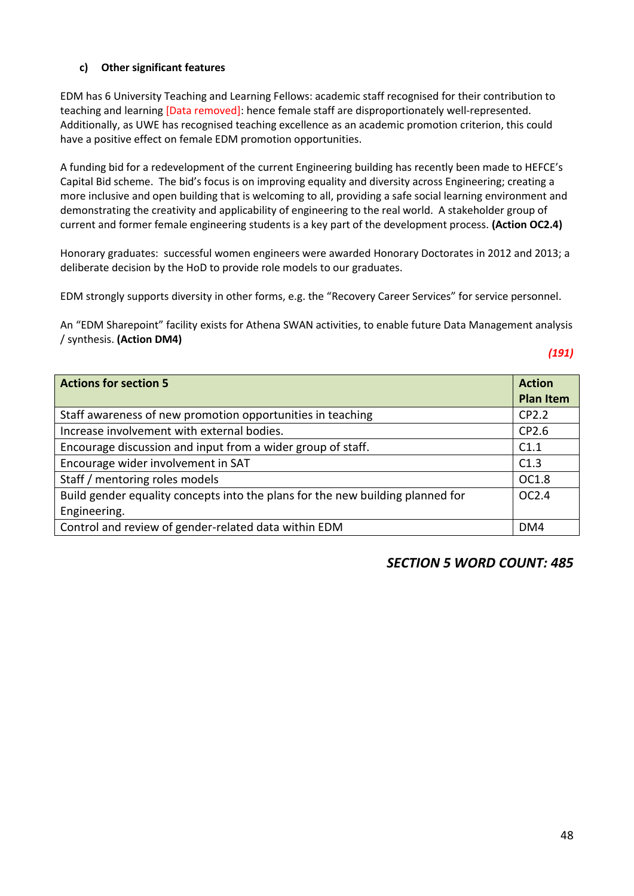## **c) Other significant features**

EDM has 6 University Teaching and Learning Fellows: academic staff recognised for their contribution to teaching and learning [Data removed]: hence female staff are disproportionately well-represented. Additionally, as UWE has recognised teaching excellence as an academic promotion criterion, this could have a positive effect on female EDM promotion opportunities.

A funding bid for a redevelopment of the current Engineering building has recently been made to HEFCE's Capital Bid scheme. The bid's focus is on improving equality and diversity across Engineering; creating a more inclusive and open building that is welcoming to all, providing a safe social learning environment and demonstrating the creativity and applicability of engineering to the real world. A stakeholder group of current and former female engineering students is a key part of the development process. **(Action OC2.4)**

Honorary graduates: successful women engineers were awarded Honorary Doctorates in 2012 and 2013; a deliberate decision by the HoD to provide role models to our graduates.

EDM strongly supports diversity in other forms, e.g. the "Recovery Career Services" for service personnel.

An "EDM Sharepoint" facility exists for Athena SWAN activities, to enable future Data Management analysis / synthesis. **(Action DM4)**

*(191)*

| <b>Actions for section 5</b>                                                   | <b>Action</b><br><b>Plan Item</b> |
|--------------------------------------------------------------------------------|-----------------------------------|
| Staff awareness of new promotion opportunities in teaching                     | CP2.2                             |
| Increase involvement with external bodies.                                     | CP2.6                             |
| Encourage discussion and input from a wider group of staff.                    | C1.1                              |
| Encourage wider involvement in SAT                                             | C1.3                              |
| Staff / mentoring roles models                                                 | OC1.8                             |
| Build gender equality concepts into the plans for the new building planned for | OC2.4                             |
| Engineering.                                                                   |                                   |
| Control and review of gender-related data within EDM                           | DM4                               |

## *SECTION 5 WORD COUNT: 485*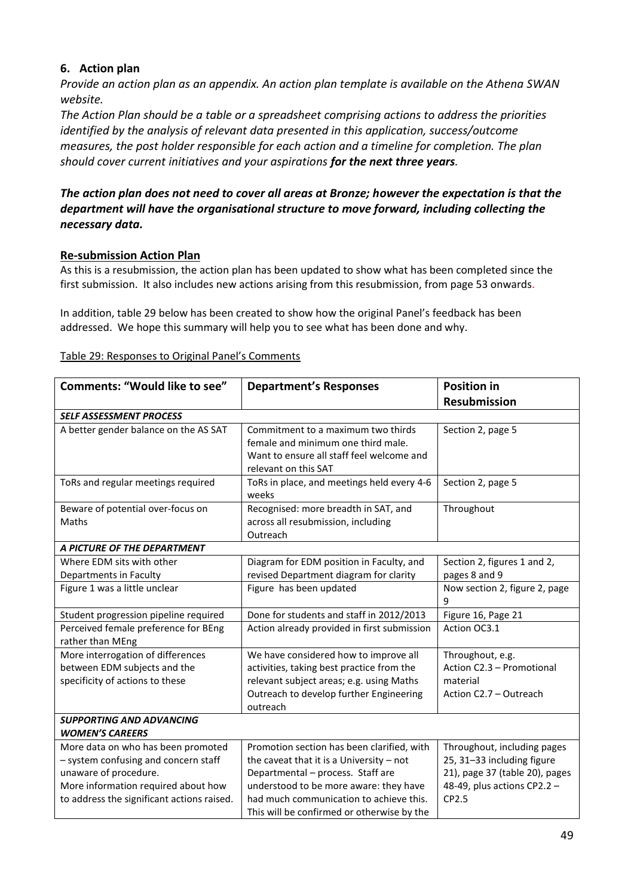## **6. Action plan**

*Provide an action plan as an appendix. An action plan template is available on the Athena SWAN website.*

*The Action Plan should be a table or a spreadsheet comprising actions to address the priorities identified by the analysis of relevant data presented in this application, success/outcome measures, the post holder responsible for each action and a timeline for completion. The plan should cover current initiatives and your aspirations for the next three years.*

## *The action plan does not need to cover all areas at Bronze; however the expectation is that the department will have the organisational structure to move forward, including collecting the necessary data.*

## **Re-submission Action Plan**

As this is a resubmission, the action plan has been updated to show what has been completed since the first submission. It also includes new actions arising from this resubmission, from page 53 onwards.

In addition, table 29 below has been created to show how the original Panel's feedback has been addressed. We hope this summary will help you to see what has been done and why.

| <b>Comments: "Would like to see"</b>       | <b>Department's Responses</b>                                            | <b>Position in</b>                 |
|--------------------------------------------|--------------------------------------------------------------------------|------------------------------------|
|                                            |                                                                          | <b>Resubmission</b>                |
| <b>SELF ASSESSMENT PROCESS</b>             |                                                                          |                                    |
| A better gender balance on the AS SAT      | Commitment to a maximum two thirds<br>female and minimum one third male. | Section 2, page 5                  |
|                                            | Want to ensure all staff feel welcome and                                |                                    |
|                                            | relevant on this SAT                                                     |                                    |
| ToRs and regular meetings required         | ToRs in place, and meetings held every 4-6                               | Section 2, page 5                  |
|                                            | weeks                                                                    |                                    |
| Beware of potential over-focus on          | Recognised: more breadth in SAT, and                                     | Throughout                         |
| Maths                                      | across all resubmission, including                                       |                                    |
|                                            | Outreach                                                                 |                                    |
| A PICTURE OF THE DEPARTMENT                |                                                                          |                                    |
| Where EDM sits with other                  | Diagram for EDM position in Faculty, and                                 | Section 2, figures 1 and 2,        |
| Departments in Faculty                     | revised Department diagram for clarity                                   | pages 8 and 9                      |
| Figure 1 was a little unclear              | Figure has been updated                                                  | Now section 2, figure 2, page<br>9 |
| Student progression pipeline required      | Done for students and staff in 2012/2013                                 | Figure 16, Page 21                 |
| Perceived female preference for BEng       | Action already provided in first submission                              | Action OC3.1                       |
| rather than MEng                           |                                                                          |                                    |
| More interrogation of differences          | We have considered how to improve all                                    | Throughout, e.g.                   |
| between EDM subjects and the               | activities, taking best practice from the                                | Action C2.3 - Promotional          |
| specificity of actions to these            | relevant subject areas; e.g. using Maths                                 | material                           |
|                                            | Outreach to develop further Engineering                                  | Action C2.7 - Outreach             |
| <b>SUPPORTING AND ADVANCING</b>            | outreach                                                                 |                                    |
| <b>WOMEN'S CAREERS</b>                     |                                                                          |                                    |
| More data on who has been promoted         | Promotion section has been clarified, with                               | Throughout, including pages        |
| - system confusing and concern staff       | the caveat that it is a University $-$ not                               | 25, 31-33 including figure         |
| unaware of procedure.                      | Departmental - process. Staff are                                        | 21), page 37 (table 20), pages     |
| More information required about how        | understood to be more aware: they have                                   | 48-49, plus actions CP2.2 -        |
| to address the significant actions raised. | had much communication to achieve this.                                  | CP2.5                              |
|                                            | This will be confirmed or otherwise by the                               |                                    |

#### Table 29: Responses to Original Panel's Comments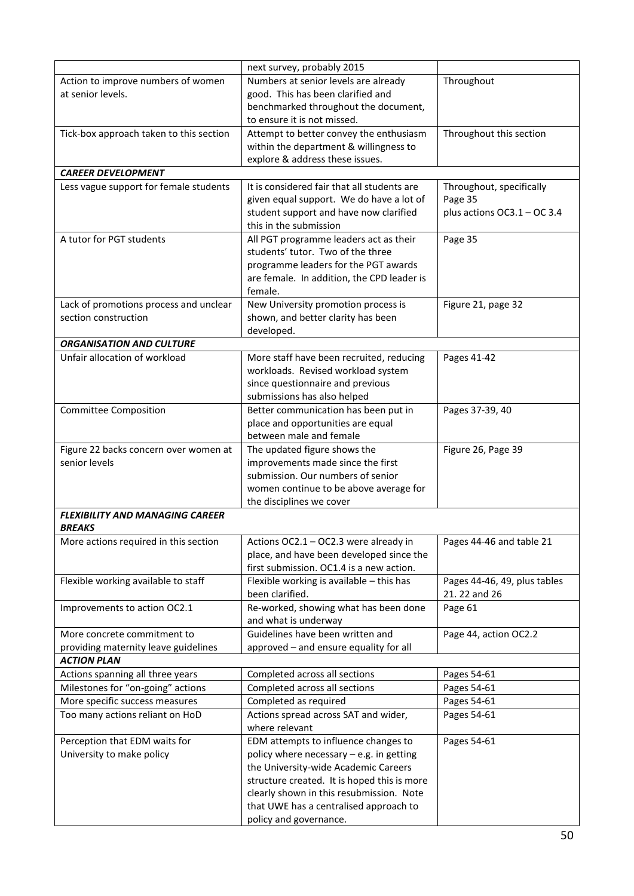|                                         | next survey, probably 2015                  |                              |
|-----------------------------------------|---------------------------------------------|------------------------------|
| Action to improve numbers of women      | Numbers at senior levels are already        | Throughout                   |
| at senior levels.                       | good. This has been clarified and           |                              |
|                                         | benchmarked throughout the document,        |                              |
|                                         | to ensure it is not missed.                 |                              |
| Tick-box approach taken to this section | Attempt to better convey the enthusiasm     | Throughout this section      |
|                                         | within the department & willingness to      |                              |
|                                         | explore & address these issues.             |                              |
| <b>CAREER DEVELOPMENT</b>               |                                             |                              |
| Less vague support for female students  | It is considered fair that all students are | Throughout, specifically     |
|                                         | given equal support. We do have a lot of    | Page 35                      |
|                                         | student support and have now clarified      | plus actions OC3.1 - OC 3.4  |
|                                         | this in the submission                      |                              |
| A tutor for PGT students                | All PGT programme leaders act as their      | Page 35                      |
|                                         | students' tutor. Two of the three           |                              |
|                                         | programme leaders for the PGT awards        |                              |
|                                         | are female. In addition, the CPD leader is  |                              |
|                                         | female.                                     |                              |
| Lack of promotions process and unclear  | New University promotion process is         | Figure 21, page 32           |
| section construction                    | shown, and better clarity has been          |                              |
|                                         | developed.                                  |                              |
| <b>ORGANISATION AND CULTURE</b>         |                                             |                              |
| Unfair allocation of workload           | More staff have been recruited, reducing    | Pages 41-42                  |
|                                         | workloads. Revised workload system          |                              |
|                                         | since questionnaire and previous            |                              |
|                                         | submissions has also helped                 |                              |
| Committee Composition                   | Better communication has been put in        | Pages 37-39, 40              |
|                                         | place and opportunities are equal           |                              |
|                                         | between male and female                     |                              |
| Figure 22 backs concern over women at   | The updated figure shows the                | Figure 26, Page 39           |
| senior levels                           | improvements made since the first           |                              |
|                                         | submission. Our numbers of senior           |                              |
|                                         | women continue to be above average for      |                              |
|                                         | the disciplines we cover                    |                              |
| <b>FLEXIBILITY AND MANAGING CAREER</b>  |                                             |                              |
| <b>BREAKS</b>                           |                                             |                              |
| More actions required in this section   | Actions OC2.1 - OC2.3 were already in       | Pages 44-46 and table 21     |
|                                         | place, and have been developed since the    |                              |
|                                         | first submission. OC1.4 is a new action.    |                              |
| Flexible working available to staff     | Flexible working is available - this has    | Pages 44-46, 49, plus tables |
|                                         | been clarified.                             | 21.22 and 26                 |
| Improvements to action OC2.1            | Re-worked, showing what has been done       | Page 61                      |
|                                         | and what is underway                        |                              |
| More concrete commitment to             | Guidelines have been written and            | Page 44, action OC2.2        |
| providing maternity leave guidelines    | approved - and ensure equality for all      |                              |
| <b>ACTION PLAN</b>                      |                                             |                              |
| Actions spanning all three years        | Completed across all sections               | Pages 54-61                  |
| Milestones for "on-going" actions       | Completed across all sections               | Pages 54-61                  |
| More specific success measures          | Completed as required                       | Pages 54-61                  |
| Too many actions reliant on HoD         | Actions spread across SAT and wider,        | Pages 54-61                  |
|                                         | where relevant                              |                              |
| Perception that EDM waits for           | EDM attempts to influence changes to        | Pages 54-61                  |
| University to make policy               | policy where necessary $-$ e.g. in getting  |                              |
|                                         | the University-wide Academic Careers        |                              |
|                                         | structure created. It is hoped this is more |                              |
|                                         | clearly shown in this resubmission. Note    |                              |
|                                         | that UWE has a centralised approach to      |                              |
|                                         | policy and governance.                      |                              |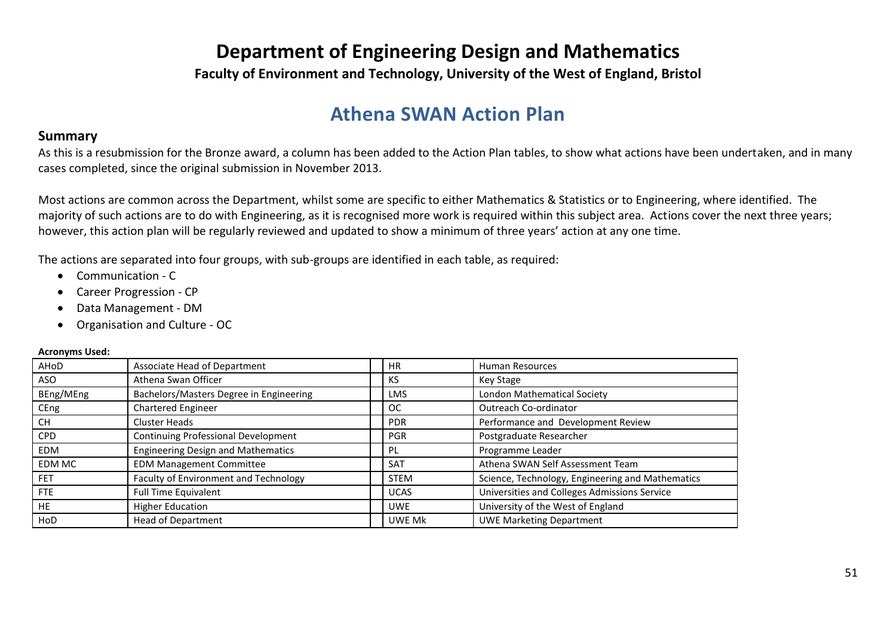# **Department of Engineering Design and Mathematics**

**Faculty of Environment and Technology, University of the West of England, Bristol**

# **Athena SWAN Action Plan**

## **Summary**

As this is a resubmission for the Bronze award, a column has been added to the Action Plan tables, to show what actions have been undertaken, and in many cases completed, since the original submission in November 2013.

Most actions are common across the Department, whilst some are specific to either Mathematics & Statistics or to Engineering, where identified. The majority of such actions are to do with Engineering, as it is recognised more work is required within this subject area. Actions cover the next three years; however, this action plan will be regularly reviewed and updated to show a minimum of three years' action at any one time.

The actions are separated into four groups, with sub-groups are identified in each table, as required:

- Communication C
- Career Progression CP
- Data Management DM
- Organisation and Culture OC

#### **Acronyms Used:**

| ,  ,       |                                            |             |                                                  |
|------------|--------------------------------------------|-------------|--------------------------------------------------|
| AHoD       | Associate Head of Department               | <b>HR</b>   | <b>Human Resources</b>                           |
| ASO        | Athena Swan Officer                        | КS          | Key Stage                                        |
| BEng/MEng  | Bachelors/Masters Degree in Engineering    | <b>LMS</b>  | London Mathematical Society                      |
| CEng       | <b>Chartered Engineer</b>                  | 0C          | Outreach Co-ordinator                            |
| <b>CH</b>  | Cluster Heads                              | <b>PDR</b>  | Performance and Development Review               |
| CPD        | <b>Continuing Professional Development</b> | <b>PGR</b>  | Postgraduate Researcher                          |
| EDM        | <b>Engineering Design and Mathematics</b>  | PL          | Programme Leader                                 |
| EDM MC     | <b>EDM Management Committee</b>            | <b>SAT</b>  | Athena SWAN Self Assessment Team                 |
| <b>FET</b> | Faculty of Environment and Technology      | <b>STEM</b> | Science, Technology, Engineering and Mathematics |
| <b>FTE</b> | <b>Full Time Equivalent</b>                | <b>UCAS</b> | Universities and Colleges Admissions Service     |
| HE.        | <b>Higher Education</b>                    | <b>UWE</b>  | University of the West of England                |
| HoD        | <b>Head of Department</b>                  | UWE Mk      | <b>UWE Marketing Department</b>                  |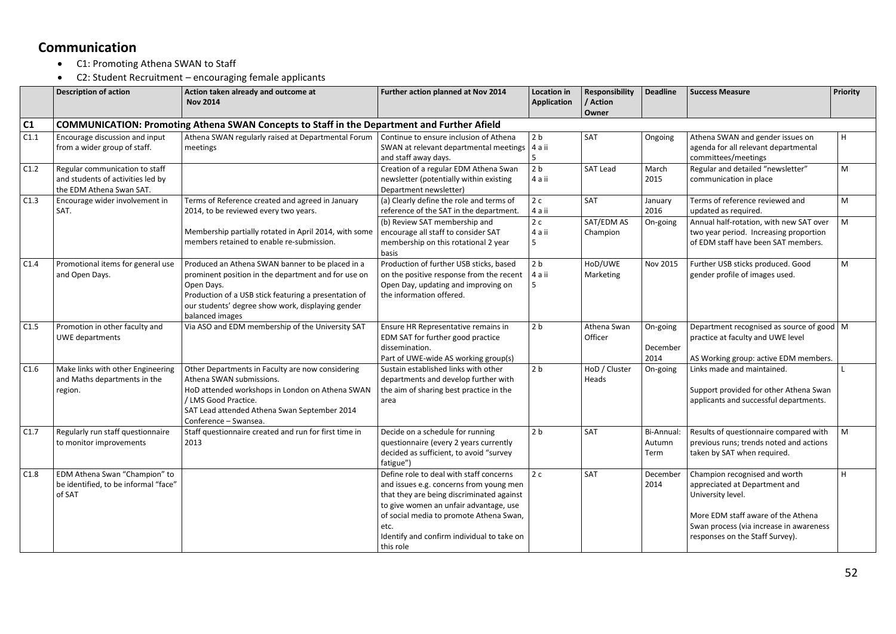## **Communication**

- C1: Promoting Athena SWAN to Staff
- C2: Student Recruitment encouraging female applicants

|      | <b>Description of action</b>                                                                    | Action taken already and outcome at<br><b>Nov 2014</b>                                                                                                                                                                                                 | Further action planned at Nov 2014                                                                                                                                                                                                                                                      | <b>Location in</b><br>Application | Responsibility<br>/ Action<br>Owner | <b>Deadline</b>              | <b>Success Measure</b>                                                                                                                                                                                  | Priority |
|------|-------------------------------------------------------------------------------------------------|--------------------------------------------------------------------------------------------------------------------------------------------------------------------------------------------------------------------------------------------------------|-----------------------------------------------------------------------------------------------------------------------------------------------------------------------------------------------------------------------------------------------------------------------------------------|-----------------------------------|-------------------------------------|------------------------------|---------------------------------------------------------------------------------------------------------------------------------------------------------------------------------------------------------|----------|
| C1   |                                                                                                 | COMMUNICATION: Promoting Athena SWAN Concepts to Staff in the Department and Further Afield                                                                                                                                                            |                                                                                                                                                                                                                                                                                         |                                   |                                     |                              |                                                                                                                                                                                                         |          |
| C1.1 | Encourage discussion and input<br>from a wider group of staff.                                  | Athena SWAN regularly raised at Departmental Forum<br>meetings                                                                                                                                                                                         | Continue to ensure inclusion of Athena<br>SWAN at relevant departmental meetings<br>and staff away days.                                                                                                                                                                                | 2 <sub>b</sub><br>4 a ii<br>5     | SAT                                 | Ongoing                      | Athena SWAN and gender issues on<br>agenda for all relevant departmental<br>committees/meetings                                                                                                         | H        |
| C1.2 | Regular communication to staff<br>and students of activities led by<br>the EDM Athena Swan SAT. |                                                                                                                                                                                                                                                        | Creation of a regular EDM Athena Swan<br>newsletter (potentially within existing<br>Department newsletter)                                                                                                                                                                              | 2 <sub>b</sub><br>4 a ii          | SAT Lead                            | March<br>2015                | Regular and detailed "newsletter"<br>communication in place                                                                                                                                             | M        |
| C1.3 | Encourage wider involvement in<br>SAT.                                                          | Terms of Reference created and agreed in January<br>2014, to be reviewed every two years.                                                                                                                                                              | (a) Clearly define the role and terms of<br>reference of the SAT in the department.                                                                                                                                                                                                     | 2c<br>4 a ii                      | <b>SAT</b>                          | January<br>2016              | Terms of reference reviewed and<br>updated as required.                                                                                                                                                 | M        |
|      |                                                                                                 | Membership partially rotated in April 2014, with some<br>members retained to enable re-submission.                                                                                                                                                     | (b) Review SAT membership and<br>encourage all staff to consider SAT<br>membership on this rotational 2 year<br>basis                                                                                                                                                                   | 2c<br>4 a ii<br>5                 | SAT/EDM AS<br>Champion              | On-going                     | Annual half-rotation, with new SAT over<br>two year period. Increasing proportion<br>of EDM staff have been SAT members.                                                                                | M        |
| C1.4 | Promotional items for general use<br>and Open Days.                                             | Produced an Athena SWAN banner to be placed in a<br>prominent position in the department and for use on<br>Open Days.<br>Production of a USB stick featuring a presentation of<br>our students' degree show work, displaying gender<br>balanced images | Production of further USB sticks, based<br>on the positive response from the recent<br>Open Day, updating and improving on<br>the information offered.                                                                                                                                  | 2 <sub>b</sub><br>4 a ii<br>5     | HoD/UWE<br>Marketing                | Nov 2015                     | Further USB sticks produced. Good<br>gender profile of images used.                                                                                                                                     | M        |
| C1.5 | Promotion in other faculty and<br>UWE departments                                               | Via ASO and EDM membership of the University SAT                                                                                                                                                                                                       | Ensure HR Representative remains in<br>EDM SAT for further good practice<br>dissemination.<br>Part of UWE-wide AS working group(s)                                                                                                                                                      | 2 <sub>b</sub>                    | Athena Swan<br>Officer              | On-going<br>December<br>2014 | Department recognised as source of good   M<br>practice at faculty and UWE level<br>AS Working group: active EDM members.                                                                               |          |
| C1.6 | Make links with other Engineering<br>and Maths departments in the<br>region.                    | Other Departments in Faculty are now considering<br>Athena SWAN submissions.<br>HoD attended workshops in London on Athena SWAN<br>/ LMS Good Practice.<br>SAT Lead attended Athena Swan September 2014<br>Conference - Swansea.                       | Sustain established links with other<br>departments and develop further with<br>the aim of sharing best practice in the<br>area                                                                                                                                                         | 2 <sub>b</sub>                    | HoD / Cluster<br>Heads              | On-going                     | Links made and maintained.<br>Support provided for other Athena Swan<br>applicants and successful departments.                                                                                          |          |
| C1.7 | Regularly run staff questionnaire<br>to monitor improvements                                    | Staff questionnaire created and run for first time in<br>2013                                                                                                                                                                                          | Decide on a schedule for running<br>questionnaire (every 2 years currently<br>decided as sufficient, to avoid "survey<br>fatigue")                                                                                                                                                      | 2 <sub>b</sub>                    | SAT                                 | Bi-Annual:<br>Autumn<br>Term | Results of questionnaire compared with<br>previous runs; trends noted and actions<br>taken by SAT when required.                                                                                        | M        |
| C1.8 | EDM Athena Swan "Champion" to<br>be identified, to be informal "face"<br>of SAT                 |                                                                                                                                                                                                                                                        | Define role to deal with staff concerns<br>and issues e.g. concerns from young men<br>that they are being discriminated against<br>to give women an unfair advantage, use<br>of social media to promote Athena Swan,<br>etc.<br>Identify and confirm individual to take on<br>this role | 2c                                | SAT                                 | December<br>2014             | Champion recognised and worth<br>appreciated at Department and<br>University level.<br>More EDM staff aware of the Athena<br>Swan process (via increase in awareness<br>responses on the Staff Survey). | H        |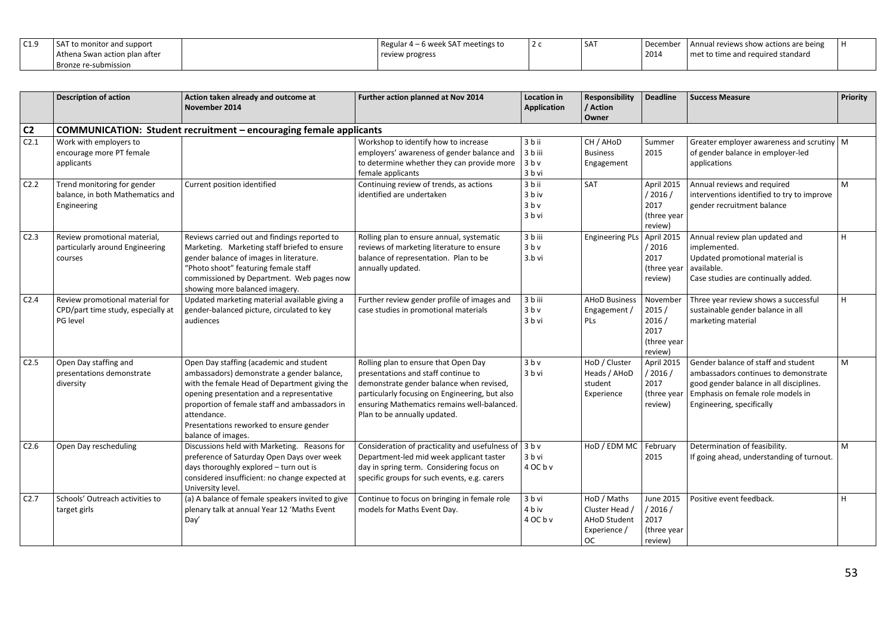| C10<br>ົບ⊥∙ວ | SAT to monitor and support    | r 4 – 6 week SAT meetings to<br>Regular | l SA1 | l December | . Annual reviews show actions are being |  |
|--------------|-------------------------------|-----------------------------------------|-------|------------|-----------------------------------------|--|
|              | Athena Swan action plan after | review progress                         |       | 2014       | met to time and required standard       |  |
|              | Bronze re-submission          |                                         |       |            |                                         |  |

|                  | <b>Description of action</b>                                                      | Action taken already and outcome at<br>November 2014                                                                                                                                                                                                                                                                 | Further action planned at Nov 2014                                                                                                                                                                                                                       | <b>Location in</b><br><b>Application</b> | <b>Responsibility</b><br>/ Action<br>Owner                                        | <b>Deadline</b>                                              | <b>Success Measure</b>                                                                                                                                                                   | <b>Priority</b> |
|------------------|-----------------------------------------------------------------------------------|----------------------------------------------------------------------------------------------------------------------------------------------------------------------------------------------------------------------------------------------------------------------------------------------------------------------|----------------------------------------------------------------------------------------------------------------------------------------------------------------------------------------------------------------------------------------------------------|------------------------------------------|-----------------------------------------------------------------------------------|--------------------------------------------------------------|------------------------------------------------------------------------------------------------------------------------------------------------------------------------------------------|-----------------|
| C <sub>2</sub>   |                                                                                   | COMMUNICATION: Student recruitment - encouraging female applicants                                                                                                                                                                                                                                                   |                                                                                                                                                                                                                                                          |                                          |                                                                                   |                                                              |                                                                                                                                                                                          |                 |
| C2.1             | Work with employers to<br>encourage more PT female<br>applicants                  |                                                                                                                                                                                                                                                                                                                      | Workshop to identify how to increase<br>employers' awareness of gender balance and<br>to determine whether they can provide more<br>female applicants                                                                                                    | 3 b ii<br>3 b iii<br>$3b$ v<br>3 b vi    | CH / AHoD<br><b>Business</b><br>Engagement                                        | Summer<br>2015                                               | Greater employer awareness and scrutiny   M<br>of gender balance in employer-led<br>applications                                                                                         |                 |
| C2.2             | Trend monitoring for gender<br>balance, in both Mathematics and<br>Engineering    | Current position identified                                                                                                                                                                                                                                                                                          | Continuing review of trends, as actions<br>identified are undertaken                                                                                                                                                                                     | 3 b ii<br>3 b iv<br>$3b$ v<br>3 b vi     | SAT                                                                               | April 2015<br>/ 2016 /<br>2017<br>(three year<br>review)     | Annual reviews and required<br>interventions identified to try to improve<br>gender recruitment balance                                                                                  | M               |
| C2.3             | Review promotional material,<br>particularly around Engineering<br>courses        | Reviews carried out and findings reported to<br>Marketing. Marketing staff briefed to ensure<br>gender balance of images in literature.<br>"Photo shoot" featuring female staff<br>commissioned by Department. Web pages now<br>showing more balanced imagery.                                                       | Rolling plan to ensure annual, systematic<br>reviews of marketing literature to ensure<br>balance of representation. Plan to be<br>annually updated.                                                                                                     | 3 b iii<br>$3b$ v<br>3.b vi              | <b>Engineering PLs</b>                                                            | April 2015<br>/ 2016<br>2017<br>(three year<br>review)       | Annual review plan updated and<br>implemented.<br>Updated promotional material is<br>available.<br>Case studies are continually added.                                                   | н               |
| C <sub>2.4</sub> | Review promotional material for<br>CPD/part time study, especially at<br>PG level | Updated marketing material available giving a<br>gender-balanced picture, circulated to key<br>audiences                                                                                                                                                                                                             | Further review gender profile of images and<br>case studies in promotional materials                                                                                                                                                                     | 3 b iii<br>$3b$ v<br>3 b vi              | <b>AHoD Business</b><br>Engagement /<br>PLs                                       | November<br>2015/<br>2016/<br>2017<br>(three year<br>review) | Three year review shows a successful<br>sustainable gender balance in all<br>marketing material                                                                                          | H               |
| C2.5             | Open Day staffing and<br>presentations demonstrate<br>diversity                   | Open Day staffing (academic and student<br>ambassadors) demonstrate a gender balance,<br>with the female Head of Department giving the<br>opening presentation and a representative<br>proportion of female staff and ambassadors in<br>attendance.<br>Presentations reworked to ensure gender<br>balance of images. | Rolling plan to ensure that Open Day<br>presentations and staff continue to<br>demonstrate gender balance when revised,<br>particularly focusing on Engineering, but also<br>ensuring Mathematics remains well-balanced.<br>Plan to be annually updated. | $3b$ v<br>3 b vi                         | HoD / Cluster<br>Heads / AHoD<br>student<br>Experience                            | April 2015<br>/2016/<br>2017<br>(three year<br>review)       | Gender balance of staff and student<br>ambassadors continues to demonstrate<br>good gender balance in all disciplines.<br>Emphasis on female role models in<br>Engineering, specifically | M               |
| C2.6             | Open Day rescheduling                                                             | Discussions held with Marketing. Reasons for<br>preference of Saturday Open Days over week<br>days thoroughly explored - turn out is<br>considered insufficient: no change expected at<br>University level.                                                                                                          | Consideration of practicality and usefulness of 3 b v<br>Department-led mid week applicant taster<br>day in spring term. Considering focus on<br>specific groups for such events, e.g. carers                                                            | 3 b vi<br>4 OC b v                       | HoD / EDM MC                                                                      | February<br>2015                                             | Determination of feasibility.<br>If going ahead, understanding of turnout.                                                                                                               | M               |
| C2.7             | Schools' Outreach activities to<br>target girls                                   | (a) A balance of female speakers invited to give<br>plenary talk at annual Year 12 'Maths Event<br>Day'                                                                                                                                                                                                              | Continue to focus on bringing in female role<br>models for Maths Event Day.                                                                                                                                                                              | 3 b vi<br>4 b iv<br>4 OC b v             | HoD / Maths<br>Cluster Head /<br><b>AHoD Student</b><br>Experience /<br><b>OC</b> | June 2015<br>/2016/<br>2017<br>(three year<br>review)        | Positive event feedback.                                                                                                                                                                 | H               |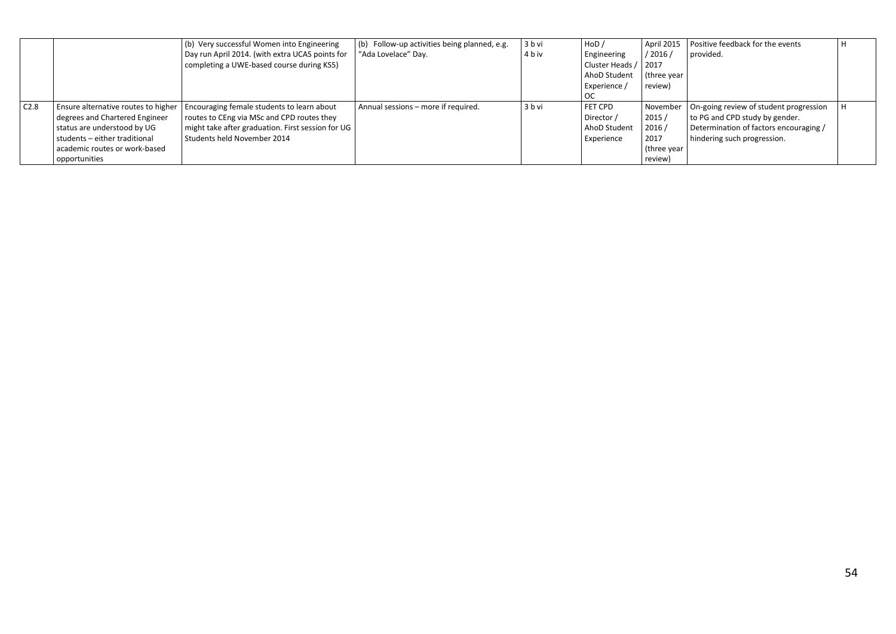|      |                                     | (b) Very successful Women into Engineering        | Follow-up activities being planned, e.g.<br>(b) | 3 b vi | HOD /           | April 2015 | Positive feedback for the events       |  |
|------|-------------------------------------|---------------------------------------------------|-------------------------------------------------|--------|-----------------|------------|----------------------------------------|--|
|      |                                     | Day run April 2014. (with extra UCAS points for   | "Ada Lovelace" Day.                             | 4 b iv | Engineering     | / 2016 /   | provided.                              |  |
|      |                                     | completing a UWE-based course during KS5)         |                                                 |        | Cluster Heads / | 2017       |                                        |  |
|      |                                     |                                                   |                                                 |        | AhoD Student    | three year |                                        |  |
|      |                                     |                                                   |                                                 |        | Experience /    | review)    |                                        |  |
|      |                                     |                                                   |                                                 |        | oc              |            |                                        |  |
| C2.8 | Ensure alternative routes to higher | Encouraging female students to learn about        | Annual sessions – more if required.             | 3 b vi | <b>FET CPD</b>  | November   | On-going review of student progression |  |
|      | degrees and Chartered Engineer      | routes to CEng via MSc and CPD routes they        |                                                 |        | Director /      | 2015/      | to PG and CPD study by gender.         |  |
|      | status are understood by UG         | might take after graduation. First session for UG |                                                 |        | AhoD Student    | 2016/      | Determination of factors encouraging / |  |
|      | students - either traditional       | Students held November 2014                       |                                                 |        | Experience      | 2017       | hindering such progression.            |  |
|      | academic routes or work-based       |                                                   |                                                 |        |                 | three year |                                        |  |
|      | opportunities                       |                                                   |                                                 |        |                 | review)    |                                        |  |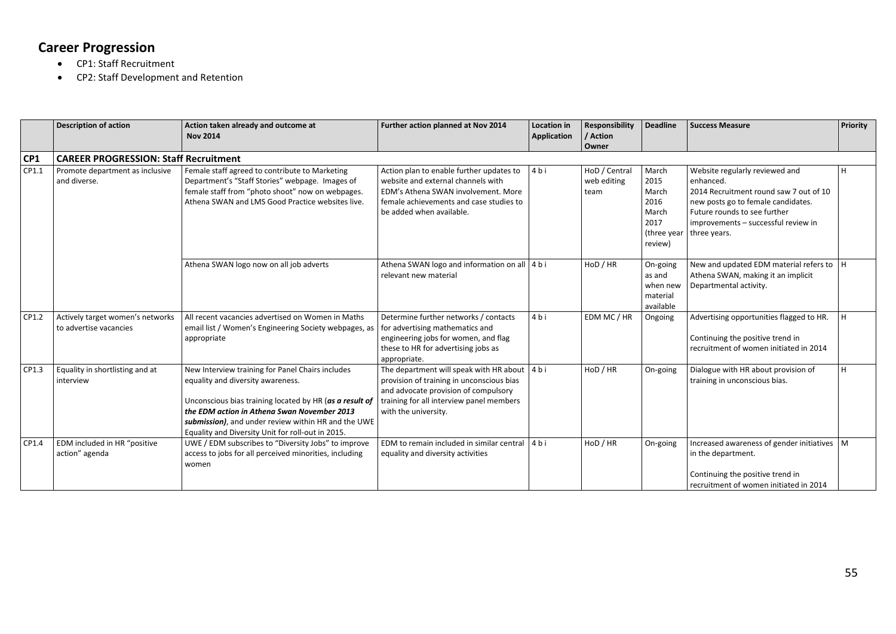## **Career Progression**

- CP1: Staff Recruitment
- CP2: Staff Development and Retention

|                 | <b>Description of action</b>                               | Action taken already and outcome at<br><b>Nov 2014</b>                                                                                                                                                                                                                                                      | Further action planned at Nov 2014                                                                                                                                                               | <b>Location in</b><br>Application | Responsibility<br>/ Action<br>Owner  | <b>Deadline</b>                                                           | <b>Success Measure</b>                                                                                                                                                                                             | Priority |
|-----------------|------------------------------------------------------------|-------------------------------------------------------------------------------------------------------------------------------------------------------------------------------------------------------------------------------------------------------------------------------------------------------------|--------------------------------------------------------------------------------------------------------------------------------------------------------------------------------------------------|-----------------------------------|--------------------------------------|---------------------------------------------------------------------------|--------------------------------------------------------------------------------------------------------------------------------------------------------------------------------------------------------------------|----------|
| CP <sub>1</sub> | <b>CAREER PROGRESSION: Staff Recruitment</b>               |                                                                                                                                                                                                                                                                                                             |                                                                                                                                                                                                  |                                   |                                      |                                                                           |                                                                                                                                                                                                                    |          |
| CP1.1           | Promote department as inclusive<br>and diverse.            | Female staff agreed to contribute to Marketing<br>Department's "Staff Stories" webpage. Images of<br>female staff from "photo shoot" now on webpages.<br>Athena SWAN and LMS Good Practice websites live.                                                                                                   | Action plan to enable further updates to<br>website and external channels with<br>EDM's Athena SWAN involvement. More<br>female achievements and case studies to<br>be added when available.     | 4bi                               | HoD / Central<br>web editing<br>team | March<br>2015<br>March<br>2016<br>March<br>2017<br>(three year<br>review) | Website regularly reviewed and<br>enhanced.<br>2014 Recruitment round saw 7 out of 10<br>new posts go to female candidates.<br>Future rounds to see further<br>improvements - successful review in<br>three years. | H.       |
|                 |                                                            | Athena SWAN logo now on all job adverts                                                                                                                                                                                                                                                                     | Athena SWAN logo and information on all 4 b i<br>relevant new material                                                                                                                           |                                   | HoD / HR                             | On-going<br>as and<br>when new<br>material<br>available                   | New and updated EDM material refers to H<br>Athena SWAN, making it an implicit<br>Departmental activity.                                                                                                           |          |
| CP1.2           | Actively target women's networks<br>to advertise vacancies | All recent vacancies advertised on Women in Maths<br>email list / Women's Engineering Society webpages, as<br>appropriate                                                                                                                                                                                   | Determine further networks / contacts<br>for advertising mathematics and<br>engineering jobs for women, and flag<br>these to HR for advertising jobs as<br>appropriate.                          | 4 b i                             | EDM MC / HR                          | Ongoing                                                                   | Advertising opportunities flagged to HR.<br>Continuing the positive trend in<br>recruitment of women initiated in 2014                                                                                             | H.       |
| CP1.3           | Equality in shortlisting and at<br>interview               | New Interview training for Panel Chairs includes<br>equality and diversity awareness.<br>Unconscious bias training located by HR (as a result of<br>the EDM action in Athena Swan November 2013<br>submission), and under review within HR and the UWE<br>Equality and Diversity Unit for roll-out in 2015. | The department will speak with HR about<br>provision of training in unconscious bias<br>and advocate provision of compulsory<br>training for all interview panel members<br>with the university. | $4b$ i                            | HoD / HR                             | On-going                                                                  | Dialogue with HR about provision of<br>training in unconscious bias.                                                                                                                                               | H.       |
| CP1.4           | EDM included in HR "positive<br>action" agenda             | UWE / EDM subscribes to "Diversity Jobs" to improve<br>access to jobs for all perceived minorities, including<br>women                                                                                                                                                                                      | EDM to remain included in similar central<br>equality and diversity activities                                                                                                                   | $4b$ i                            | HoD / HR                             | On-going                                                                  | Increased awareness of gender initiatives   M<br>in the department.<br>Continuing the positive trend in<br>recruitment of women initiated in 2014                                                                  |          |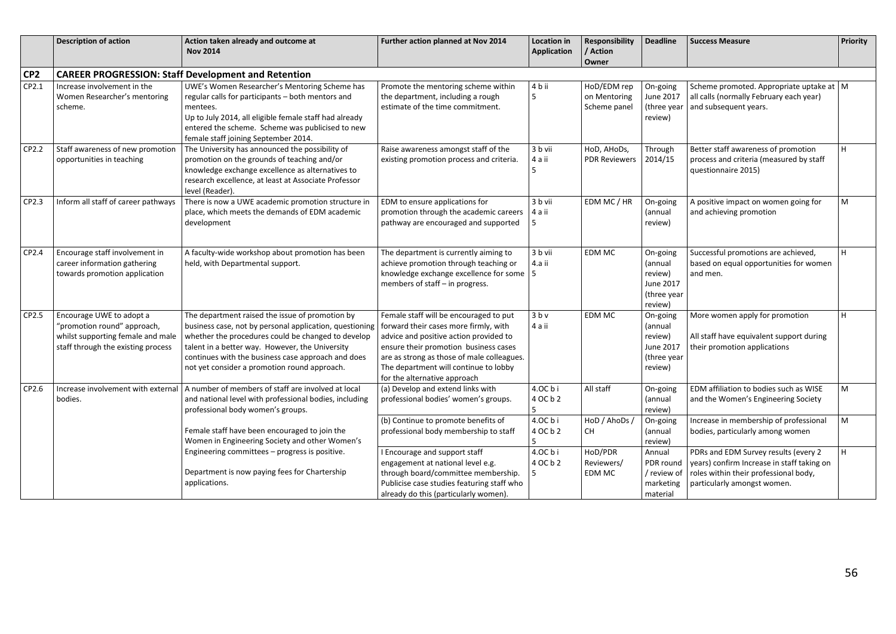|                 | <b>Description of action</b>                                                                                                       | Action taken already and outcome at<br><b>Nov 2014</b>                                                                                                                                                                                                                                                                    | Further action planned at Nov 2014                                                                                                                                                                                                                                                        | <b>Location in</b><br><b>Application</b> | Responsibility<br>/ Action<br>Owner         | <b>Deadline</b>                                                              | <b>Success Measure</b>                                                                                                                                     | Priority |
|-----------------|------------------------------------------------------------------------------------------------------------------------------------|---------------------------------------------------------------------------------------------------------------------------------------------------------------------------------------------------------------------------------------------------------------------------------------------------------------------------|-------------------------------------------------------------------------------------------------------------------------------------------------------------------------------------------------------------------------------------------------------------------------------------------|------------------------------------------|---------------------------------------------|------------------------------------------------------------------------------|------------------------------------------------------------------------------------------------------------------------------------------------------------|----------|
| CP <sub>2</sub> |                                                                                                                                    | <b>CAREER PROGRESSION: Staff Development and Retention</b>                                                                                                                                                                                                                                                                |                                                                                                                                                                                                                                                                                           |                                          |                                             |                                                                              |                                                                                                                                                            |          |
| CP2.1           | Increase involvement in the<br>Women Researcher's mentoring<br>scheme.                                                             | UWE's Women Researcher's Mentoring Scheme has<br>regular calls for participants - both mentors and<br>mentees.<br>Up to July 2014, all eligible female staff had already<br>entered the scheme. Scheme was publicised to new<br>female staff joining September 2014.                                                      | Promote the mentoring scheme within<br>the department, including a rough<br>estimate of the time commitment.                                                                                                                                                                              | 4 b ii<br>5                              | HoD/EDM rep<br>on Mentoring<br>Scheme panel | On-going<br><b>June 2017</b><br>(three year<br>review)                       | Scheme promoted. Appropriate uptake at M<br>all calls (normally February each year)<br>and subsequent years.                                               |          |
| CP2.2           | Staff awareness of new promotion<br>opportunities in teaching                                                                      | The University has announced the possibility of<br>promotion on the grounds of teaching and/or<br>knowledge exchange excellence as alternatives to<br>research excellence, at least at Associate Professor<br>level (Reader).                                                                                             | Raise awareness amongst staff of the<br>existing promotion process and criteria.                                                                                                                                                                                                          | 3 b vii<br>4 a ii<br>5                   | HoD, AHoDs,<br><b>PDR Reviewers</b>         | Through<br>2014/15                                                           | Better staff awareness of promotion<br>process and criteria (measured by staff<br>questionnaire 2015)                                                      | H        |
| CP2.3           | Inform all staff of career pathways                                                                                                | There is now a UWE academic promotion structure in<br>place, which meets the demands of EDM academic<br>development                                                                                                                                                                                                       | EDM to ensure applications for<br>promotion through the academic careers<br>pathway are encouraged and supported                                                                                                                                                                          | 3 b vii<br>4 a ii<br>5.                  | EDM MC / HR                                 | On-going<br>(annual<br>review)                                               | A positive impact on women going for<br>and achieving promotion                                                                                            | M        |
| CP2.4           | Encourage staff involvement in<br>career information gathering<br>towards promotion application                                    | A faculty-wide workshop about promotion has been<br>held, with Departmental support.                                                                                                                                                                                                                                      | The department is currently aiming to<br>achieve promotion through teaching or<br>knowledge exchange excellence for some<br>members of staff - in progress.                                                                                                                               | 3 b vii<br>4.a ii<br>5                   | EDM MC                                      | On-going<br>(annual<br>review)<br><b>June 2017</b><br>(three year<br>review) | Successful promotions are achieved,<br>based on equal opportunities for women<br>and men.                                                                  | H        |
| CP2.5           | Encourage UWE to adopt a<br>"promotion round" approach,<br>whilst supporting female and male<br>staff through the existing process | The department raised the issue of promotion by<br>business case, not by personal application, questioning<br>whether the procedures could be changed to develop<br>talent in a better way. However, the University<br>continues with the business case approach and does<br>not yet consider a promotion round approach. | Female staff will be encouraged to put<br>forward their cases more firmly, with<br>advice and positive action provided to<br>ensure their promotion business cases<br>are as strong as those of male colleagues.<br>The department will continue to lobby<br>for the alternative approach | $3b$ v<br>4 a ii                         | EDM MC                                      | On-going<br>(annual<br>review)<br><b>June 2017</b><br>(three year<br>review) | More women apply for promotion<br>All staff have equivalent support during<br>their promotion applications                                                 | H        |
| CP2.6           | Increase involvement with external<br>bodies.                                                                                      | A number of members of staff are involved at local<br>and national level with professional bodies, including<br>professional body women's groups.                                                                                                                                                                         | (a) Develop and extend links with<br>professional bodies' women's groups.                                                                                                                                                                                                                 | 4.OC bi<br>4 OC b 2                      | All staff                                   | On-going<br>(annual<br>review)                                               | EDM affiliation to bodies such as WISE<br>and the Women's Engineering Society                                                                              | M        |
|                 |                                                                                                                                    | Female staff have been encouraged to join the<br>Women in Engineering Society and other Women's                                                                                                                                                                                                                           | (b) Continue to promote benefits of<br>professional body membership to staff                                                                                                                                                                                                              | 4.OC bi<br>4 OC b 2                      | HoD / AhoDs /<br><b>CH</b>                  | On-going<br>(annual<br>review)                                               | Increase in membership of professional<br>bodies, particularly among women                                                                                 | M        |
|                 |                                                                                                                                    | Engineering committees - progress is positive.<br>Department is now paying fees for Chartership<br>applications.                                                                                                                                                                                                          | I Encourage and support staff<br>engagement at national level e.g.<br>through board/committee membership.<br>Publicise case studies featuring staff who<br>already do this (particularly women).                                                                                          | 4.OC bi<br>4 OC b 2<br>5                 | HoD/PDR<br>Reviewers/<br>EDM MC             | Annual<br>PDR round<br>/ review of<br>marketing<br>material                  | PDRs and EDM Survey results (every 2<br>years) confirm Increase in staff taking on<br>roles within their professional body,<br>particularly amongst women. | H        |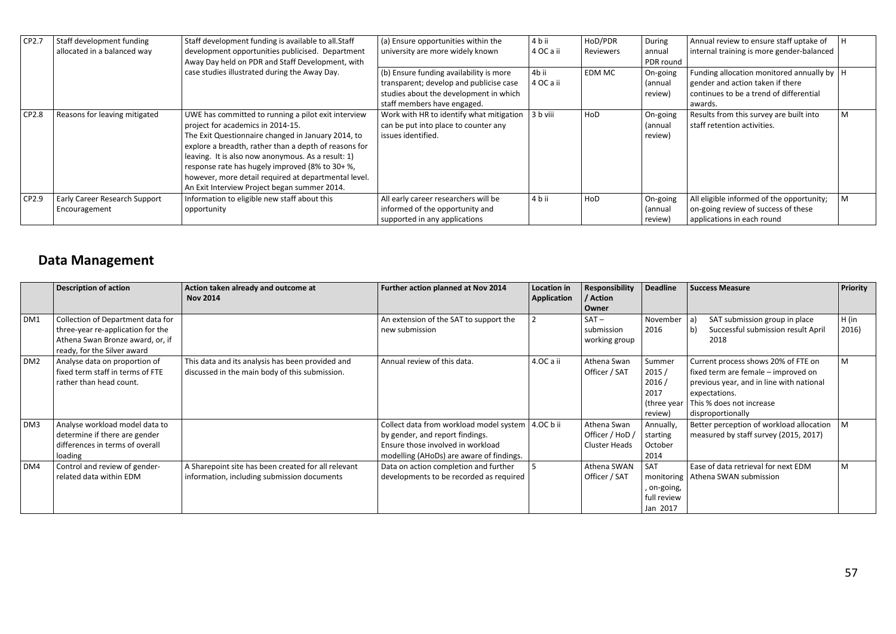| CP2.7 | Staff development funding<br>allocated in a balanced way | Staff development funding is available to all. Staff<br>development opportunities publicised. Department<br>Away Day held on PDR and Staff Development, with                                                                                                                                                                                                                                                             | (a) Ensure opportunities within the<br>university are more widely known                                                                                     | 4 b ii<br>4 OC a ii | HoD/PDR<br>Reviewers | During<br>annual<br>PDR round  | Annual review to ensure staff uptake of<br>internal training is more gender-balanced                                                   |   |
|-------|----------------------------------------------------------|--------------------------------------------------------------------------------------------------------------------------------------------------------------------------------------------------------------------------------------------------------------------------------------------------------------------------------------------------------------------------------------------------------------------------|-------------------------------------------------------------------------------------------------------------------------------------------------------------|---------------------|----------------------|--------------------------------|----------------------------------------------------------------------------------------------------------------------------------------|---|
|       |                                                          | case studies illustrated during the Away Day.                                                                                                                                                                                                                                                                                                                                                                            | (b) Ensure funding availability is more<br>transparent; develop and publicise case<br>studies about the development in which<br>staff members have engaged. | 4b ii<br>4 OC a ii  | EDM MC               | On-going<br>(annual<br>review) | Funding allocation monitored annually by   H<br>gender and action taken if there<br>continues to be a trend of differential<br>awards. |   |
| CP2.8 | Reasons for leaving mitigated                            | UWE has committed to running a pilot exit interview<br>project for academics in 2014-15.<br>The Exit Questionnaire changed in January 2014, to<br>explore a breadth, rather than a depth of reasons for<br>leaving. It is also now anonymous. As a result: 1)<br>response rate has hugely improved (8% to 30+ %,<br>however, more detail required at departmental level.<br>An Exit Interview Project began summer 2014. | Work with HR to identify what mitigation<br>can be put into place to counter any<br>issues identified.                                                      | 3 b viii            | HoD                  | On-going<br>(annual<br>review) | Results from this survey are built into<br>staff retention activities.                                                                 | M |
| CP2.9 | Early Career Research Support<br>Encouragement           | Information to eligible new staff about this<br>opportunity                                                                                                                                                                                                                                                                                                                                                              | All early career researchers will be<br>informed of the opportunity and<br>supported in any applications                                                    | 4 b ii              | HoD                  | On-going<br>(annual<br>review) | All eligible informed of the opportunity;<br>on-going review of success of these<br>applications in each round                         | M |

## **Data Management**

|                 | <b>Description of action</b>      | Action taken already and outcome at<br><b>Nov 2014</b> | Further action planned at Nov 2014       | Location in<br>Application | Responsibility<br>/ Action | <b>Deadline</b> | <b>Success Measure</b>                    | Priority |
|-----------------|-----------------------------------|--------------------------------------------------------|------------------------------------------|----------------------------|----------------------------|-----------------|-------------------------------------------|----------|
|                 |                                   |                                                        |                                          |                            | Owner                      |                 |                                           |          |
| DM1             | Collection of Department data for |                                                        | An extension of the SAT to support the   |                            | $SAT -$                    | November        | SAT submission group in place             | H (in    |
|                 | three-year re-application for the |                                                        | new submission                           |                            | submission                 | 2016            | Successful submission result April<br>  b | 2016)    |
|                 | Athena Swan Bronze award, or, if  |                                                        |                                          |                            | working group              |                 | 2018                                      |          |
|                 | ready, for the Silver award       |                                                        |                                          |                            |                            |                 |                                           |          |
| DM <sub>2</sub> | Analyse data on proportion of     | This data and its analysis has been provided and       | Annual review of this data.              | 4.OC a ii                  | Athena Swan                | Summer          | Current process shows 20% of FTE on       | M        |
|                 | fixed term staff in terms of FTE  | discussed in the main body of this submission.         |                                          |                            | Officer / SAT              | 2015/           | fixed term are female - improved on       |          |
|                 | rather than head count.           |                                                        |                                          |                            |                            | 2016/           | previous year, and in line with national  |          |
|                 |                                   |                                                        |                                          |                            |                            | 2017            | expectations.                             |          |
|                 |                                   |                                                        |                                          |                            |                            | (three year     | This % does not increase                  |          |
|                 |                                   |                                                        |                                          |                            |                            | review)         | disproportionally                         |          |
| DM3             | Analyse workload model data to    |                                                        | Collect data from workload model system  | 4.OC b ii                  | Athena Swan                | Annually,       | Better perception of workload allocation  |          |
|                 | determine if there are gender     |                                                        | by gender, and report findings.          |                            | Officer / HoD /            | starting        | measured by staff survey (2015, 2017)     |          |
|                 | differences in terms of overall   |                                                        | Ensure those involved in workload        |                            | Cluster Heads              | October         |                                           |          |
|                 | loading                           |                                                        | modelling (AHoDs) are aware of findings. |                            |                            | 2014            |                                           |          |
| DM4             | Control and review of gender-     | A Sharepoint site has been created for all relevant    | Data on action completion and further    |                            | Athena SWAN                | SAT             | Ease of data retrieval for next EDM       | M        |
|                 | related data within EDM           | information, including submission documents            | developments to be recorded as required  |                            | Officer / SAT              | monitoring      | Athena SWAN submission                    |          |
|                 |                                   |                                                        |                                          |                            |                            | .on-going,      |                                           |          |
|                 |                                   |                                                        |                                          |                            |                            | full review     |                                           |          |
|                 |                                   |                                                        |                                          |                            |                            | Jan 2017        |                                           |          |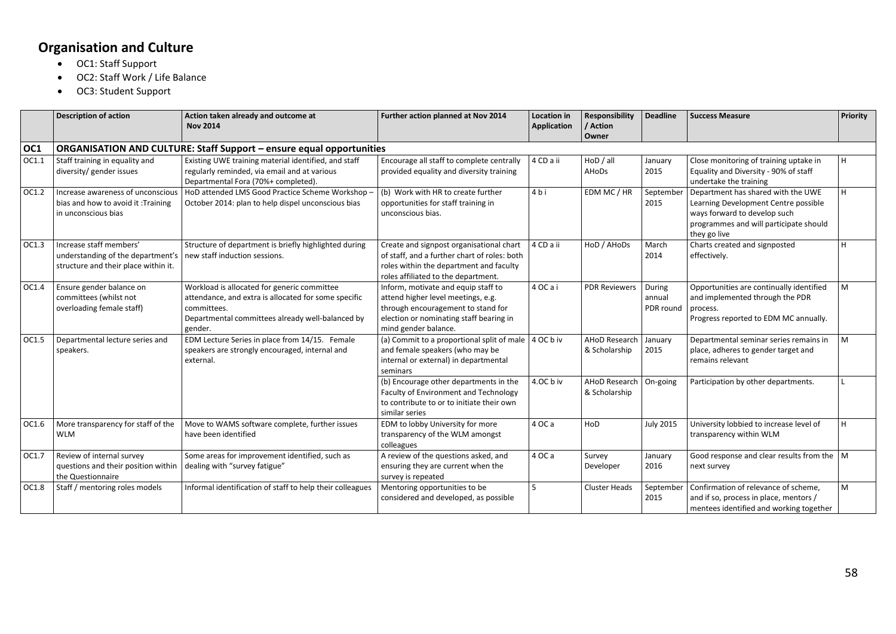## **Organisation and Culture**

- OC1: Staff Support
- OC2: Staff Work / Life Balance
- OC3: Student Support

|                 | <b>Description of action</b>                                                                                                         | Action taken already and outcome at<br><b>Nov 2014</b>                                                                                                                            | Further action planned at Nov 2014                                                                                                                                                 | Location in<br>Application | <b>Responsibility</b><br>/ Action<br>Owner | <b>Deadline</b>               | <b>Success Measure</b>                                                                                                                                               | <b>Priority</b> |
|-----------------|--------------------------------------------------------------------------------------------------------------------------------------|-----------------------------------------------------------------------------------------------------------------------------------------------------------------------------------|------------------------------------------------------------------------------------------------------------------------------------------------------------------------------------|----------------------------|--------------------------------------------|-------------------------------|----------------------------------------------------------------------------------------------------------------------------------------------------------------------|-----------------|
| OC <sub>1</sub> |                                                                                                                                      | ORGANISATION AND CULTURE: Staff Support - ensure equal opportunities                                                                                                              |                                                                                                                                                                                    |                            |                                            |                               |                                                                                                                                                                      |                 |
| OC1.1           | Staff training in equality and<br>diversity/ gender issues                                                                           | Existing UWE training material identified, and staff<br>regularly reminded, via email and at various<br>Departmental Fora (70%+ completed).                                       | Encourage all staff to complete centrally<br>provided equality and diversity training                                                                                              | 4 CD a ii                  | HoD / all<br>AHoDs                         | January<br>2015               | Close monitoring of training uptake in<br>Equality and Diversity - 90% of staff<br>undertake the training                                                            | H               |
| OC1.2           | Increase awareness of unconscious<br>bias and how to avoid it : Training<br>in unconscious bias                                      | HoD attended LMS Good Practice Scheme Workshop -<br>October 2014: plan to help dispel unconscious bias                                                                            | (b) Work with HR to create further<br>opportunities for staff training in<br>unconscious bias.                                                                                     | 4 b i                      | EDM MC / HR                                | September<br>2015             | Department has shared with the UWE<br>Learning Development Centre possible<br>ways forward to develop such<br>programmes and will participate should<br>they go live | H               |
| OC1.3           | Increase staff members'<br>understanding of the department's   new staff induction sessions.<br>structure and their place within it. | Structure of department is briefly highlighted during                                                                                                                             | Create and signpost organisational chart<br>of staff, and a further chart of roles: both<br>roles within the department and faculty<br>roles affiliated to the department.         | 4 CD a ii                  | HoD / AHoDs                                | March<br>2014                 | Charts created and signposted<br>effectively.                                                                                                                        | H               |
| OC1.4           | Ensure gender balance on<br>committees (whilst not<br>overloading female staff)                                                      | Workload is allocated for generic committee<br>attendance, and extra is allocated for some specific<br>committees.<br>Departmental committees already well-balanced by<br>gender. | Inform, motivate and equip staff to<br>attend higher level meetings, e.g.<br>through encouragement to stand for<br>election or nominating staff bearing in<br>mind gender balance. | 4 OC a i                   | <b>PDR Reviewers</b>                       | During<br>annual<br>PDR round | Opportunities are continually identified<br>and implemented through the PDR<br>process.<br>Progress reported to EDM MC annually.                                     | M               |
| OC1.5           | Departmental lecture series and<br>speakers.                                                                                         | EDM Lecture Series in place from 14/15. Female<br>speakers are strongly encouraged, internal and<br>external.                                                                     | (a) Commit to a proportional split of male 4 OC b iv<br>and female speakers (who may be<br>internal or external) in departmental<br>seminars                                       |                            | AHoD Research<br>& Scholarship             | January<br>2015               | Departmental seminar series remains in<br>place, adheres to gender target and<br>remains relevant                                                                    | M               |
|                 |                                                                                                                                      |                                                                                                                                                                                   | (b) Encourage other departments in the<br>Faculty of Environment and Technology<br>to contribute to or to initiate their own<br>similar series                                     | 4.OC b iv                  | AHoD Research<br>& Scholarship             | On-going                      | Participation by other departments.                                                                                                                                  |                 |
| OC1.6           | More transparency for staff of the<br>WLM                                                                                            | Move to WAMS software complete, further issues<br>have been identified                                                                                                            | EDM to lobby University for more<br>transparency of the WLM amongst<br>colleagues                                                                                                  | 4 OC a                     | HoD                                        | <b>July 2015</b>              | University lobbied to increase level of<br>transparency within WLM                                                                                                   | H               |
| OC1.7           | Review of internal survey<br>questions and their position within<br>the Questionnaire                                                | Some areas for improvement identified, such as<br>dealing with "survey fatigue"                                                                                                   | A review of the questions asked, and<br>ensuring they are current when the<br>survey is repeated                                                                                   | 4 OC a                     | Survey<br>Developer                        | January<br>2016               | Good response and clear results from the   M<br>next survey                                                                                                          |                 |
| OC1.8           | Staff / mentoring roles models                                                                                                       | Informal identification of staff to help their colleagues                                                                                                                         | Mentoring opportunities to be<br>considered and developed, as possible                                                                                                             | 5                          | <b>Cluster Heads</b>                       | September<br>2015             | Confirmation of relevance of scheme,<br>and if so, process in place, mentors /<br>mentees identified and working together                                            | M               |